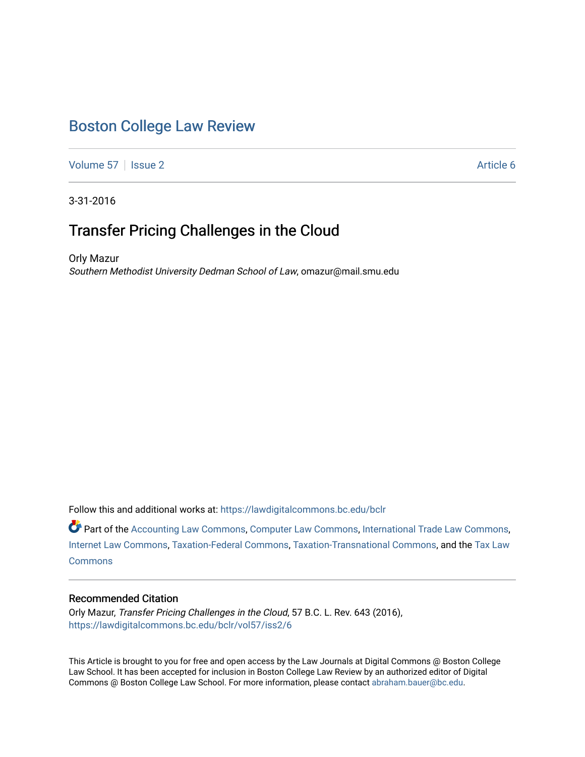# [Boston College Law Review](https://lawdigitalcommons.bc.edu/bclr)

[Volume 57](https://lawdigitalcommons.bc.edu/bclr/vol57) | [Issue 2](https://lawdigitalcommons.bc.edu/bclr/vol57/iss2) Article 6

3-31-2016

# Transfer Pricing Challenges in the Cloud

Orly Mazur Southern Methodist University Dedman School of Law, omazur@mail.smu.edu

Follow this and additional works at: [https://lawdigitalcommons.bc.edu/bclr](https://lawdigitalcommons.bc.edu/bclr?utm_source=lawdigitalcommons.bc.edu%2Fbclr%2Fvol57%2Fiss2%2F6&utm_medium=PDF&utm_campaign=PDFCoverPages) 

Part of the [Accounting Law Commons](http://network.bepress.com/hgg/discipline/828?utm_source=lawdigitalcommons.bc.edu%2Fbclr%2Fvol57%2Fiss2%2F6&utm_medium=PDF&utm_campaign=PDFCoverPages), [Computer Law Commons](http://network.bepress.com/hgg/discipline/837?utm_source=lawdigitalcommons.bc.edu%2Fbclr%2Fvol57%2Fiss2%2F6&utm_medium=PDF&utm_campaign=PDFCoverPages), [International Trade Law Commons](http://network.bepress.com/hgg/discipline/848?utm_source=lawdigitalcommons.bc.edu%2Fbclr%2Fvol57%2Fiss2%2F6&utm_medium=PDF&utm_campaign=PDFCoverPages), [Internet Law Commons,](http://network.bepress.com/hgg/discipline/892?utm_source=lawdigitalcommons.bc.edu%2Fbclr%2Fvol57%2Fiss2%2F6&utm_medium=PDF&utm_campaign=PDFCoverPages) [Taxation-Federal Commons](http://network.bepress.com/hgg/discipline/881?utm_source=lawdigitalcommons.bc.edu%2Fbclr%2Fvol57%2Fiss2%2F6&utm_medium=PDF&utm_campaign=PDFCoverPages), [Taxation-Transnational Commons,](http://network.bepress.com/hgg/discipline/883?utm_source=lawdigitalcommons.bc.edu%2Fbclr%2Fvol57%2Fiss2%2F6&utm_medium=PDF&utm_campaign=PDFCoverPages) and the [Tax Law](http://network.bepress.com/hgg/discipline/898?utm_source=lawdigitalcommons.bc.edu%2Fbclr%2Fvol57%2Fiss2%2F6&utm_medium=PDF&utm_campaign=PDFCoverPages)  **[Commons](http://network.bepress.com/hgg/discipline/898?utm_source=lawdigitalcommons.bc.edu%2Fbclr%2Fvol57%2Fiss2%2F6&utm_medium=PDF&utm_campaign=PDFCoverPages)** 

# Recommended Citation

Orly Mazur, Transfer Pricing Challenges in the Cloud, 57 B.C. L. Rev. 643 (2016), [https://lawdigitalcommons.bc.edu/bclr/vol57/iss2/6](https://lawdigitalcommons.bc.edu/bclr/vol57/iss2/6?utm_source=lawdigitalcommons.bc.edu%2Fbclr%2Fvol57%2Fiss2%2F6&utm_medium=PDF&utm_campaign=PDFCoverPages) 

This Article is brought to you for free and open access by the Law Journals at Digital Commons @ Boston College Law School. It has been accepted for inclusion in Boston College Law Review by an authorized editor of Digital Commons @ Boston College Law School. For more information, please contact [abraham.bauer@bc.edu.](mailto:abraham.bauer@bc.edu)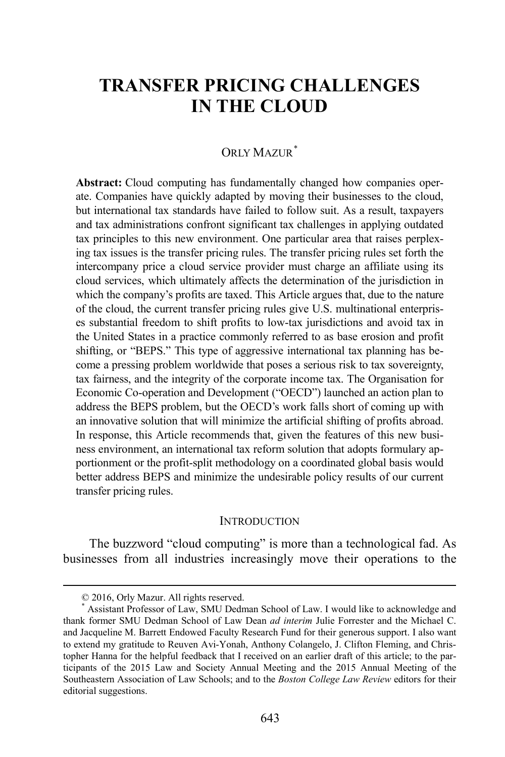# **TRANSFER PRICING CHALLENGES IN THE CLOUD**

# ORLY MAZUR<sup>[\\*](#page-1-0)</sup>

**Abstract:** Cloud computing has fundamentally changed how companies operate. Companies have quickly adapted by moving their businesses to the cloud, but international tax standards have failed to follow suit. As a result, taxpayers and tax administrations confront significant tax challenges in applying outdated tax principles to this new environment. One particular area that raises perplexing tax issues is the transfer pricing rules. The transfer pricing rules set forth the intercompany price a cloud service provider must charge an affiliate using its cloud services, which ultimately affects the determination of the jurisdiction in which the company's profits are taxed. This Article argues that, due to the nature of the cloud, the current transfer pricing rules give U.S. multinational enterprises substantial freedom to shift profits to low-tax jurisdictions and avoid tax in the United States in a practice commonly referred to as base erosion and profit shifting, or "BEPS." This type of aggressive international tax planning has become a pressing problem worldwide that poses a serious risk to tax sovereignty, tax fairness, and the integrity of the corporate income tax. The Organisation for Economic Co-operation and Development ("OECD") launched an action plan to address the BEPS problem, but the OECD's work falls short of coming up with an innovative solution that will minimize the artificial shifting of profits abroad. In response, this Article recommends that, given the features of this new business environment, an international tax reform solution that adopts formulary apportionment or the profit-split methodology on a coordinated global basis would better address BEPS and minimize the undesirable policy results of our current transfer pricing rules.

# **INTRODUCTION**

The buzzword "cloud computing" is more than a technological fad. As businesses from all industries increasingly move their operations to the

 <sup>© 2016,</sup> Orly Mazur. All rights reserved.

<span id="page-1-0"></span>Assistant Professor of Law, SMU Dedman School of Law. I would like to acknowledge and thank former SMU Dedman School of Law Dean *ad interim* Julie Forrester and the Michael C. and Jacqueline M. Barrett Endowed Faculty Research Fund for their generous support. I also want to extend my gratitude to Reuven Avi-Yonah, Anthony Colangelo, J. Clifton Fleming, and Christopher Hanna for the helpful feedback that I received on an earlier draft of this article; to the participants of the 2015 Law and Society Annual Meeting and the 2015 Annual Meeting of the Southeastern Association of Law Schools; and to the *Boston College Law Review* editors for their editorial suggestions.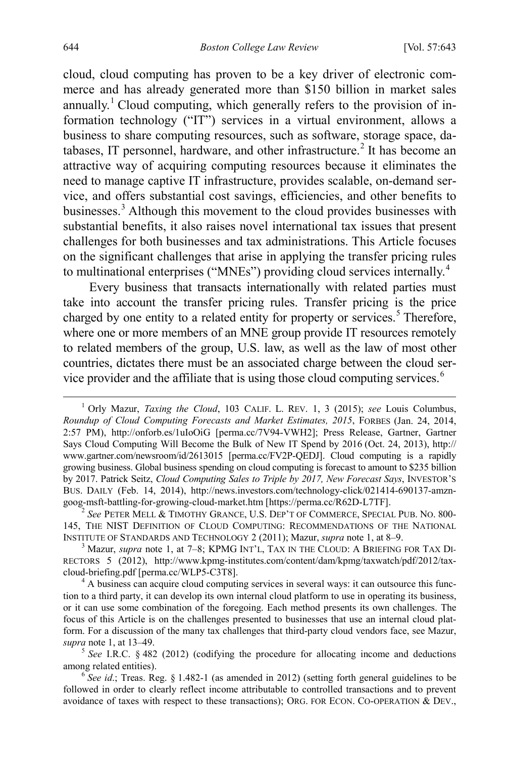<span id="page-2-8"></span><span id="page-2-0"></span>cloud, cloud computing has proven to be a key driver of electronic commerce and has already generated more than \$150 billion in market sales annually.<sup>[1](#page-2-1)</sup> Cloud computing, which generally refers to the provision of information technology ("IT") services in a virtual environment, allows a business to share computing resources, such as software, storage space, da-tabases, IT personnel, hardware, and other infrastructure.<sup>[2](#page-2-2)</sup> It has become an attractive way of acquiring computing resources because it eliminates the need to manage captive IT infrastructure, provides scalable, on-demand service, and offers substantial cost savings, efficiencies, and other benefits to businesses.<sup>[3](#page-2-3)</sup> Although this movement to the cloud provides businesses with substantial benefits, it also raises novel international tax issues that present challenges for both businesses and tax administrations. This Article focuses on the significant challenges that arise in applying the transfer pricing rules to multinational enterprises ("MNEs") providing cloud services internally.<sup>[4](#page-2-4)</sup>

<span id="page-2-7"></span>Every business that transacts internationally with related parties must take into account the transfer pricing rules. Transfer pricing is the price charged by one entity to a related entity for property or services.<sup>[5](#page-2-5)</sup> Therefore, where one or more members of an MNE group provide IT resources remotely to related members of the group, U.S. law, as well as the law of most other countries, dictates there must be an associated charge between the cloud service provider and the affiliate that is using those cloud computing services.[6](#page-2-6)

<span id="page-2-9"></span><span id="page-2-1"></span> <sup>1</sup> Orly Mazur, *Taxing the Cloud*, 103 CALIF. L. REV. 1, 3 (2015); *see* Louis Columbus, *Roundup of Cloud Computing Forecasts and Market Estimates, 2015*, FORBES (Jan. 24, 2014, 2:57 PM), http://onforb.es/1uIoOiG [perma.cc/7V94-VWH2]; Press Release, Gartner, Gartner Says Cloud Computing Will Become the Bulk of New IT Spend by 2016 (Oct. 24, 2013), http:// www.gartner.com/newsroom/id/2613015 [perma.cc/FV2P-QEDJ]. Cloud computing is a rapidly growing business. Global business spending on cloud computing is forecast to amount to \$235 billion by 2017. Patrick Seitz, *Cloud Computing Sales to Triple by 2017, New Forecast Says*, INVESTOR'S BUS. DAILY (Feb. 14, 2014), http://news.investors.com/technology-click/021414-690137-amzn-goog-msft-battling-for-growing-cloud-market.htm [https://perma.cc/R62D-L7TF].

<span id="page-2-2"></span>See PETER MELL & TIMOTHY GRANCE, U.S. DEP'T OF COMMERCE, SPECIAL PUB. NO. 800-145, THE NIST DEFINITION OF CLOUD COMPUTING: RECOMMENDATIONS OF THE NATIONAL INSTITUTE OF STANDARDS AND TECHNOLOGY 2 (2011); Mazur, *supra* not[e 1,](#page-2-0) at 8–9.<br><sup>3</sup> Mazur, *supra* note [1,](#page-2-0) at 7–8; KPMG INT'L, TAX IN THE CLOUD: A BRIEFING FOR TAX DI-

<span id="page-2-3"></span>RECTORS 5 (2012), http://www.kpmg-institutes.com/content/dam/kpmg/taxwatch/pdf/2012/taxcloud-briefing.pdf [perma.cc/WLP5-C3T8]. <sup>4</sup> A business can acquire cloud computing services in several ways: it can outsource this func-

<span id="page-2-4"></span>tion to a third party, it can develop its own internal cloud platform to use in operating its business, or it can use some combination of the foregoing. Each method presents its own challenges. The focus of this Article is on the challenges presented to businesses that use an internal cloud platform. For a discussion of the many tax challenges that third-party cloud vendors face, see Mazur,

<span id="page-2-5"></span>*supra* not[e 1,](#page-2-0) at 13–49. <sup>5</sup> *See* I.R.C. § 482 (2012) (codifying the procedure for allocating income and deductions among related entities).

<span id="page-2-6"></span> $\delta$  *See id.*; Treas. Reg. § 1.482-1 (as amended in 2012) (setting forth general guidelines to be followed in order to clearly reflect income attributable to controlled transactions and to prevent avoidance of taxes with respect to these transactions); ORG. FOR ECON. CO-OPERATION & DEV.,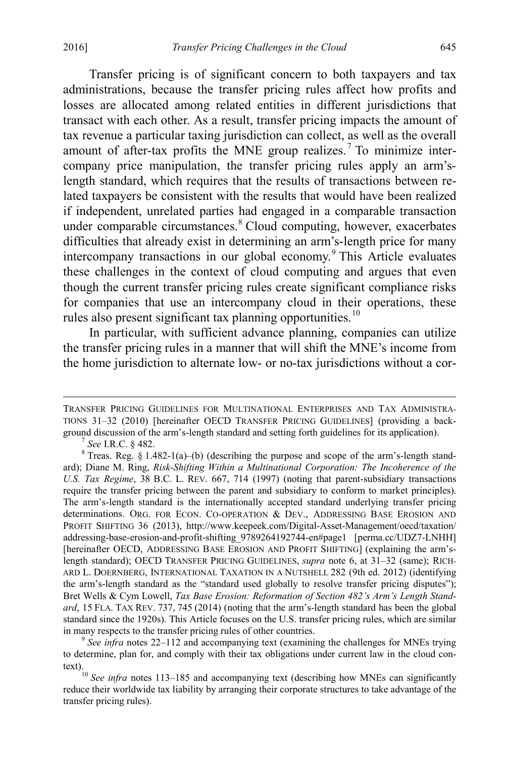Transfer pricing is of significant concern to both taxpayers and tax administrations, because the transfer pricing rules affect how profits and losses are allocated among related entities in different jurisdictions that transact with each other. As a result, transfer pricing impacts the amount of tax revenue a particular taxing jurisdiction can collect, as well as the overall amount of after-tax profits the MNE group realizes.<sup>[7](#page-3-0)</sup> To minimize intercompany price manipulation, the transfer pricing rules apply an arm'slength standard, which requires that the results of transactions between related taxpayers be consistent with the results that would have been realized if independent, unrelated parties had engaged in a comparable transaction under comparable circumstances.<sup>[8](#page-3-1)</sup> Cloud computing, however, exacerbates difficulties that already exist in determining an arm's-length price for many intercompany transactions in our global economy.<sup>[9](#page-3-2)</sup> This Article evaluates these challenges in the context of cloud computing and argues that even though the current transfer pricing rules create significant compliance risks for companies that use an intercompany cloud in their operations, these rules also present significant tax planning opportunities.<sup>[10](#page-3-3)</sup>

<span id="page-3-4"></span>In particular, with sufficient advance planning, companies can utilize the transfer pricing rules in a manner that will shift the MNE's income from the home jurisdiction to alternate low- or no-tax jurisdictions without a cor-

<span id="page-3-2"></span>to determine, plan for, and comply with their tax obligations under current law in the cloud con-

<span id="page-3-3"></span>text).<br><sup>10</sup> *See infra* notes [113](#page-23-1)[–185](#page-36-0) and accompanying text (describing how MNEs can significantly reduce their worldwide tax liability by arranging their corporate structures to take advantage of the transfer pricing rules).

TRANSFER PRICING GUIDELINES FOR MULTINATIONAL ENTERPRISES AND TAX ADMINISTRA-TIONS 31–32 (2010) [hereinafter OECD TRANSFER PRICING GUIDELINES] (providing a background discussion of the arm's-length standard and setting forth guidelines for its application).<br><sup>7</sup> *See* I.R.C. § 482.<br><sup>8</sup> Treas. Reg. § 1.482-1(a)–(b) (describing the purpose and scope of the arm's-length stand-

<span id="page-3-1"></span><span id="page-3-0"></span>ard); Diane M. Ring, *Risk-Shifting Within a Multinational Corporation: The Incoherence of the U.S. Tax Regime*, 38 B.C. L. REV. 667, 714 (1997) (noting that parent-subsidiary transactions require the transfer pricing between the parent and subsidiary to conform to market principles). The arm's-length standard is the internationally accepted standard underlying transfer pricing determinations. ORG. FOR ECON. CO-OPERATION & DEV., ADDRESSING BASE EROSION AND PROFIT SHIFTING 36 (2013), http://www.keepeek.com/Digital-Asset-Management/oecd/taxation/ addressing-base-erosion-and-profit-shifting\_9789264192744-en#page1 [perma.cc/UDZ7-LNHH] [hereinafter OECD, ADDRESSING BASE EROSION AND PROFIT SHIFTING] (explaining the arm'slength standard); OECD TRANSFER PRICING GUIDELINES, *supra* note 6, at 31–32 (same); RICH-ARD L. DOERNBERG, INTERNATIONAL TAXATION IN A NUTSHELL 282 (9th ed. 2012) (identifying the arm's-length standard as the "standard used globally to resolve transfer pricing disputes"); Bret Wells & Cym Lowell, *Tax Base Erosion: Reformation of Section 482's Arm's Length Standard*, 15 FLA. TAX REV. 737, 745 (2014) (noting that the arm's-length standard has been the global standard since the 1920s). This Article focuses on the U.S. transfer pricing rules, which are similar in many respects to the transfer pricing rules of other countries. <sup>9</sup> *See infra* notes [22](#page-6-0)[–112](#page-23-0) and accompanying text (examining the challenges for MNEs trying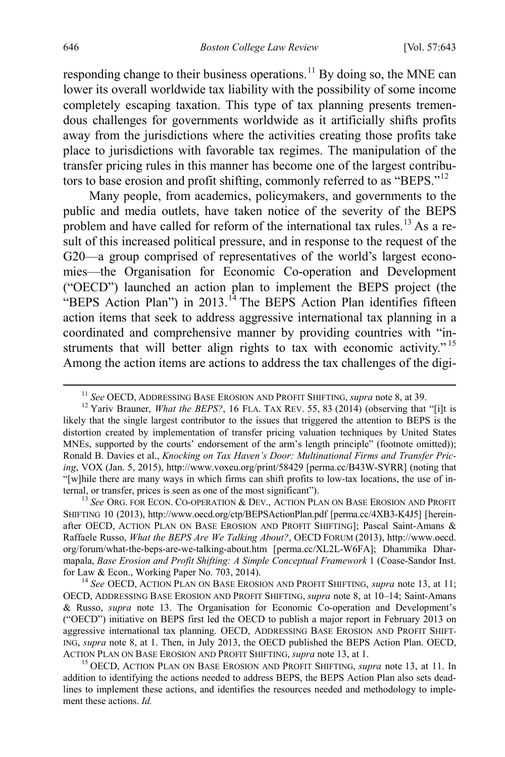responding change to their business operations.<sup>[11](#page-4-1)</sup> By doing so, the MNE can lower its overall worldwide tax liability with the possibility of some income completely escaping taxation. This type of tax planning presents tremendous challenges for governments worldwide as it artificially shifts profits away from the jurisdictions where the activities creating those profits take place to jurisdictions with favorable tax regimes. The manipulation of the transfer pricing rules in this manner has become one of the largest contributors to base erosion and profit shifting, commonly referred to as "BEPS."[12](#page-4-2)

<span id="page-4-6"></span><span id="page-4-0"></span>Many people, from academics, policymakers, and governments to the public and media outlets, have taken notice of the severity of the BEPS problem and have called for reform of the international tax rules.<sup>[13](#page-4-3)</sup> As a result of this increased political pressure, and in response to the request of the G20—a group comprised of representatives of the world's largest economies—the Organisation for Economic Co-operation and Development ("OECD") launched an action plan to implement the BEPS project (the "BEPS Action Plan") in 2013.<sup>[14](#page-4-4)</sup> The BEPS Action Plan identifies fifteen action items that seek to address aggressive international tax planning in a coordinated and comprehensive manner by providing countries with "in-struments that will better align rights to tax with economic activity."<sup>[15](#page-4-5)</sup> Among the action items are actions to address the tax challenges of the digi-

<span id="page-4-3"></span><sup>13</sup> See Org. for Econ. Co-operation & Dev., Action Plan on Base Erosion and Profit SHIFTING 10 (2013), http://www.oecd.org/ctp/BEPSActionPlan.pdf [perma.cc/4XB3-K4J5] [hereinafter OECD, ACTION PLAN ON BASE EROSION AND PROFIT SHIFTING]; Pascal Saint-Amans & Raffaele Russo, *What the BEPS Are We Talking About?*, OECD FORUM (2013), http://www.oecd. org/forum/what-the-beps-are-we-talking-about.htm [perma.cc/XL2L-W6FA]; Dhammika Dharmapala, *Base Erosion and Profit Shifting: A Simple Conceptual Framework* 1 (Coase-Sandor Inst. for Law & Econ., Working Paper No. 703, 2014). <sup>14</sup> *See* OECD, ACTION PLAN ON BASE EROSION AND PROFIT SHIFTING, *supra* note [13,](#page-4-0) at 11;

<span id="page-4-4"></span>OECD, ADDRESSING BASE EROSION AND PROFIT SHIFTING, *supra* note [8,](#page-3-4) at 10–14; Saint-Amans & Russo, *supra* note [13.](#page-4-0) The Organisation for Economic Co-operation and Development's ("OECD") initiative on BEPS first led the OECD to publish a major report in February 2013 on aggressive international tax planning. OECD, ADDRESSING BASE EROSION AND PROFIT SHIFT-ING, *supra* note [8,](#page-3-4) at 1. Then, in July 2013, the OECD published the BEPS Action Plan. OECD, ACTION PLAN ON BASE EROSION AND PROFIT SHIFTING, *supra* not[e 13,](#page-4-0) at 1. 15 OECD, ACTION PLAN ON BASE EROSION AND PROFIT SHIFTING, *supra* note [13,](#page-4-0) at 11. In

<span id="page-4-5"></span>addition to identifying the actions needed to address BEPS, the BEPS Action Plan also sets deadlines to implement these actions, and identifies the resources needed and methodology to implement these actions. *Id.*

<sup>&</sup>lt;sup>11</sup> See OECD, ADDRESSING BASE EROSION AND PROFIT SHIFTING, *supra* not[e 8,](#page-3-4) at 39.<br><sup>12</sup> Yariv Brauner, *What the BEPS?*, 16 FLA. TAX REV. 55, 83 (2014) (observing that "[i]t is

<span id="page-4-2"></span><span id="page-4-1"></span>likely that the single largest contributor to the issues that triggered the attention to BEPS is the distortion created by implementation of transfer pricing valuation techniques by United States MNEs, supported by the courts' endorsement of the arm's length principle" (footnote omitted)); Ronald B. Davies et al., *Knocking on Tax Haven's Door: Multinational Firms and Transfer Pricing*, VOX (Jan. 5, 2015), http://www.voxeu.org/print/58429 [perma.cc/B43W-SYRR] (noting that "[w]hile there are many ways in which firms can shift profits to low-tax locations, the use of in-<br>ternal, or transfer, prices is seen as one of the most significant").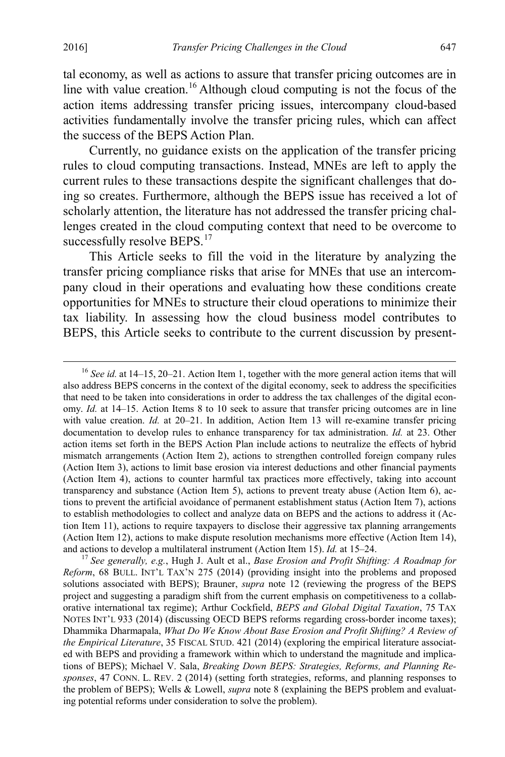tal economy, as well as actions to assure that transfer pricing outcomes are in line with value creation.<sup>[16](#page-5-0)</sup> Although cloud computing is not the focus of the action items addressing transfer pricing issues, intercompany cloud-based activities fundamentally involve the transfer pricing rules, which can affect the success of the BEPS Action Plan.

Currently, no guidance exists on the application of the transfer pricing rules to cloud computing transactions. Instead, MNEs are left to apply the current rules to these transactions despite the significant challenges that doing so creates. Furthermore, although the BEPS issue has received a lot of scholarly attention, the literature has not addressed the transfer pricing challenges created in the cloud computing context that need to be overcome to successfully resolve BEPS.<sup>[17](#page-5-1)</sup>

<span id="page-5-2"></span>This Article seeks to fill the void in the literature by analyzing the transfer pricing compliance risks that arise for MNEs that use an intercompany cloud in their operations and evaluating how these conditions create opportunities for MNEs to structure their cloud operations to minimize their tax liability. In assessing how the cloud business model contributes to BEPS, this Article seeks to contribute to the current discussion by present-

<span id="page-5-0"></span> <sup>16</sup> *See id.* at 14–15, 20–21. Action Item 1, together with the more general action items that will also address BEPS concerns in the context of the digital economy, seek to address the specificities that need to be taken into considerations in order to address the tax challenges of the digital economy. *Id.* at 14–15. Action Items 8 to 10 seek to assure that transfer pricing outcomes are in line with value creation. *Id.* at 20–21. In addition, Action Item 13 will re-examine transfer pricing documentation to develop rules to enhance transparency for tax administration. *Id.* at 23. Other action items set forth in the BEPS Action Plan include actions to neutralize the effects of hybrid mismatch arrangements (Action Item 2), actions to strengthen controlled foreign company rules (Action Item 3), actions to limit base erosion via interest deductions and other financial payments (Action Item 4), actions to counter harmful tax practices more effectively, taking into account transparency and substance (Action Item 5), actions to prevent treaty abuse (Action Item 6), actions to prevent the artificial avoidance of permanent establishment status (Action Item 7), actions to establish methodologies to collect and analyze data on BEPS and the actions to address it (Action Item 11), actions to require taxpayers to disclose their aggressive tax planning arrangements (Action Item 12), actions to make dispute resolution mechanisms more effective (Action Item 14), and actions to develop a multilateral instrument (Action Item 15). *Id.* at 15–24. <sup>17</sup> *See generally, e.g.*, Hugh J. Ault et al., *Base Erosion and Profit Shifting: A Roadmap for* 

<span id="page-5-1"></span>*Reform*, 68 BULL. INT'L TAX'N 275 (2014) (providing insight into the problems and proposed solutions associated with BEPS); Brauner, *supra* note [12](#page-4-6) (reviewing the progress of the BEPS project and suggesting a paradigm shift from the current emphasis on competitiveness to a collaborative international tax regime); Arthur Cockfield, *BEPS and Global Digital Taxation*, 75 TAX NOTES INT'L 933 (2014) (discussing OECD BEPS reforms regarding cross-border income taxes); Dhammika Dharmapala, *What Do We Know About Base Erosion and Profit Shifting? A Review of the Empirical Literature*, 35 FISCAL STUD. 421 (2014) (exploring the empirical literature associated with BEPS and providing a framework within which to understand the magnitude and implications of BEPS); Michael V. Sala, *Breaking Down BEPS: Strategies, Reforms, and Planning Responses*, 47 CONN. L. REV. 2 (2014) (setting forth strategies, reforms, and planning responses to the problem of BEPS); Wells & Lowell, *supra* note [8](#page-3-4) (explaining the BEPS problem and evaluating potential reforms under consideration to solve the problem).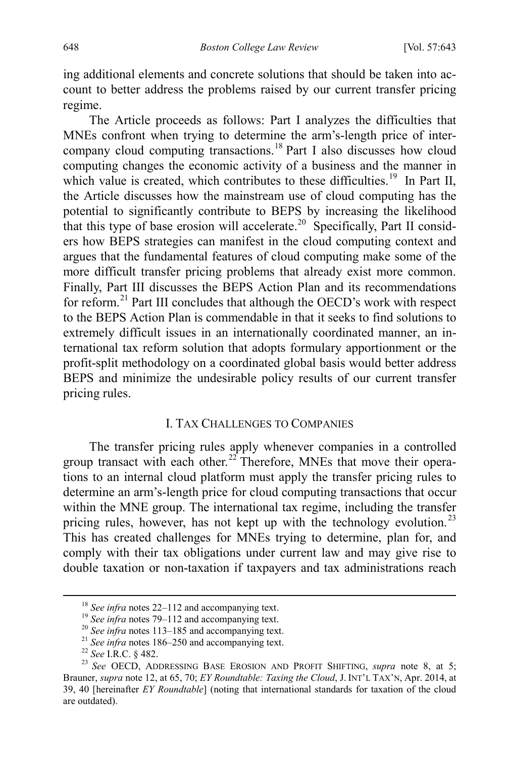ing additional elements and concrete solutions that should be taken into account to better address the problems raised by our current transfer pricing regime.

The Article proceeds as follows: Part I analyzes the difficulties that MNEs confront when trying to determine the arm's-length price of intercompany cloud computing transactions. [18](#page-6-1) Part I also discusses how cloud computing changes the economic activity of a business and the manner in which value is created, which contributes to these difficulties.<sup>19</sup> In Part II, the Article discusses how the mainstream use of cloud computing has the potential to significantly contribute to BEPS by increasing the likelihood that this type of base erosion will accelerate.<sup>20</sup> Specifically, Part II considers how BEPS strategies can manifest in the cloud computing context and argues that the fundamental features of cloud computing make some of the more difficult transfer pricing problems that already exist more common. Finally, Part III discusses the BEPS Action Plan and its recommendations for reform. [21](#page-6-4) Part III concludes that although the OECD's work with respect to the BEPS Action Plan is commendable in that it seeks to find solutions to extremely difficult issues in an internationally coordinated manner, an international tax reform solution that adopts formulary apportionment or the profit-split methodology on a coordinated global basis would better address BEPS and minimize the undesirable policy results of our current transfer pricing rules.

# <span id="page-6-7"></span><span id="page-6-0"></span>I. TAX CHALLENGES TO COMPANIES

The transfer pricing rules apply whenever companies in a controlled group transact with each other.<sup>[22](#page-6-5)</sup> Therefore, MNEs that move their operations to an internal cloud platform must apply the transfer pricing rules to determine an arm's-length price for cloud computing transactions that occur within the MNE group. The international tax regime, including the transfer pricing rules, however, has not kept up with the technology evolution.<sup>[23](#page-6-6)</sup> This has created challenges for MNEs trying to determine, plan for, and comply with their tax obligations under current law and may give rise to double taxation or non-taxation if taxpayers and tax administrations reach

<span id="page-6-6"></span>

<span id="page-6-5"></span><span id="page-6-4"></span><span id="page-6-3"></span><span id="page-6-2"></span><span id="page-6-1"></span><sup>&</sup>lt;sup>18</sup> See infra note[s 22–](#page-6-0)[112](#page-23-0) and accompanying text.<br><sup>19</sup> See infra note[s 79–](#page-16-0)112 and accompanying text.<br><sup>20</sup> See infra note[s 113](#page-23-1)[–185](#page-36-0) and accompanying text.<br><sup>21</sup> See infra note[s 186](#page-36-1)[–250](#page-50-0) and accompanying text.<br><sup>22</sup> See I.R.C. Brauner, *supra* note [12,](#page-4-6) at 65, 70; *EY Roundtable: Taxing the Cloud*, J. INT'L TAX'N, Apr. 2014, at 39, 40 [hereinafter *EY Roundtable*] (noting that international standards for taxation of the cloud are outdated).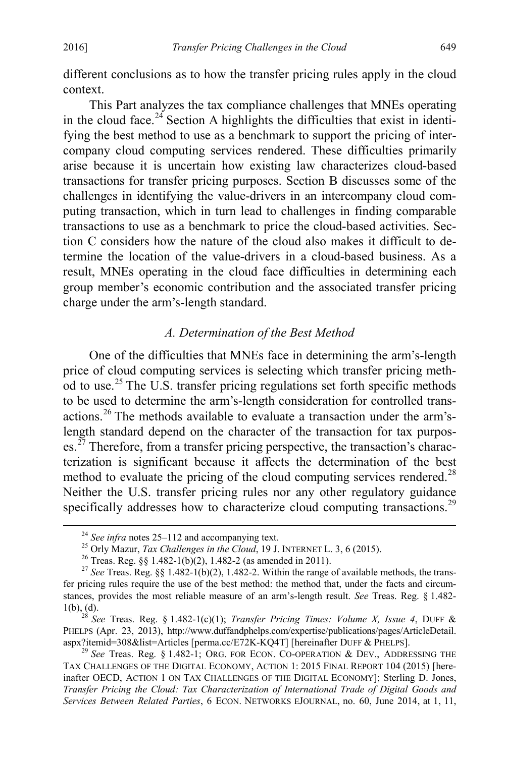different conclusions as to how the transfer pricing rules apply in the cloud context.

This Part analyzes the tax compliance challenges that MNEs operating in the cloud face.<sup>[24](#page-7-1)</sup> Section A highlights the difficulties that exist in identifying the best method to use as a benchmark to support the pricing of intercompany cloud computing services rendered. These difficulties primarily arise because it is uncertain how existing law characterizes cloud-based transactions for transfer pricing purposes. Section B discusses some of the challenges in identifying the value-drivers in an intercompany cloud computing transaction, which in turn lead to challenges in finding comparable transactions to use as a benchmark to price the cloud-based activities. Section C considers how the nature of the cloud also makes it difficult to determine the location of the value-drivers in a cloud-based business. As a result, MNEs operating in the cloud face difficulties in determining each group member's economic contribution and the associated transfer pricing charge under the arm's-length standard.

# <span id="page-7-8"></span><span id="page-7-7"></span>*A. Determination of the Best Method*

<span id="page-7-0"></span>One of the difficulties that MNEs face in determining the arm's-length price of cloud computing services is selecting which transfer pricing meth-od to use.<sup>[25](#page-7-2)</sup> The U.S. transfer pricing regulations set forth specific methods to be used to determine the arm's-length consideration for controlled trans-actions.<sup>[26](#page-7-3)</sup> The methods available to evaluate a transaction under the arm'slength standard depend on the character of the transaction for tax purpos-es.<sup>[27](#page-7-4)</sup> Therefore, from a transfer pricing perspective, the transaction's characterization is significant because it affects the determination of the best method to evaluate the pricing of the cloud computing services rendered.<sup>[28](#page-7-5)</sup> Neither the U.S. transfer pricing rules nor any other regulatory guidance specifically addresses how to characterize cloud computing transactions.<sup>[29](#page-7-6)</sup>

<sup>&</sup>lt;sup>24</sup> See infra notes [25–](#page-7-0)[112](#page-23-0) and accompanying text.<br><sup>25</sup> Orly Mazur, *Tax Challenges in the Cloud*, 19 J. INTERNET L. 3, 6 (2015).<br><sup>26</sup> Treas. Reg. §§ 1.482-1(b)(2), 1.482-2 (as amended in 2011).<br><sup>27</sup> See Treas. Reg. §§ 1.

<span id="page-7-4"></span><span id="page-7-3"></span><span id="page-7-2"></span><span id="page-7-1"></span>fer pricing rules require the use of the best method: the method that, under the facts and circumstances, provides the most reliable measure of an arm's-length result. *See* Treas. Reg. § 1.482- 1(b), (d). <sup>28</sup> *See* Treas. Reg. § 1.482-1(c)(1); *Transfer Pricing Times: Volume X, Issue 4*, DUFF &

<span id="page-7-5"></span>PHELPS (Apr. 23, 2013), http://www.duffandphelps.com/expertise/publications/pages/ArticleDetail.<br>aspx?itemid=308&list=Articles [perma.cc/E72K-KQ4T] [hereinafter DUFF & PHELPS].

<span id="page-7-6"></span> $29$  See Treas. Reg. § 1.482-1; ORG. FOR ECON. CO-OPERATION  $\&$  DEV., ADDRESSING THE TAX CHALLENGES OF THE DIGITAL ECONOMY, ACTION 1: 2015 FINAL REPORT 104 (2015) [hereinafter OECD, ACTION 1 ON TAX CHALLENGES OF THE DIGITAL ECONOMY]; Sterling D. Jones, *Transfer Pricing the Cloud: Tax Characterization of International Trade of Digital Goods and Services Between Related Parties*, 6 ECON. NETWORKS EJOURNAL, no. 60, June 2014, at 1, 11,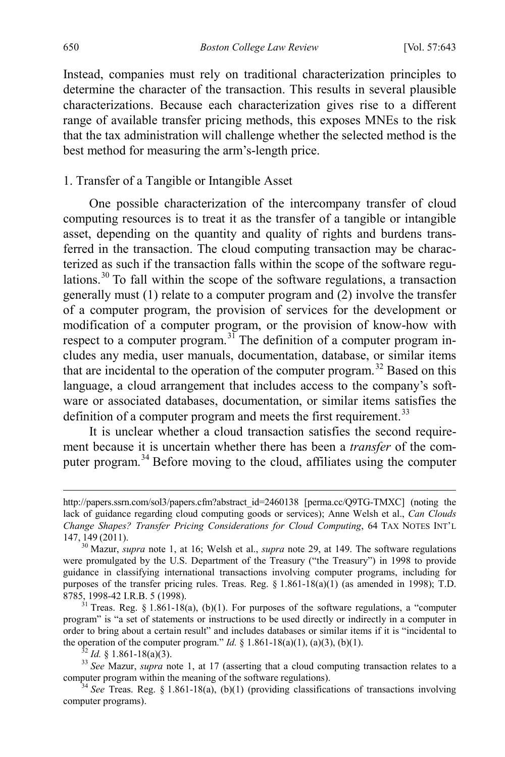Instead, companies must rely on traditional characterization principles to determine the character of the transaction. This results in several plausible characterizations. Because each characterization gives rise to a different range of available transfer pricing methods, this exposes MNEs to the risk that the tax administration will challenge whether the selected method is the best method for measuring the arm's-length price.

# 1. Transfer of a Tangible or Intangible Asset

One possible characterization of the intercompany transfer of cloud computing resources is to treat it as the transfer of a tangible or intangible asset, depending on the quantity and quality of rights and burdens transferred in the transaction. The cloud computing transaction may be characterized as such if the transaction falls within the scope of the software regulations.[30](#page-8-0) To fall within the scope of the software regulations, a transaction generally must (1) relate to a computer program and (2) involve the transfer of a computer program, the provision of services for the development or modification of a computer program, or the provision of know-how with respect to a computer program.<sup>[31](#page-8-1)</sup> The definition of a computer program includes any media, user manuals, documentation, database, or similar items that are incidental to the operation of the computer program.<sup>[32](#page-8-2)</sup> Based on this language, a cloud arrangement that includes access to the company's software or associated databases, documentation, or similar items satisfies the definition of a computer program and meets the first requirement.<sup>[33](#page-8-3)</sup>

It is unclear whether a cloud transaction satisfies the second requirement because it is uncertain whether there has been a *transfer* of the computer program.[34](#page-8-4) Before moving to the cloud, affiliates using the computer

http://papers.ssrn.com/sol3/papers.cfm?abstract\_id=2460138 [perma.cc/Q9TG-TMXC] (noting the lack of guidance regarding cloud computing goods or services); Anne Welsh et al., *Can Clouds Change Shapes? Transfer Pricing Considerations for Cloud Computing*, 64 TAX NOTES INT'L 147, <sup>149</sup> (2011). <sup>30</sup> Mazur, *supra* note [1,](#page-2-0) at 16; Welsh et al., *supra* note [29,](#page-7-7) at 149. The software regulations

<span id="page-8-0"></span>were promulgated by the U.S. Department of the Treasury ("the Treasury") in 1998 to provide guidance in classifying international transactions involving computer programs, including for purposes of the transfer pricing rules. Treas. Reg.  $\S 1.861-18(a)(1)$  (as amended in 1998); T.D. 8785, 1998-42 I.R.B. 5 (1998).

<span id="page-8-1"></span><sup>&</sup>lt;sup>31</sup> Treas. Reg. § 1.861-18(a), (b)(1). For purposes of the software regulations, a "computer program" is "a set of statements or instructions to be used directly or indirectly in a computer in order to bring about a certain result" and includes databases or similar items if it is "incidental to the operation of the computer program."  $ld$ , § 1.861-18(a)(1), (a)(3), (b)(1).

<span id="page-8-3"></span><span id="page-8-2"></span><sup>&</sup>lt;sup>32</sup> *Id.* § 1.861-18(a)(3). <br><sup>33</sup> *See* Mazur, *supra* note [1,](#page-2-0) at 17 (asserting that a cloud computing transaction relates to a computer program within the meaning of the software regulations). 34 *See* Treas. Reg. § 1.861-18(a), (b)(1) (providing classifications of transactions involving

<span id="page-8-4"></span>computer programs).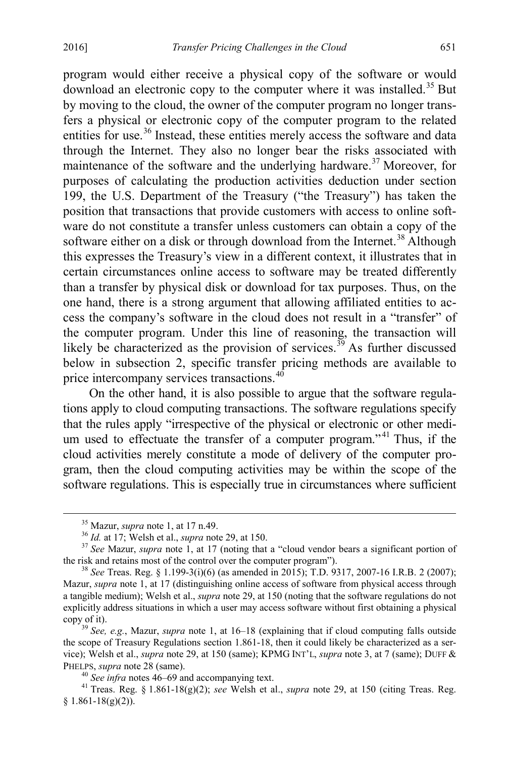program would either receive a physical copy of the software or would download an electronic copy to the computer where it was installed.[35](#page-9-0) But by moving to the cloud, the owner of the computer program no longer transfers a physical or electronic copy of the computer program to the related entities for use.<sup>[36](#page-9-1)</sup> Instead, these entities merely access the software and data through the Internet. They also no longer bear the risks associated with maintenance of the software and the underlying hardware.<sup>[37](#page-9-2)</sup> Moreover, for purposes of calculating the production activities deduction under section 199, the U.S. Department of the Treasury ("the Treasury") has taken the position that transactions that provide customers with access to online software do not constitute a transfer unless customers can obtain a copy of the software either on a disk or through download from the Internet.<sup>[38](#page-9-3)</sup> Although this expresses the Treasury's view in a different context, it illustrates that in certain circumstances online access to software may be treated differently than a transfer by physical disk or download for tax purposes. Thus, on the one hand, there is a strong argument that allowing affiliated entities to access the company's software in the cloud does not result in a "transfer" of the computer program. Under this line of reasoning, the transaction will likely be characterized as the provision of services.<sup>[39](#page-9-4)</sup> As further discussed below in subsection 2, specific transfer pricing methods are available to price intercompany services transactions.<sup>[40](#page-9-5)</sup>

On the other hand, it is also possible to argue that the software regulations apply to cloud computing transactions. The software regulations specify that the rules apply "irrespective of the physical or electronic or other medi-um used to effectuate the transfer of a computer program."<sup>[41](#page-9-6)</sup> Thus, if the cloud activities merely constitute a mode of delivery of the computer program, then the cloud computing activities may be within the scope of the software regulations. This is especially true in circumstances where sufficient

<span id="page-9-2"></span><span id="page-9-1"></span><span id="page-9-0"></span><sup>&</sup>lt;sup>35</sup> Mazur, *supra* not[e 1,](#page-2-0) at 17 n.49.<br><sup>36</sup> *Id.* at 17; Welsh et al., *supra* note [29,](#page-7-7) at 150.<br><sup>37</sup> *See* Mazur, *supra* note [1,](#page-2-0) at 17 (noting that a "cloud vendor bears a significant portion of the risk and retains most of the control over the computer program"). <sup>38</sup> *See* Treas. Reg. § 1.199-3(i)(6) (as amended in 2015); T.D. 9317, 2007-16 I.R.B. 2 (2007);

<span id="page-9-3"></span>Mazur, *supra* not[e 1,](#page-2-0) at 17 (distinguishing online access of software from physical access through a tangible medium); Welsh et al., *supra* not[e 29,](#page-7-7) at 150 (noting that the software regulations do not explicitly address situations in which a user may access software without first obtaining a physical copy of it). <sup>39</sup> *See, e.g.*, Mazur, *supra* note [1,](#page-2-0) at 16–18 (explaining that if cloud computing falls outside

<span id="page-9-4"></span>the scope of Treasury Regulations section 1.861-18, then it could likely be characterized as a service); Welsh et al., *supra* not[e 29,](#page-7-7) at 150 (same); KPMG INT'L, *supra* not[e 3,](#page-2-7) at 7 (same); DUFF & PHELPS, *supr[a](#page-14-0)* not[e 28](#page-7-8) (same).<br><sup>40</sup> *See infra* notes 46–69 and accompanying text.<br><sup>41</sup> Treas. Reg. § 1.861-18(g)(2); *see* Welsh et al., *supra* note [29,](#page-7-7) at 150 (citing Treas. Reg.

<span id="page-9-6"></span><span id="page-9-5"></span> $§ 1.861-18(g)(2)).$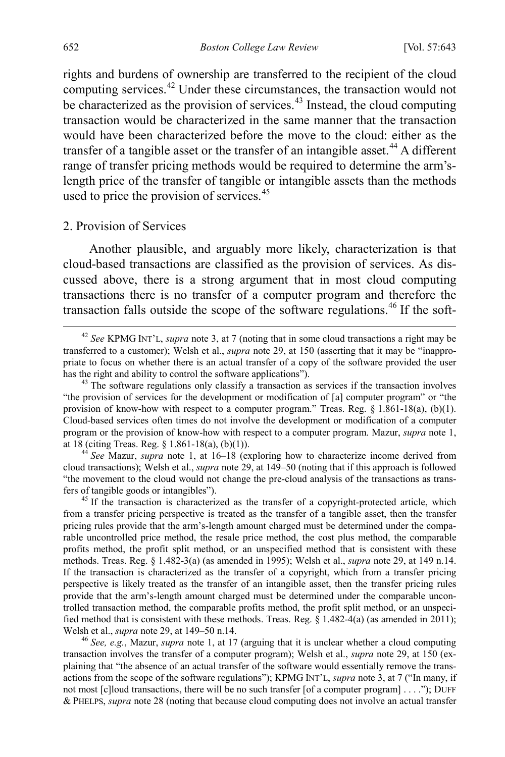rights and burdens of ownership are transferred to the recipient of the cloud computing services.[42](#page-10-1) Under these circumstances, the transaction would not be characterized as the provision of services.<sup>[43](#page-10-2)</sup> Instead, the cloud computing transaction would be characterized in the same manner that the transaction would have been characterized before the move to the cloud: either as the transfer of a tangible asset or the transfer of an intangible asset.<sup>[44](#page-10-3)</sup> A different range of transfer pricing methods would be required to determine the arm'slength price of the transfer of tangible or intangible assets than the methods used to price the provision of services.  $45$ 

## 2. Provision of Services

Another plausible, and arguably more likely, characterization is that cloud-based transactions are classified as the provision of services. As discussed above, there is a strong argument that in most cloud computing transactions there is no transfer of a computer program and therefore the transaction falls outside the scope of the software regulations.<sup>[46](#page-10-5)</sup> If the soft-

<span id="page-10-3"></span>cloud transactions); Welsh et al., *supra* not[e 29,](#page-7-7) at 149–50 (noting that if this approach is followed "the movement to the cloud would not change the pre-cloud analysis of the transactions as transfers of tangible goods or intangibles").<br><sup>45</sup> If the transaction is characterized as the transfer of a copyright-protected article, which

<span id="page-10-4"></span>from a transfer pricing perspective is treated as the transfer of a tangible asset, then the transfer pricing rules provide that the arm's-length amount charged must be determined under the comparable uncontrolled price method, the resale price method, the cost plus method, the comparable profits method, the profit split method, or an unspecified method that is consistent with these methods. Treas. Reg. § 1.482-3(a) (as amended in 1995); Welsh et al., *supra* not[e 29,](#page-7-7) at 149 n.14. If the transaction is characterized as the transfer of a copyright, which from a transfer pricing perspective is likely treated as the transfer of an intangible asset, then the transfer pricing rules provide that the arm's-length amount charged must be determined under the comparable uncontrolled transaction method, the comparable profits method, the profit split method, or an unspecified method that is consistent with these methods. Treas. Reg. § 1.482-4(a) (as amended in 2011); Welsh et al., *supra* note 29, at 149–50 n.14.

<span id="page-10-5"></span><sup>46</sup> See, e.g., Mazur, *supra* note [1,](#page-2-0) at 17 (arguing that it is unclear whether a cloud computing transaction involves the transfer of a computer program); Welsh et al., *supra* note [29,](#page-7-7) at 150 (explaining that "the absence of an actual transfer of the software would essentially remove the transactions from the scope of the software regulations"); KPMG INT'L, *supra* note [3,](#page-2-7) at 7 ("In many, if not most [c]loud transactions, there will be no such transfer [of a computer program] . . . ."); DUFF & PHELPS, *supra* not[e 28](#page-7-8) (noting that because cloud computing does not involve an actual transfer

<span id="page-10-1"></span><span id="page-10-0"></span> <sup>42</sup> *See* KPMG INT'L, *supra* not[e 3,](#page-2-7) at 7 (noting that in some cloud transactions a right may be transferred to a customer); Welsh et al., *supra* not[e 29,](#page-7-7) at 150 (asserting that it may be "inappropriate to focus on whether there is an actual transfer of a copy of the software provided the user has the right and ability to control the software applications").<br><sup>43</sup> The software regulations only classify a transaction as services if the transaction involves

<span id="page-10-2"></span><sup>&</sup>quot;the provision of services for the development or modification of [a] computer program" or "the provision of know-how with respect to a computer program." Treas. Reg. § 1.861-18(a), (b)(1). Cloud-based services often times do not involve the development or modification of a computer program or the provision of know-how with respect to a computer program. Mazur, *supra* note [1,](#page-2-0) at 18 (citing Treas. Reg. § 1.861-18(a), (b)(1)). 44 *See* Mazur, *supra* note [1,](#page-2-0) at 16–18 (exploring how to characterize income derived from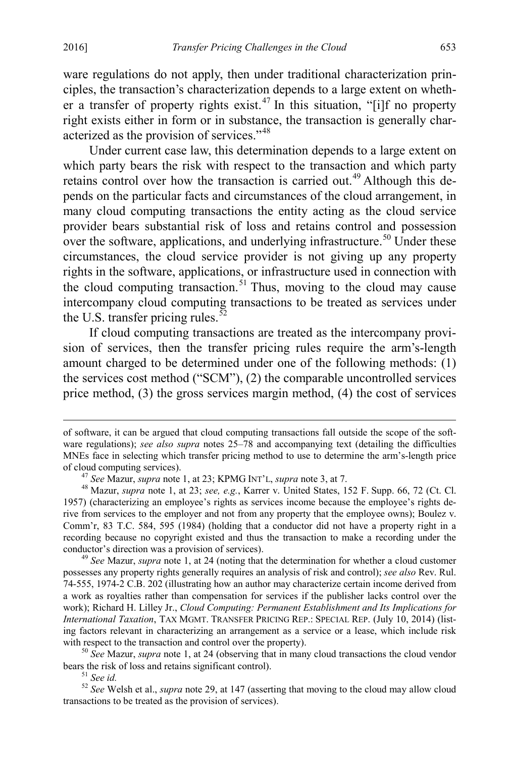ware regulations do not apply, then under traditional characterization principles, the transaction's characterization depends to a large extent on wheth-er a transfer of property rights exist.<sup>[47](#page-11-0)</sup> In this situation, "[i]f no property right exists either in form or in substance, the transaction is generally characterized as the provision of services."[48](#page-11-1)

<span id="page-11-6"></span>Under current case law, this determination depends to a large extent on which party bears the risk with respect to the transaction and which party retains control over how the transaction is carried out.<sup>[49](#page-11-2)</sup> Although this depends on the particular facts and circumstances of the cloud arrangement, in many cloud computing transactions the entity acting as the cloud service provider bears substantial risk of loss and retains control and possession over the software, applications, and underlying infrastructure.<sup>[50](#page-11-3)</sup> Under these circumstances, the cloud service provider is not giving up any property rights in the software, applications, or infrastructure used in connection with the cloud computing transaction. $51$  Thus, moving to the cloud may cause intercompany cloud computing transactions to be treated as services under the U.S. transfer pricing rules. $52$ 

If cloud computing transactions are treated as the intercompany provision of services, then the transfer pricing rules require the arm's-length amount charged to be determined under one of the following methods: (1) the services cost method ("SCM"), (2) the comparable uncontrolled services price method, (3) the gross services margin method, (4) the cost of services

<span id="page-11-3"></span><sup>50</sup> *See* Mazur, *supra* note [1,](#page-2-0) at 24 (observing that in many cloud transactions the cloud vendor bears the risk of loss and retains significant control).

<span id="page-11-5"></span><span id="page-11-4"></span><sup>51</sup> *See id.* 52 *See id.* 52 *See Welsh et al., <i>supra* not[e 29,](#page-7-7) at 147 (asserting that moving to the cloud may allow cloud mathematic significant moving to the cloud may allow cloud transactions to be treated as the provision of services).

of software, it can be argued that cloud computing transactions fall outside the scope of the software regulations); *see also supra* notes [25–](#page-7-0)[78](#page-16-1) and accompanying text (detailing the difficulties MNEs face in selecting which transfer pricing method to use to determine the arm's-length price of cloud computing services).<br>
<sup>47</sup> See Mazur, *supra* not[e 1,](#page-2-0) at 23; KPMG INT'L, *supra* note [3,](#page-2-7) at 7.<br>
<sup>48</sup> Mazur, *supra* note [1,](#page-2-0) at 23; *see, e.g.*, Karrer v. United States, 152 F. Supp. 66, 72 (Ct. Cl.

<span id="page-11-1"></span><span id="page-11-0"></span><sup>1957) (</sup>characterizing an employee's rights as services income because the employee's rights derive from services to the employer and not from any property that the employee owns); Boulez v. Comm'r, 83 T.C. 584, 595 (1984) (holding that a conductor did not have a property right in a recording because no copyright existed and thus the transaction to make a recording under the conductor's direction was a provision of services). <sup>49</sup> *See* Mazur, *supra* note [1,](#page-2-0) at 24 (noting that the determination for whether a cloud customer

<span id="page-11-2"></span>possesses any property rights generally requires an analysis of risk and control); *see also* Rev. Rul. 74-555, 1974-2 C.B. 202 (illustrating how an author may characterize certain income derived from a work as royalties rather than compensation for services if the publisher lacks control over the work); Richard H. Lilley Jr., *Cloud Computing: Permanent Establishment and Its Implications for International Taxation*, TAX MGMT. TRANSFER PRICING REP.: SPECIAL REP. (July 10, 2014) (listing factors relevant in characterizing an arrangement as a service or a lease, which include risk with respect to the transaction and control over the property).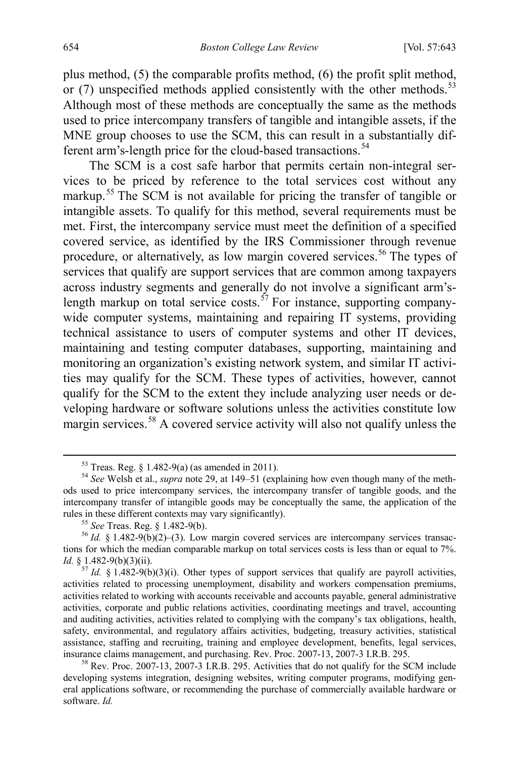plus method, (5) the comparable profits method, (6) the profit split method, or  $(7)$  unspecified methods applied consistently with the other methods.<sup>[53](#page-12-0)</sup> Although most of these methods are conceptually the same as the methods used to price intercompany transfers of tangible and intangible assets, if the MNE group chooses to use the SCM, this can result in a substantially different arm's-length price for the cloud-based transactions. [54](#page-12-1)

The SCM is a cost safe harbor that permits certain non-integral services to be priced by reference to the total services cost without any markup.<sup>[55](#page-12-2)</sup> The SCM is not available for pricing the transfer of tangible or intangible assets. To qualify for this method, several requirements must be met. First, the intercompany service must meet the definition of a specified covered service, as identified by the IRS Commissioner through revenue procedure, or alternatively, as low margin covered services.<sup>[56](#page-12-3)</sup> The types of services that qualify are support services that are common among taxpayers across industry segments and generally do not involve a significant arm's-length markup on total service costs.<sup>[57](#page-12-4)</sup> For instance, supporting companywide computer systems, maintaining and repairing IT systems, providing technical assistance to users of computer systems and other IT devices, maintaining and testing computer databases, supporting, maintaining and monitoring an organization's existing network system, and similar IT activities may qualify for the SCM. These types of activities, however, cannot qualify for the SCM to the extent they include analyzing user needs or developing hardware or software solutions unless the activities constitute low margin services.<sup>58</sup> A covered service activity will also not qualify unless the

<span id="page-12-1"></span><span id="page-12-0"></span><sup>53</sup> Treas. Reg. § 1.482-9(a) (as amended in 2011). <sup>54</sup> *See* Welsh et al., *supra* not[e 29,](#page-7-7) at 149–51 (explaining how even though many of the methods used to price intercompany services, the intercompany transfer of tangible goods, and the intercompany transfer of intangible goods may be conceptually the same, the application of the rules in these different contexts may vary significantly).<br><sup>55</sup> *See* Treas. Reg. § 1.482-9(b).<br><sup>56</sup> *Id.* § 1.482-9(b)(2)–(3). Low margin covered services are intercompany services transac-

<span id="page-12-3"></span><span id="page-12-2"></span>tions for which the median comparable markup on total services costs is less than or equal to 7%. *Id.* § 1.482-9(b)(3)(ii). *Id.* § 1.482-9(b)(3)(i). Other types of support services that qualify are payroll activities,

<span id="page-12-4"></span>activities related to processing unemployment, disability and workers compensation premiums, activities related to working with accounts receivable and accounts payable, general administrative activities, corporate and public relations activities, coordinating meetings and travel, accounting and auditing activities, activities related to complying with the company's tax obligations, health, safety, environmental, and regulatory affairs activities, budgeting, treasury activities, statistical assistance, staffing and recruiting, training and employee development, benefits, legal services, insurance claims management, and purchasing. Rev. Proc. 2007-13, 2007-3 I.R.B. 295.<br><sup>58</sup> Rev. Proc. 2007-13, 2007-3 I.R.B. 295. Activities that do not qualify for the SCM include

<span id="page-12-5"></span>developing systems integration, designing websites, writing computer programs, modifying general applications software, or recommending the purchase of commercially available hardware or software. *Id.*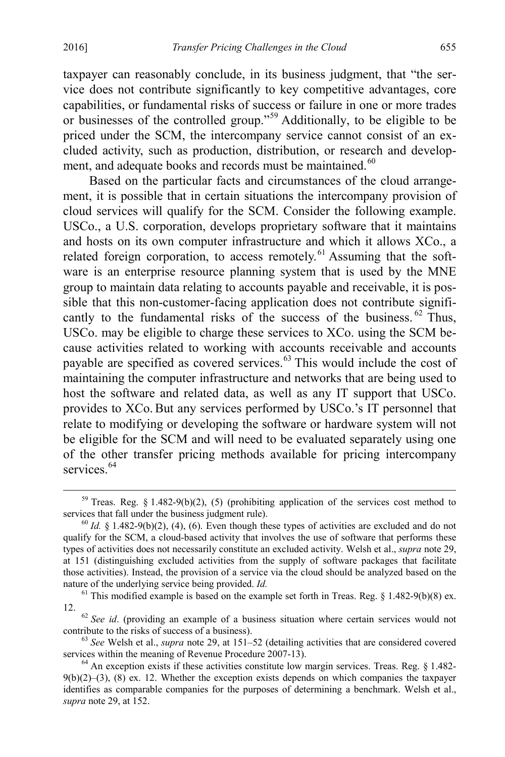taxpayer can reasonably conclude, in its business judgment, that "the service does not contribute significantly to key competitive advantages, core capabilities, or fundamental risks of success or failure in one or more trades or businesses of the controlled group."[59](#page-13-0) Additionally, to be eligible to be priced under the SCM, the intercompany service cannot consist of an excluded activity, such as production, distribution, or research and develop-ment, and adequate books and records must be maintained.<sup>[60](#page-13-1)</sup>

Based on the particular facts and circumstances of the cloud arrangement, it is possible that in certain situations the intercompany provision of cloud services will qualify for the SCM. Consider the following example. USCo., a U.S. corporation, develops proprietary software that it maintains and hosts on its own computer infrastructure and which it allows XCo., a related foreign corporation, to access remotely.<sup>[61](#page-13-2)</sup> Assuming that the software is an enterprise resource planning system that is used by the MNE group to maintain data relating to accounts payable and receivable, it is possible that this non-customer-facing application does not contribute significantly to the fundamental risks of the success of the business.  $62$  Thus, USCo. may be eligible to charge these services to XCo. using the SCM because activities related to working with accounts receivable and accounts payable are specified as covered services.<sup>[63](#page-13-4)</sup> This would include the cost of maintaining the computer infrastructure and networks that are being used to host the software and related data, as well as any IT support that USCo. provides to XCo.But any services performed by USCo.'s IT personnel that relate to modifying or developing the software or hardware system will not be eligible for the SCM and will need to be evaluated separately using one of the other transfer pricing methods available for pricing intercompany services<sup>[64](#page-13-5)</sup>

<span id="page-13-0"></span><sup>&</sup>lt;sup>59</sup> Treas. Reg. § 1.482-9(b)(2), (5) (prohibiting application of the services cost method to services that fall under the business judgment rule).<br><sup>60</sup> *Id.* § 1.482-9(b)(2), (4), (6). Even though these types of activities are excluded and do not

<span id="page-13-1"></span>qualify for the SCM, a cloud-based activity that involves the use of software that performs these types of activities does not necessarily constitute an excluded activity. Welsh et al., *supra* not[e 29,](#page-7-7) at 151 (distinguishing excluded activities from the supply of software packages that facilitate those activities). Instead, the provision of a service via the cloud should be analyzed based on the nature of the underlying service being provided. *Id.* 61 This modified example is based on the example set forth in Treas. Reg. § 1.482-9(b)(8) ex.

<span id="page-13-2"></span>

<span id="page-13-3"></span><sup>&</sup>lt;sup>62</sup> *See id.* (providing an example of a business situation where certain services would not contribute to the risks of success of a business).

<span id="page-13-4"></span> $63$  *See* Welsh et al., *supra* note [29,](#page-7-7) at 151–52 (detailing activities that are considered covered services within the meaning of Revenue Procedure 2007-13).<br><sup>64</sup> An exception exists if these activities constitute low margin services. Treas. Reg. § 1.482-

<span id="page-13-5"></span> $9(b)(2)$ – $(3)$ ,  $(8)$  ex. 12. Whether the exception exists depends on which companies the taxpayer identifies as comparable companies for the purposes of determining a benchmark. Welsh et al., *supra* not[e 29,](#page-7-7) at 152.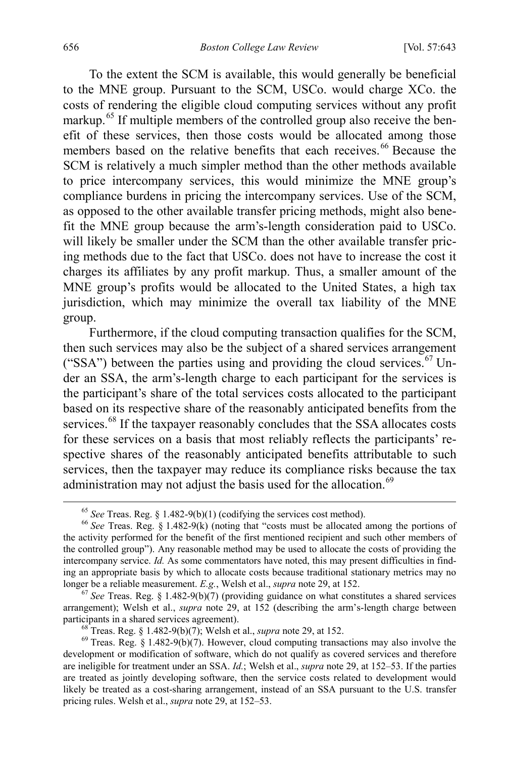To the extent the SCM is available, this would generally be beneficial to the MNE group. Pursuant to the SCM, USCo. would charge XCo. the costs of rendering the eligible cloud computing services without any profit markup.<sup>[65](#page-14-1)</sup> If multiple members of the controlled group also receive the benefit of these services, then those costs would be allocated among those members based on the relative benefits that each receives.<sup>[66](#page-14-2)</sup> Because the SCM is relatively a much simpler method than the other methods available to price intercompany services, this would minimize the MNE group's compliance burdens in pricing the intercompany services. Use of the SCM, as opposed to the other available transfer pricing methods, might also benefit the MNE group because the arm's-length consideration paid to USCo. will likely be smaller under the SCM than the other available transfer pricing methods due to the fact that USCo. does not have to increase the cost it charges its affiliates by any profit markup. Thus, a smaller amount of the MNE group's profits would be allocated to the United States, a high tax jurisdiction, which may minimize the overall tax liability of the MNE group.

Furthermore, if the cloud computing transaction qualifies for the SCM, then such services may also be the subject of a shared services arrangement ("SSA") between the parties using and providing the cloud services.<sup>[67](#page-14-3)</sup> Under an SSA, the arm's-length charge to each participant for the services is the participant's share of the total services costs allocated to the participant based on its respective share of the reasonably anticipated benefits from the services.<sup>[68](#page-14-4)</sup> If the taxpayer reasonably concludes that the SSA allocates costs for these services on a basis that most reliably reflects the participants' respective shares of the reasonably anticipated benefits attributable to such services, then the taxpayer may reduce its compliance risks because the tax administration may not adjust the basis used for the allocation.<sup>[69](#page-14-5)</sup>

<span id="page-14-0"></span>

<span id="page-14-2"></span><span id="page-14-1"></span><sup>65</sup> *See* Treas. Reg. § 1.482-9(b)(1) (codifying the services cost method). 66 *See* Treas. Reg. § 1.482-9(k) (noting that "costs must be allocated among the portions of the activity performed for the benefit of the first mentioned recipient and such other members of the controlled group"). Any reasonable method may be used to allocate the costs of providing the intercompany service. *Id.* As some commentators have noted, this may present difficulties in finding an appropriate basis by which to allocate costs because traditional stationary metrics may no longer be a reliable measurement.  $E.g.,$  Welsh et al., *supra* note 29, at 152.

<span id="page-14-3"></span> $\frac{67}{3}$  See Treas. Reg. § 1.482-9(b)(7) (providing guidance on what constitutes a shared services arrangement); Welsh et al., *supra* note [29,](#page-7-7) at 152 (describing the arm's-length charge between participants in a shared services agreement).<br><sup>68</sup> Treas. Reg. § 1.482-9(b)(7); Welsh et al., *supra* not[e 29,](#page-7-7) at 152.<br><sup>69</sup> Treas. Reg. § 1.482-9(b)(7). However, cloud computing transactions may also involve the

<span id="page-14-5"></span><span id="page-14-4"></span>development or modification of software, which do not qualify as covered services and therefore are ineligible for treatment under an SSA. *Id.*; Welsh et al., *supra* note [29,](#page-7-7) at 152–53. If the parties are treated as jointly developing software, then the service costs related to development would likely be treated as a cost-sharing arrangement, instead of an SSA pursuant to the U.S. transfer pricing rules. Welsh et al., *supra* note [29,](#page-7-7) at 152–53.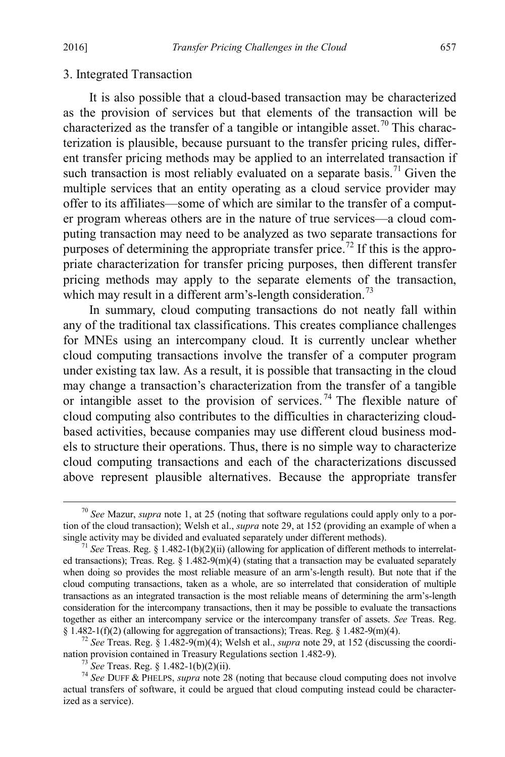#### 3. Integrated Transaction

It is also possible that a cloud-based transaction may be characterized as the provision of services but that elements of the transaction will be characterized as the transfer of a tangible or intangible asset.<sup>[70](#page-15-0)</sup> This characterization is plausible, because pursuant to the transfer pricing rules, different transfer pricing methods may be applied to an interrelated transaction if such transaction is most reliably evaluated on a separate basis.<sup>[71](#page-15-1)</sup> Given the multiple services that an entity operating as a cloud service provider may offer to its affiliates—some of which are similar to the transfer of a computer program whereas others are in the nature of true services—a cloud computing transaction may need to be analyzed as two separate transactions for purposes of determining the appropriate transfer price.<sup>[72](#page-15-2)</sup> If this is the appropriate characterization for transfer pricing purposes, then different transfer pricing methods may apply to the separate elements of the transaction, which may result in a different arm's-length consideration.<sup>[73](#page-15-3)</sup>

In summary, cloud computing transactions do not neatly fall within any of the traditional tax classifications. This creates compliance challenges for MNEs using an intercompany cloud. It is currently unclear whether cloud computing transactions involve the transfer of a computer program under existing tax law. As a result, it is possible that transacting in the cloud may change a transaction's characterization from the transfer of a tangible or intangible asset to the provision of services.<sup>[74](#page-15-4)</sup> The flexible nature of cloud computing also contributes to the difficulties in characterizing cloudbased activities, because companies may use different cloud business models to structure their operations. Thus, there is no simple way to characterize cloud computing transactions and each of the characterizations discussed above represent plausible alternatives. Because the appropriate transfer

<span id="page-15-0"></span> <sup>70</sup> *See* Mazur, *supra* not[e 1,](#page-2-0) at 25 (noting that software regulations could apply only to a portion of the cloud transaction); Welsh et al., *supra* note [29,](#page-7-7) at 152 (providing an example of when a single activity may be divided and evaluated separately under different methods).

<span id="page-15-1"></span><sup>&</sup>lt;sup>71</sup> *See* Treas. Reg. § 1.482-1(b)(2)(ii) (allowing for application of different methods to interrelated transactions); Treas. Reg.  $\S 1.482-9(m)(4)$  (stating that a transaction may be evaluated separately when doing so provides the most reliable measure of an arm's-length result). But note that if the cloud computing transactions, taken as a whole, are so interrelated that consideration of multiple transactions as an integrated transaction is the most reliable means of determining the arm's-length consideration for the intercompany transactions, then it may be possible to evaluate the transactions together as either an intercompany service or the intercompany transfer of assets. *See* Treas. Reg. § 1.482-1(f)(2) (allowing for aggregation of transactions); Treas. Reg. § 1.482-9(m)(4).

<span id="page-15-2"></span><sup>&</sup>lt;sup>72</sup> See Treas. Reg. § 1.482-9(m)(4); Welsh et al., *supra* note [29,](#page-7-7) at 152 (discussing the coordination provision contained in Treasury Regulations section 1.482-9).<br><sup>73</sup> *See* Treas. Reg. § 1.482-1(b)(2)(ii).<br><sup>74</sup> *See* DUFF & PHELPS, *supra* not[e 28](#page-7-8) (noting that because cloud computing does not involve

<span id="page-15-4"></span><span id="page-15-3"></span>actual transfers of software, it could be argued that cloud computing instead could be characterized as a service).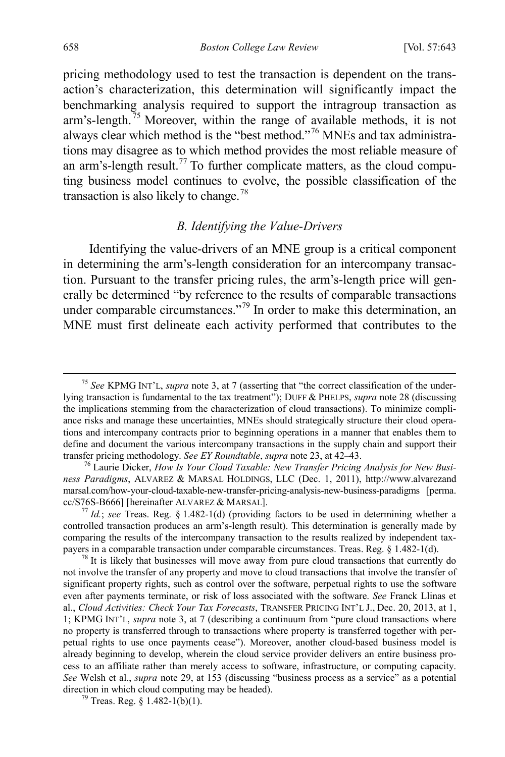pricing methodology used to test the transaction is dependent on the transaction's characterization, this determination will significantly impact the benchmarking analysis required to support the intragroup transaction as arm's-length.<sup>[75](#page-16-2)</sup> Moreover, within the range of available methods, it is not always clear which method is the "best method."[76](#page-16-3) MNEs and tax administrations may disagree as to which method provides the most reliable measure of an arm's-length result.<sup>[77](#page-16-4)</sup> To further complicate matters, as the cloud computing business model continues to evolve, the possible classification of the transaction is also likely to change.<sup>[78](#page-16-5)</sup>

# <span id="page-16-7"></span><span id="page-16-1"></span><span id="page-16-0"></span>*B. Identifying the Value-Drivers*

Identifying the value-drivers of an MNE group is a critical component in determining the arm's-length consideration for an intercompany transaction. Pursuant to the transfer pricing rules, the arm's-length price will generally be determined "by reference to the results of comparable transactions under comparable circumstances."<sup>[79](#page-16-6)</sup> In order to make this determination, an MNE must first delineate each activity performed that contributes to the

<span id="page-16-2"></span> <sup>75</sup> *See* KPMG INT'L, *supra* note [3,](#page-2-7) at 7 (asserting that "the correct classification of the underlying transaction is fundamental to the tax treatment"); DUFF & PHELPS, *supra* not[e 28](#page-7-8) (discussing the implications stemming from the characterization of cloud transactions). To minimize compliance risks and manage these uncertainties, MNEs should strategically structure their cloud operations and intercompany contracts prior to beginning operations in a manner that enables them to define and document the various intercompany transactions in the supply chain and support their transfer pricing methodology. *See EY Roundtable*, *supra* not[e 23,](#page-6-7) at 42–43. <sup>76</sup> Laurie Dicker, *How Is Your Cloud Taxable: New Transfer Pricing Analysis for New Busi-*

<span id="page-16-3"></span>*ness Paradigms*, ALVAREZ & MARSAL HOLDINGS, LLC (Dec. 1, 2011), http://www.alvarezand marsal.com/how-your-cloud-taxable-new-transfer-pricing-analysis-new-business-paradigms [perma. cc/S76S-B666] [hereinafter ALVAREZ & MARSAL]. <sup>77</sup> *Id.*; *see* Treas. Reg. § 1.482-1(d) (providing factors to be used in determining whether a

<span id="page-16-4"></span>controlled transaction produces an arm's-length result). This determination is generally made by comparing the results of the intercompany transaction to the results realized by independent taxpayers in a comparable transaction under comparable circumstances. Treas. Reg. § 1.482-1(d). <sup>78</sup> It is likely that businesses will move away from pure cloud transactions that currently do

<span id="page-16-5"></span>not involve the transfer of any property and move to cloud transactions that involve the transfer of significant property rights, such as control over the software, perpetual rights to use the software even after payments terminate, or risk of loss associated with the software. *See* Franck Llinas et al., *Cloud Activities: Check Your Tax Forecasts*, TRANSFER PRICING INT'L J., Dec. 20, 2013, at 1, 1; KPMG INT'L, *supra* note [3,](#page-2-7) at 7 (describing a continuum from "pure cloud transactions where no property is transferred through to transactions where property is transferred together with perpetual rights to use once payments cease"). Moreover, another cloud-based business model is already beginning to develop, wherein the cloud service provider delivers an entire business process to an affiliate rather than merely access to software, infrastructure, or computing capacity. *See* Welsh et al., *supra* note [29,](#page-7-7) at 153 (discussing "business process as a service" as a potential direction in which cloud computing may be headed).<br><sup>79</sup> Treas. Reg. § 1.482-1(b)(1).

<span id="page-16-6"></span>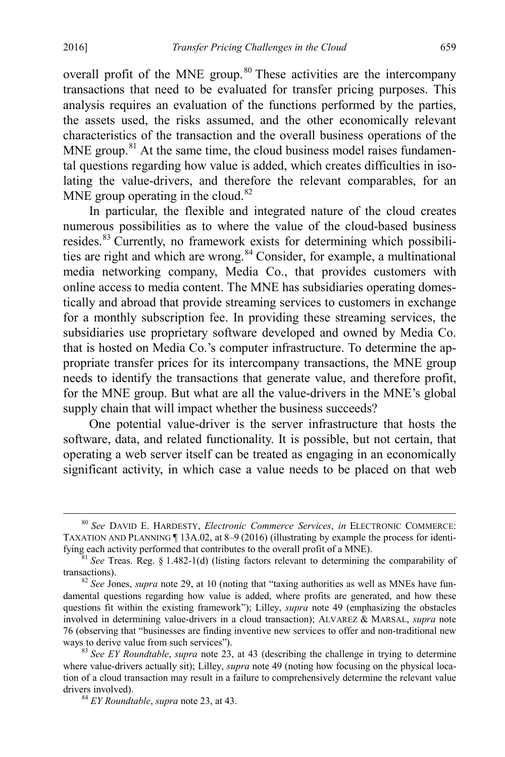<span id="page-17-5"></span>overall profit of the MNE group.<sup>[80](#page-17-0)</sup> These activities are the intercompany transactions that need to be evaluated for transfer pricing purposes. This analysis requires an evaluation of the functions performed by the parties, the assets used, the risks assumed, and the other economically relevant characteristics of the transaction and the overall business operations of the MNE group.<sup>[81](#page-17-1)</sup> At the same time, the cloud business model raises fundamental questions regarding how value is added, which creates difficulties in isolating the value-drivers, and therefore the relevant comparables, for an MNE group operating in the cloud. $82$ 

In particular, the flexible and integrated nature of the cloud creates numerous possibilities as to where the value of the cloud-based business resides.[83](#page-17-3) Currently, no framework exists for determining which possibili-ties are right and which are wrong.<sup>[84](#page-17-4)</sup> Consider, for example, a multinational media networking company, Media Co., that provides customers with online access to media content. The MNE has subsidiaries operating domestically and abroad that provide streaming services to customers in exchange for a monthly subscription fee. In providing these streaming services, the subsidiaries use proprietary software developed and owned by Media Co. that is hosted on Media Co.'s computer infrastructure. To determine the appropriate transfer prices for its intercompany transactions, the MNE group needs to identify the transactions that generate value, and therefore profit, for the MNE group. But what are all the value-drivers in the MNE's global supply chain that will impact whether the business succeeds?

One potential value-driver is the server infrastructure that hosts the software, data, and related functionality. It is possible, but not certain, that operating a web server itself can be treated as engaging in an economically significant activity, in which case a value needs to be placed on that web

<span id="page-17-0"></span> <sup>80</sup> *See* DAVID E. HARDESTY, *Electronic Commerce Services*, *in* ELECTRONIC COMMERCE: TAXATION AND PLANNING ¶ 13A.02, at 8–9 (2016) (illustrating by example the process for identi-

<span id="page-17-1"></span>fying each activity performed that contributes to the overall profit of a MNE).<br><sup>81</sup> *See* Treas. Reg. § 1.482-1(d) (listing factors relevant to determining the comparability of transactions).

<span id="page-17-2"></span> $82$  *See Jones, supra* not[e 29,](#page-7-7) at 10 (noting that "taxing authorities as well as MNEs have fundamental questions regarding how value is added, where profits are generated, and how these questions fit within the existing framework"); Lilley, *supra* note [49](#page-11-6) (emphasizing the obstacles involved in determining value-drivers in a cloud transaction); ALVAREZ & MARSAL, *supra* note [76](#page-16-7) (observing that "businesses are finding inventive new services to offer and non-traditional new

<span id="page-17-4"></span><span id="page-17-3"></span><sup>&</sup>lt;sup>83</sup> See EY Roundtable, *supra* note [23,](#page-6-7) at 43 (describing the challenge in trying to determine where value-drivers actually sit); Lilley, *supra* not[e 49](#page-11-6) (noting how focusing on the physical location of a cloud transaction may result in a failure to comprehensively determine the relevant value drivers involved). 84 *EY Roundtable*, *supra* not[e 23,](#page-6-7) at 43.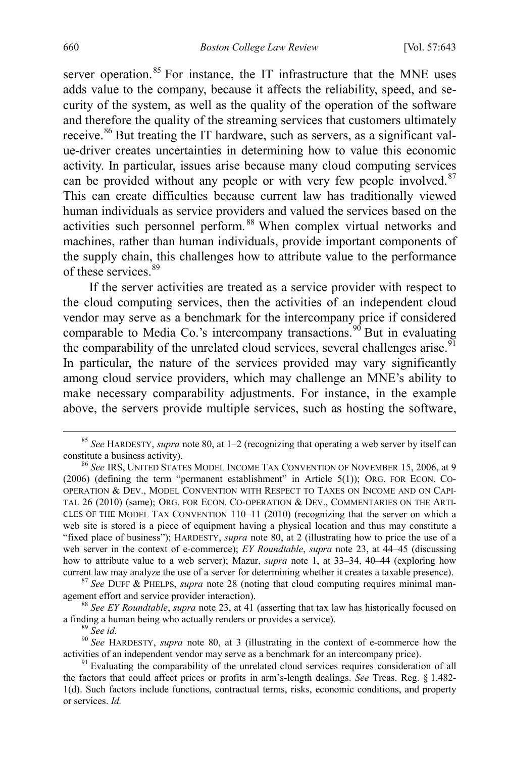server operation.<sup>[85](#page-18-0)</sup> For instance, the IT infrastructure that the MNE uses adds value to the company, because it affects the reliability, speed, and security of the system, as well as the quality of the operation of the software and therefore the quality of the streaming services that customers ultimately receive.<sup>[86](#page-18-1)</sup> But treating the IT hardware, such as servers, as a significant value-driver creates uncertainties in determining how to value this economic activity. In particular, issues arise because many cloud computing services can be provided without any people or with very few people involved. $87$ This can create difficulties because current law has traditionally viewed human individuals as service providers and valued the services based on the activities such personnel perform. [88](#page-18-3) When complex virtual networks and machines, rather than human individuals, provide important components of the supply chain, this challenges how to attribute value to the performance of these services.<sup>[89](#page-18-4)</sup>

If the server activities are treated as a service provider with respect to the cloud computing services, then the activities of an independent cloud vendor may serve as a benchmark for the intercompany price if considered comparable to Media Co.'s intercompany transactions.<sup>[90](#page-18-5)</sup> But in evaluating the comparability of the unrelated cloud services, several challenges arise.<sup>[91](#page-18-6)</sup> In particular, the nature of the services provided may vary significantly among cloud service providers, which may challenge an MNE's ability to make necessary comparability adjustments. For instance, in the example above, the servers provide multiple services, such as hosting the software,

<span id="page-18-0"></span><sup>&</sup>lt;sup>85</sup> *See* HARDESTY, *supra* not[e 80,](#page-17-5) at 1–2 (recognizing that operating a web server by itself can constitute a business activity).

<span id="page-18-1"></span><sup>&</sup>lt;sup>86</sup> See IRS, UNITED STATES MODEL INCOME TAX CONVENTION OF NOVEMBER 15, 2006, at 9 (2006) (defining the term "permanent establishment" in Article 5(1)); ORG. FOR ECON. CO-OPERATION & DEV., MODEL CONVENTION WITH RESPECT TO TAXES ON INCOME AND ON CAPI-TAL 26 (2010) (same); ORG. FOR ECON. CO-OPERATION & DEV., COMMENTARIES ON THE ARTI-CLES OF THE MODEL TAX CONVENTION 110–11 (2010) (recognizing that the server on which a web site is stored is a piece of equipment having a physical location and thus may constitute a "fixed place of business"); HARDESTY, *supra* not[e 80,](#page-17-5) at 2 (illustrating how to price the use of a web server in the context of e-commerce); *EY Roundtable*, *supra* note [23,](#page-6-7) at 44–45 (discussing how to attribute value to a web server); Mazur, *supra* note [1,](#page-2-0) at 33–34, 40–44 (exploring how current law may analyze the use of a server for determining whether it creates a taxable presence).

<span id="page-18-2"></span><sup>&</sup>lt;sup>87</sup> See DUFF & PHELPS, *supra* note [28](#page-7-8) (noting that cloud computing requires minimal management effort and service provider interaction).

<span id="page-18-3"></span><sup>&</sup>lt;sup>88</sup> See EY Roundtable, *supra* note [23,](#page-6-7) at 41 (asserting that tax law has historically focused on a finding a human being who actually renders or provides a service).<br><sup>89</sup> *See id.* 90 *See* HARDESTY, *supra* note [80,](#page-17-5) at 3 (illustrating in the context of e-commerce how the

<span id="page-18-5"></span><span id="page-18-4"></span>activities of an independent vendor may serve as a benchmark for an intercompany price).<br><sup>91</sup> Evaluating the comparability of the unrelated cloud services requires consideration of all

<span id="page-18-6"></span>the factors that could affect prices or profits in arm's-length dealings. *See* Treas. Reg. § 1.482- 1(d). Such factors include functions, contractual terms, risks, economic conditions, and property or services. *Id.*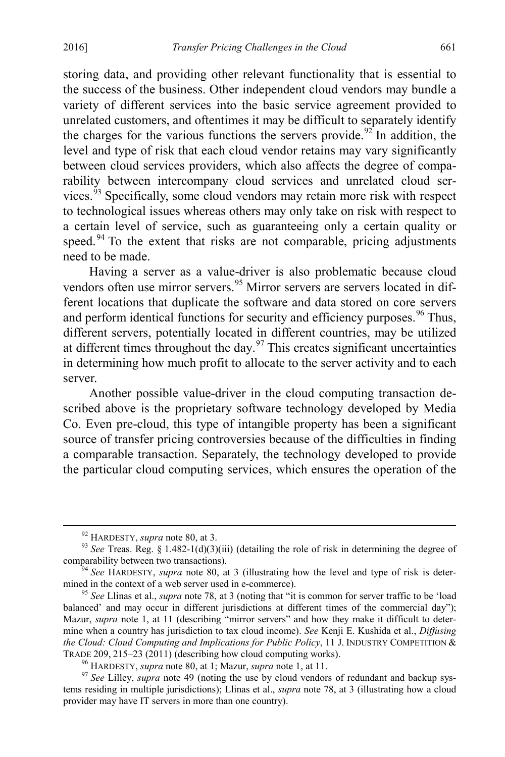storing data, and providing other relevant functionality that is essential to the success of the business. Other independent cloud vendors may bundle a variety of different services into the basic service agreement provided to unrelated customers, and oftentimes it may be difficult to separately identify the charges for the various functions the servers provide.<sup>[92](#page-19-0)</sup> In addition, the level and type of risk that each cloud vendor retains may vary significantly between cloud services providers, which also affects the degree of comparability between intercompany cloud services and unrelated cloud ser-vices.<sup>[93](#page-19-1)</sup> Specifically, some cloud vendors may retain more risk with respect to technological issues whereas others may only take on risk with respect to a certain level of service, such as guaranteeing only a certain quality or speed.<sup>[94](#page-19-2)</sup> To the extent that risks are not comparable, pricing adjustments need to be made.

<span id="page-19-6"></span>Having a server as a value-driver is also problematic because cloud vendors often use mirror servers.<sup>[95](#page-19-3)</sup> Mirror servers are servers located in different locations that duplicate the software and data stored on core servers and perform identical functions for security and efficiency purposes.  $96$  Thus, different servers, potentially located in different countries, may be utilized at different times throughout the day. $97$  This creates significant uncertainties in determining how much profit to allocate to the server activity and to each server.

Another possible value-driver in the cloud computing transaction described above is the proprietary software technology developed by Media Co. Even pre-cloud, this type of intangible property has been a significant source of transfer pricing controversies because of the difficulties in finding a comparable transaction. Separately, the technology developed to provide the particular cloud computing services, which ensures the operation of the

<span id="page-19-1"></span><span id="page-19-0"></span><sup>&</sup>lt;sup>92</sup> HARDESTY, *supra* not[e 80,](#page-17-5) at 3.<br><sup>93</sup> *See* Treas. Reg. § 1.482-1(d)(3)(iii) (detailing the role of risk in determining the degree of comparability between two transactions).

<span id="page-19-2"></span><sup>&</sup>lt;sup>54</sup> *See* HARDESTY, *supra* note [80,](#page-17-5) at 3 (illustrating how the level and type of risk is deter-<br>mined in the context of a web server used in e-commerce).

<span id="page-19-3"></span><sup>&</sup>lt;sup>95</sup> *See Llinas et al., <i>supra* note [78,](#page-16-1) at 3 (noting that "it is common for server traffic to be 'load balanced' and may occur in different jurisdictions at different times of the commercial day"); Mazur, *supra* note [1,](#page-2-0) at 11 (describing "mirror servers" and how they make it difficult to determine when a country has jurisdiction to tax cloud income). *See* Kenji E. Kushida et al., *Diffusing the Cloud: Cloud Computing and Implications for Public Policy*, 11 J. INDUSTRY COMPETITION & TRADE 209, 215–23 (2011) (describing how cloud computing works).<br><sup>96</sup> HARDESTY, *supra* not[e 80,](#page-17-5) at 1; Mazur, *supra* note [1,](#page-2-0) at 11.<br><sup>97</sup> See Lilley, *supra* note [49](#page-11-6) (noting the use by cloud vendors of redundant and backu

<span id="page-19-5"></span><span id="page-19-4"></span>tems residing in multiple jurisdictions); Llinas et al., *supra* note [78,](#page-16-1) at 3 (illustrating how a cloud provider may have IT servers in more than one country).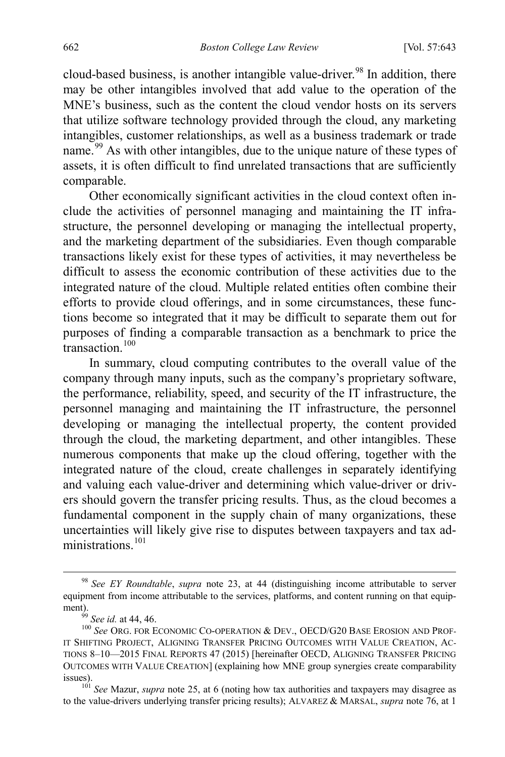cloud-based business, is another intangible value-driver.<sup>[98](#page-20-0)</sup> In addition, there may be other intangibles involved that add value to the operation of the MNE's business, such as the content the cloud vendor hosts on its servers that utilize software technology provided through the cloud, any marketing intangibles, customer relationships, as well as a business trademark or trade name.<sup>[99](#page-20-1)</sup> As with other intangibles, due to the unique nature of these types of assets, it is often difficult to find unrelated transactions that are sufficiently comparable.

Other economically significant activities in the cloud context often include the activities of personnel managing and maintaining the IT infrastructure, the personnel developing or managing the intellectual property, and the marketing department of the subsidiaries. Even though comparable transactions likely exist for these types of activities, it may nevertheless be difficult to assess the economic contribution of these activities due to the integrated nature of the cloud. Multiple related entities often combine their efforts to provide cloud offerings, and in some circumstances, these functions become so integrated that it may be difficult to separate them out for purposes of finding a comparable transaction as a benchmark to price the  $\frac{1}{100}$  $\frac{1}{100}$  $\frac{1}{100}$  transaction<sup>100</sup>

<span id="page-20-4"></span>In summary, cloud computing contributes to the overall value of the company through many inputs, such as the company's proprietary software, the performance, reliability, speed, and security of the IT infrastructure, the personnel managing and maintaining the IT infrastructure, the personnel developing or managing the intellectual property, the content provided through the cloud, the marketing department, and other intangibles. These numerous components that make up the cloud offering, together with the integrated nature of the cloud, create challenges in separately identifying and valuing each value-driver and determining which value-driver or drivers should govern the transfer pricing results. Thus, as the cloud becomes a fundamental component in the supply chain of many organizations, these uncertainties will likely give rise to disputes between taxpayers and tax administrations. [101](#page-20-3)

<span id="page-20-5"></span><span id="page-20-0"></span> <sup>98</sup> *See EY Roundtable*, *supra* note [23,](#page-6-7) at 44 (distinguishing income attributable to server equipment from income attributable to the services, platforms, and content running on that equipment).

<span id="page-20-2"></span><span id="page-20-1"></span><sup>&</sup>lt;sup>39</sup> See id. at 44, 46.<br><sup>100</sup> See Org. for Economic Co-operation & Dev., OECD/G20 Base Erosion and Prof-IT SHIFTING PROJECT, ALIGNING TRANSFER PRICING OUTCOMES WITH VALUE CREATION, AC-TIONS 8–10—2015 FINAL REPORTS 47 (2015) [hereinafter OECD, ALIGNING TRANSFER PRICING OUTCOMES WITH VALUE CREATION] (explaining how MNE group synergies create comparability issues).

<span id="page-20-3"></span><sup>&</sup>lt;sup>101</sup> *See* Mazur, *supra* not[e 25,](#page-7-0) at 6 (noting how tax authorities and taxpayers may disagree as to the value-drivers underlying transfer pricing results); ALVAREZ & MARSAL, *supra* not[e 76,](#page-16-7) at 1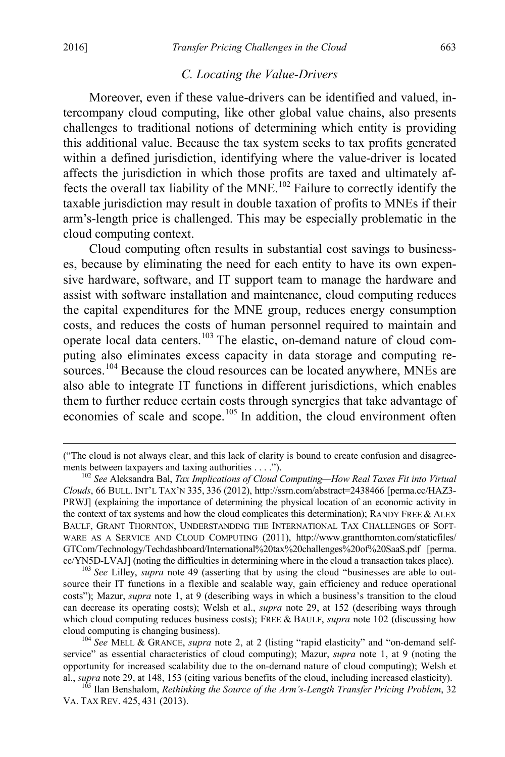#### <span id="page-21-0"></span>*C. Locating the Value-Drivers*

Moreover, even if these value-drivers can be identified and valued, intercompany cloud computing, like other global value chains, also presents challenges to traditional notions of determining which entity is providing this additional value. Because the tax system seeks to tax profits generated within a defined jurisdiction, identifying where the value-driver is located affects the jurisdiction in which those profits are taxed and ultimately affects the overall tax liability of the MNE.<sup>102</sup> Failure to correctly identify the taxable jurisdiction may result in double taxation of profits to MNEs if their arm's-length price is challenged. This may be especially problematic in the cloud computing context.

Cloud computing often results in substantial cost savings to businesses, because by eliminating the need for each entity to have its own expensive hardware, software, and IT support team to manage the hardware and assist with software installation and maintenance, cloud computing reduces the capital expenditures for the MNE group, reduces energy consumption costs, and reduces the costs of human personnel required to maintain and operate local data centers.[103](#page-21-2) The elastic, on-demand nature of cloud computing also eliminates excess capacity in data storage and computing re-sources.<sup>[104](#page-21-3)</sup> Because the cloud resources can be located anywhere, MNEs are also able to integrate IT functions in different jurisdictions, which enables them to further reduce certain costs through synergies that take advantage of economies of scale and scope.<sup>[105](#page-21-4)</sup> In addition, the cloud environment often

<span id="page-21-5"></span> <sup>(&</sup>quot;The cloud is not always clear, and this lack of clarity is bound to create confusion and disagreements between taxpayers and taxing authorities . . . .").<br><sup>102</sup> *See* Aleksandra Bal, *Tax Implications of Cloud Computing—How Real Taxes Fit into Virtual* 

<span id="page-21-1"></span>*Clouds*, 66 BULL. INT'L TAX'N 335, 336 (2012), http://ssrn.com/abstract=2438466 [perma.cc/HAZ3- PRWJ] (explaining the importance of determining the physical location of an economic activity in the context of tax systems and how the cloud complicates this determination); RANDY FREE  $& ALEX$ BAULF, GRANT THORNTON, UNDERSTANDING THE INTERNATIONAL TAX CHALLENGES OF SOFT-WARE AS A SERVICE AND CLOUD COMPUTING (2011), http://www.grantthornton.com/staticfiles/ GTCom/Technology/Techdashboard/International%20tax%20challenges%20of%20SaaS.pdf [perma. cc/YN5D-LVAJ] (noting the difficulties in determining where in the cloud a transaction takes place). <sup>103</sup> *See* Lilley, *supra* note [49](#page-11-6) (asserting that by using the cloud "businesses are able to out-

<span id="page-21-2"></span>source their IT functions in a flexible and scalable way, gain efficiency and reduce operational costs"); Mazur, *supra* note [1,](#page-2-0) at 9 (describing ways in which a business's transition to the cloud can decrease its operating costs); Welsh et al., *supra* note [29,](#page-7-7) at 152 (describing ways through which cloud computing reduces business costs); FREE & BAULF, *supra* note [102](#page-21-0) (discussing how cloud computing is changing business). 104 *See* MELL & GRANCE, *supra* note [2,](#page-2-8) at 2 (listing "rapid elasticity" and "on-demand self-

<span id="page-21-3"></span>service" as essential characteristics of cloud computing); Mazur, *supra* note [1,](#page-2-0) at 9 (noting the opportunity for increased scalability due to the on-demand nature of cloud computing); Welsh et

<span id="page-21-4"></span>al., *supra* note [29,](#page-7-7) at 148, 153 (citing various benefits of the cloud, including increased elasticity). <sup>105</sup> Ilan Benshalom, *Rethinking the Source of the Arm's-Length Transfer Pricing Problem*, 32 VA. TAX REV. 425, 431 (2013).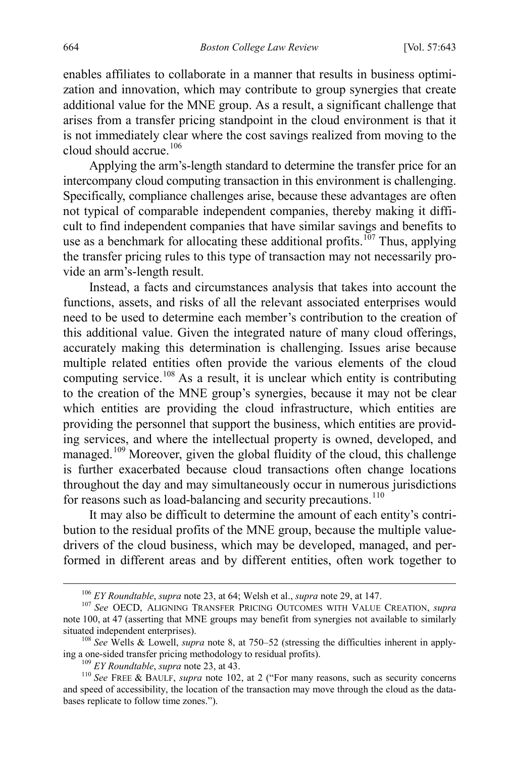enables affiliates to collaborate in a manner that results in business optimization and innovation, which may contribute to group synergies that create additional value for the MNE group. As a result, a significant challenge that arises from a transfer pricing standpoint in the cloud environment is that it is not immediately clear where the cost savings realized from moving to the cloud should accrue.[106](#page-22-0)

Applying the arm's-length standard to determine the transfer price for an intercompany cloud computing transaction in this environment is challenging. Specifically, compliance challenges arise, because these advantages are often not typical of comparable independent companies, thereby making it difficult to find independent companies that have similar savings and benefits to use as a benchmark for allocating these additional profits.<sup>[107](#page-22-1)</sup> Thus, applying the transfer pricing rules to this type of transaction may not necessarily provide an arm's-length result.

Instead, a facts and circumstances analysis that takes into account the functions, assets, and risks of all the relevant associated enterprises would need to be used to determine each member's contribution to the creation of this additional value. Given the integrated nature of many cloud offerings, accurately making this determination is challenging. Issues arise because multiple related entities often provide the various elements of the cloud computing service.<sup>[108](#page-22-2)</sup> As a result, it is unclear which entity is contributing to the creation of the MNE group's synergies, because it may not be clear which entities are providing the cloud infrastructure, which entities are providing the personnel that support the business, which entities are providing services, and where the intellectual property is owned, developed, and managed.<sup>[109](#page-22-3)</sup> Moreover, given the global fluidity of the cloud, this challenge is further exacerbated because cloud transactions often change locations throughout the day and may simultaneously occur in numerous jurisdictions for reasons such as load-balancing and security precautions.<sup>[110](#page-22-4)</sup>

It may also be difficult to determine the amount of each entity's contribution to the residual profits of the MNE group, because the multiple valuedrivers of the cloud business, which may be developed, managed, and performed in different areas and by different entities, often work together to

<span id="page-22-1"></span><span id="page-22-0"></span><sup>106</sup> *EY Roundtable*, *supra* note [23,](#page-6-7) at 64; Welsh et al., *supra* note [29,](#page-7-7) at 147. <sup>107</sup> *See* OECD, ALIGNING TRANSFER PRICING OUTCOMES WITH VALUE CREATION, *supra* note [100,](#page-20-4) at 47 (asserting that MNE groups may benefit from synergies not available to similarly

<span id="page-22-2"></span><sup>&</sup>lt;sup>108</sup> *See* Wells & Lowell, *supra* note [8,](#page-3-4) at 750–52 (stressing the difficulties inherent in applying a one-sided transfer pricing methodology to residual profits).

<span id="page-22-4"></span><span id="page-22-3"></span><sup>&</sup>lt;sup>109</sup> *EY Roundtable, supra* note [23,](#page-6-7) at 43. 110 *See FREE & BAULF, <i>supra* note [102,](#page-21-0) at 2 ("For many reasons, such as security concerns and speed of accessibility, the location of the transaction may move through the cloud as the databases replicate to follow time zones.").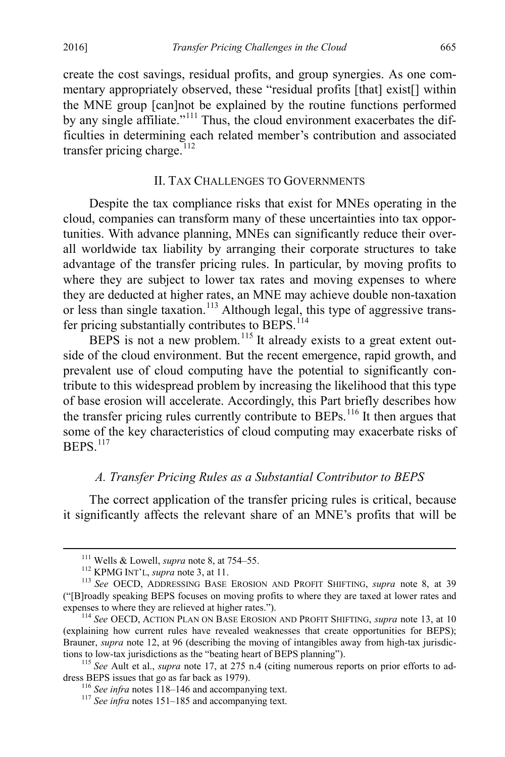create the cost savings, residual profits, and group synergies. As one commentary appropriately observed, these "residual profits [that] exist[] within the MNE group [can]not be explained by the routine functions performed by any single affiliate."<sup>[111](#page-23-2)</sup> Thus, the cloud environment exacerbates the difficulties in determining each related member's contribution and associated transfer pricing charge.<sup>[112](#page-23-3)</sup>

## <span id="page-23-1"></span><span id="page-23-0"></span>II. TAX CHALLENGES TO GOVERNMENTS

Despite the tax compliance risks that exist for MNEs operating in the cloud, companies can transform many of these uncertainties into tax opportunities. With advance planning, MNEs can significantly reduce their overall worldwide tax liability by arranging their corporate structures to take advantage of the transfer pricing rules. In particular, by moving profits to where they are subject to lower tax rates and moving expenses to where they are deducted at higher rates, an MNE may achieve double non-taxation or less than single taxation.<sup>[113](#page-23-4)</sup> Although legal, this type of aggressive trans-fer pricing substantially contributes to BEPS.<sup>[114](#page-23-5)</sup>

BEPS is not a new problem.<sup>[115](#page-23-6)</sup> It already exists to a great extent outside of the cloud environment. But the recent emergence, rapid growth, and prevalent use of cloud computing have the potential to significantly contribute to this widespread problem by increasing the likelihood that this type of base erosion will accelerate. Accordingly, this Part briefly describes how the transfer pricing rules currently contribute to BEPs.<sup>[116](#page-23-7)</sup> It then argues that some of the key characteristics of cloud computing may exacerbate risks of BEPS.<sup>[117](#page-23-8)</sup>

# *A. Transfer Pricing Rules as a Substantial Contributor to BEPS*

The correct application of the transfer pricing rules is critical, because it significantly affects the relevant share of an MNE's profits that will be

<span id="page-23-4"></span><span id="page-23-3"></span><span id="page-23-2"></span><sup>111</sup> Wells & Lowell, *supra* not[e 8,](#page-3-4) at 754–55.<br><sup>112</sup> KPMG INT'L, *supra* not[e 3,](#page-2-7) at 11.<br><sup>113</sup> *See* OECD, ADDRESSING BASE EROSION AND PROFIT SHIFTING, *supra* note [8,](#page-3-4) at 39 ("[B]roadly speaking BEPS focuses on moving profits to where they are taxed at lower rates and expenses to where they are relieved at higher rates.").<br><sup>114</sup> *See* OECD, ACTION PLAN ON BASE EROSION AND PROFIT SHIFTING, *supra* note [13,](#page-4-0) at 10

<span id="page-23-5"></span><sup>(</sup>explaining how current rules have revealed weaknesses that create opportunities for BEPS); Brauner, *supra* note [12,](#page-4-6) at 96 (describing the moving of intangibles away from high-tax jurisdic-

<span id="page-23-8"></span><span id="page-23-7"></span><span id="page-23-6"></span>tions to low-tax jurisdictions as the "beating heart of BEPS planning").<br><sup>115</sup> *See* Ault et al., *supra* note [17,](#page-5-2) at 275 n.4 (citing numerous reports on prior efforts to ad-<br>dress BEPS issues that go as far back as 1979).

<sup>&</sup>lt;sup>116</sup> *See infra* notes  $\frac{118-146}{117}$  $\frac{118-146}{117}$  $\frac{118-146}{117}$  *See infra* notes [151–](#page-29-0)[185](#page-36-0) and accompanying text.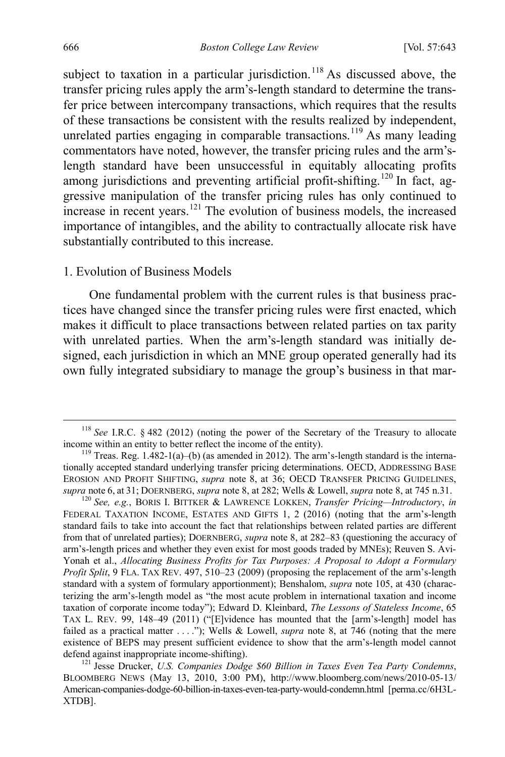<span id="page-24-0"></span>subject to taxation in a particular jurisdiction.<sup>[118](#page-24-1)</sup> As discussed above, the transfer pricing rules apply the arm's-length standard to determine the transfer price between intercompany transactions, which requires that the results of these transactions be consistent with the results realized by independent, unrelated parties engaging in comparable transactions.<sup>[119](#page-24-2)</sup> As many leading commentators have noted, however, the transfer pricing rules and the arm'slength standard have been unsuccessful in equitably allocating profits among jurisdictions and preventing artificial profit-shifting.<sup>[120](#page-24-3)</sup> In fact, aggressive manipulation of the transfer pricing rules has only continued to increase in recent years.<sup>[121](#page-24-4)</sup> The evolution of business models, the increased importance of intangibles, and the ability to contractually allocate risk have substantially contributed to this increase.

#### <span id="page-24-6"></span><span id="page-24-5"></span>1. Evolution of Business Models

One fundamental problem with the current rules is that business practices have changed since the transfer pricing rules were first enacted, which makes it difficult to place transactions between related parties on tax parity with unrelated parties. When the arm's-length standard was initially designed, each jurisdiction in which an MNE group operated generally had its own fully integrated subsidiary to manage the group's business in that mar-

<span id="page-24-1"></span><sup>&</sup>lt;sup>118</sup> *See* I.R.C. § 482 (2012) (noting the power of the Secretary of the Treasury to allocate income within an entity to better reflect the income of the entity).

<span id="page-24-2"></span><sup>&</sup>lt;sup>119</sup> Treas. Reg. 1.482-1(a)–(b) (as amended in 2012). The arm's-length standard is the internationally accepted standard underlying transfer pricing determinations. OECD, ADDRESSING BASE EROSION AND PROFIT SHIFTING, *supra* note [8,](#page-3-4) at 36; OECD TRANSFER PRICING GUIDELINES, *supra* note [6,](#page-2-9) at 31; DOERNBERG, *supra* note [8,](#page-3-4) at 282; Wells & Lowell, *supra* not[e 8,](#page-3-4) at 745 n.31. <sup>120</sup> *See, e.g.*, BORIS I. BITTKER & LAWRENCE LOKKEN, *Transfer Pricing—Introductory*, *in* 

<span id="page-24-3"></span>FEDERAL TAXATION INCOME, ESTATES AND GIFTS 1, 2 (2016) (noting that the arm's-length standard fails to take into account the fact that relationships between related parties are different from that of unrelated parties); DOERNBERG, *supra* not[e 8,](#page-3-4) at 282–83 (questioning the accuracy of arm's-length prices and whether they even exist for most goods traded by MNEs); Reuven S. Avi-Yonah et al., *Allocating Business Profits for Tax Purposes: A Proposal to Adopt a Formulary Profit Split*, 9 FLA. TAX REV. 497, 510–23 (2009) (proposing the replacement of the arm's-length standard with a system of formulary apportionment); Benshalom, *supra* note [105,](#page-21-5) at 430 (characterizing the arm's-length model as "the most acute problem in international taxation and income taxation of corporate income today"); Edward D. Kleinbard, *The Lessons of Stateless Income*, 65 TAX L. REV. 99, 148–49 (2011) ("[E]vidence has mounted that the [arm's-length] model has failed as a practical matter . . . ."); Wells & Lowell, *supra* note [8,](#page-3-4) at 746 (noting that the mere existence of BEPS may present sufficient evidence to show that the arm's-length model cannot

<span id="page-24-4"></span>defend against inappropriate income-shifting).<br><sup>121</sup> Jesse Drucker, *U.S. Companies Dodge \$60 Billion in Taxes Even Tea Party Condemns*, BLOOMBERG NEWS (May 13, 2010, 3:00 PM), http://www.bloomberg.com/news/2010-05-13/ American-companies-dodge-60-billion-in-taxes-even-tea-party-would-condemn.html [perma.cc/6H3L-XTDB].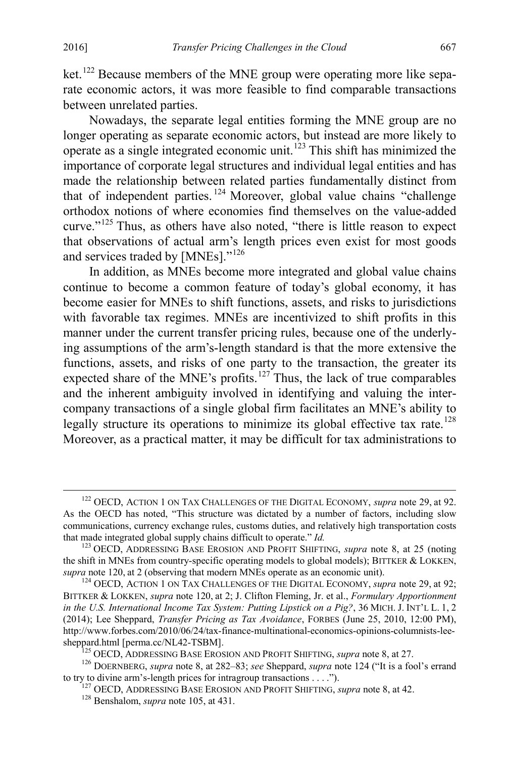<span id="page-25-8"></span>ket.<sup>[122](#page-25-1)</sup> Because members of the MNE group were operating more like separate economic actors, it was more feasible to find comparable transactions between unrelated parties.

<span id="page-25-0"></span>Nowadays, the separate legal entities forming the MNE group are no longer operating as separate economic actors, but instead are more likely to operate as a single integrated economic unit. [123](#page-25-2) This shift has minimized the importance of corporate legal structures and individual legal entities and has made the relationship between related parties fundamentally distinct from that of independent parties. [124](#page-25-3) Moreover, global value chains "challenge orthodox notions of where economies find themselves on the value-added curve."<sup>125</sup> Thus, as others have also noted, "there is little reason to expect that observations of actual arm's length prices even exist for most goods and services traded by [MNEs]."<sup>[126](#page-25-5)</sup>

In addition, as MNEs become more integrated and global value chains continue to become a common feature of today's global economy, it has become easier for MNEs to shift functions, assets, and risks to jurisdictions with favorable tax regimes. MNEs are incentivized to shift profits in this manner under the current transfer pricing rules, because one of the underlying assumptions of the arm's-length standard is that the more extensive the functions, assets, and risks of one party to the transaction, the greater its expected share of the MNE's profits.<sup>[127](#page-25-6)</sup> Thus, the lack of true comparables and the inherent ambiguity involved in identifying and valuing the intercompany transactions of a single global firm facilitates an MNE's ability to legally structure its operations to minimize its global effective tax rate.<sup>[128](#page-25-7)</sup> Moreover, as a practical matter, it may be difficult for tax administrations to

<span id="page-25-1"></span> <sup>122</sup> OECD, ACTION 1 ON TAX CHALLENGES OF THE DIGITAL ECONOMY, *supra* not[e 29,](#page-7-7) at 92. As the OECD has noted, "This structure was dictated by a number of factors, including slow communications, currency exchange rules, customs duties, and relatively high transportation costs that made integrated global supply chains difficult to operate." *Id.* <sup>123</sup> OECD, ADDRESSING BASE EROSION AND PROFIT SHIFTING, *supra* note [8,](#page-3-4) at 25 (noting

<span id="page-25-2"></span>the shift in MNEs from country-specific operating models to global models); BITTKER & LOKKEN, *supra* not[e 120,](#page-24-5) at 2 (observing that modern MNEs operate as an economic unit).<br><sup>124</sup> OECD, ACTION 1 ON TAX CHALLENGES OF THE DIGITAL ECONOMY, *supra* note [29,](#page-7-7) at 92;

<span id="page-25-3"></span>BITTKER & LOKKEN, *supra* not[e 120,](#page-24-5) at 2; J. Clifton Fleming, Jr. et al., *Formulary Apportionment in the U.S. International Income Tax System: Putting Lipstick on a Pig?*, 36 MICH. J. INT'L L. 1, 2 (2014); Lee Sheppard, *Transfer Pricing as Tax Avoidance*, FORBES (June 25, 2010, 12:00 PM), http://www.forbes.com/2010/06/24/tax-finance-multinational-economics-opinions-columnists-lee-<br>sheppard.html [perma.cc/NL42-TSBM].

<span id="page-25-7"></span><span id="page-25-6"></span><span id="page-25-5"></span><span id="page-25-4"></span><sup>&</sup>lt;sup>125</sup> OECD, ADDRESSING BASE EROSION AND PROFIT SHIFTING, *supra* not[e 8,](#page-3-4) at 27.<br><sup>126</sup> DOERNBERG, *supra* note [8,](#page-3-4) at 282–83; *see* Sheppard, *supra* note [124](#page-25-0) ("It is a fool's errand to try to divine arm's-length prices for

<sup>&</sup>lt;sup>127</sup> OECD, ADDRESSING BASE EROSION AND PROFIT SHIFTING, *supra* not[e 8,](#page-3-4) at 42.  $128$  Benshalom. *supra* note [105,](#page-21-5) at 431.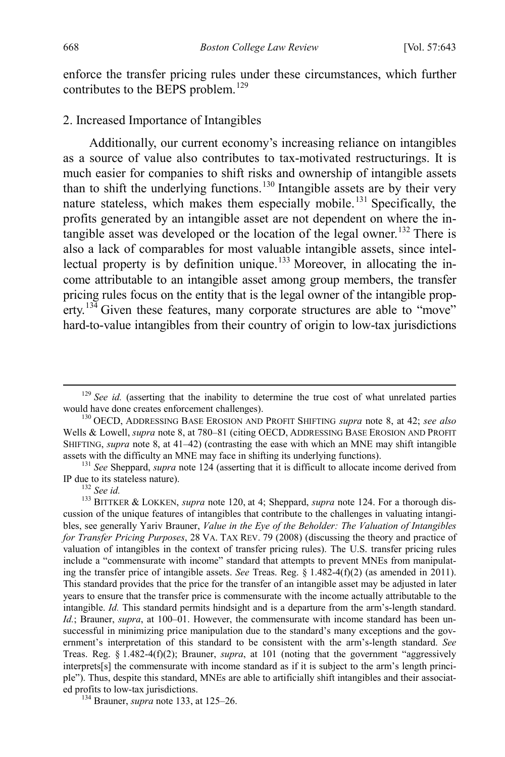<span id="page-26-8"></span>enforce the transfer pricing rules under these circumstances, which further contributes to the BEPS problem.<sup>[129](#page-26-1)</sup>

#### 2. Increased Importance of Intangibles

<span id="page-26-7"></span><span id="page-26-0"></span>Additionally, our current economy's increasing reliance on intangibles as a source of value also contributes to tax-motivated restructurings. It is much easier for companies to shift risks and ownership of intangible assets than to shift the underlying functions. [130](#page-26-2) Intangible assets are by their very nature stateless, which makes them especially mobile.<sup>[131](#page-26-3)</sup> Specifically, the profits generated by an intangible asset are not dependent on where the in-tangible asset was developed or the location of the legal owner.<sup>[132](#page-26-4)</sup> There is also a lack of comparables for most valuable intangible assets, since intel-lectual property is by definition unique.<sup>[133](#page-26-5)</sup> Moreover, in allocating the income attributable to an intangible asset among group members, the transfer pricing rules focus on the entity that is the legal owner of the intangible prop-erty.<sup>[134](#page-26-6)</sup> Given these features, many corporate structures are able to "move" hard-to-value intangibles from their country of origin to low-tax jurisdictions

<span id="page-26-6"></span>

<span id="page-26-1"></span><sup>&</sup>lt;sup>129</sup> *See id.* (asserting that the inability to determine the true cost of what unrelated parties would have done creates enforcement challenges).

<span id="page-26-2"></span><sup>&</sup>lt;sup>130</sup> OECD, ADDRESSING BASE EROSION AND PROFIT SHIFTING *supra* note [8,](#page-3-4) at 42; *see also* Wells & Lowell, *supra* not[e 8,](#page-3-4) at 780–81 (citing OECD, ADDRESSING BASE EROSION AND PROFIT SHIFTING, *supra* not[e 8,](#page-3-4) at 41–42) (contrasting the ease with which an MNE may shift intangible assets with the difficulty an MNE may face in shifting its underlying functions).

<span id="page-26-3"></span><sup>&</sup>lt;sup>131</sup> *See* Sheppard, *supra* note [124](#page-25-0) (asserting that it is difficult to allocate income derived from IP due to its stateless nature).

<span id="page-26-5"></span><span id="page-26-4"></span><sup>&</sup>lt;sup>132</sup> See id.<br><sup>133</sup> BITTKER & LOKKEN, *supra* note [120,](#page-24-5) at 4; Sheppard, *supra* note [124.](#page-25-0) For a thorough discussion of the unique features of intangibles that contribute to the challenges in valuating intangibles, see generally Yariv Brauner, *Value in the Eye of the Beholder: The Valuation of Intangibles for Transfer Pricing Purposes*, 28 VA. TAX REV. 79 (2008) (discussing the theory and practice of valuation of intangibles in the context of transfer pricing rules). The U.S. transfer pricing rules include a "commensurate with income" standard that attempts to prevent MNEs from manipulating the transfer price of intangible assets. *See* Treas. Reg. § 1.482-4(f)(2) (as amended in 2011). This standard provides that the price for the transfer of an intangible asset may be adjusted in later years to ensure that the transfer price is commensurate with the income actually attributable to the intangible. *Id.* This standard permits hindsight and is a departure from the arm's-length standard. *Id.*; Brauner, *supra*, at 100–01. However, the commensurate with income standard has been unsuccessful in minimizing price manipulation due to the standard's many exceptions and the government's interpretation of this standard to be consistent with the arm's-length standard. *See*  Treas. Reg. § 1.482-4(f)(2); Brauner, *supra*, at 101 (noting that the government "aggressively interprets[s] the commensurate with income standard as if it is subject to the arm's length principle"). Thus, despite this standard, MNEs are able to artificially shift intangibles and their associated profits to low-tax jurisdictions. <sup>134</sup> Brauner, *supra* not[e 133,](#page-26-0) at 125–26.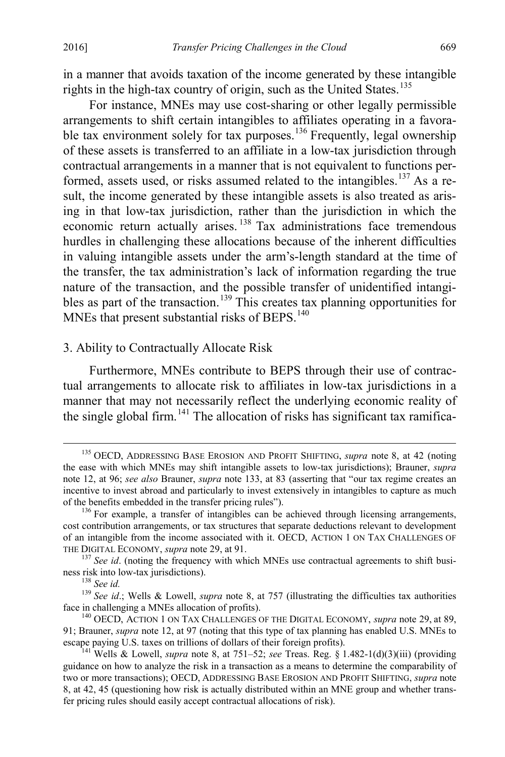in a manner that avoids taxation of the income generated by these intangible rights in the high-tax country of origin, such as the United States.<sup>[135](#page-27-0)</sup>

For instance, MNEs may use cost-sharing or other legally permissible arrangements to shift certain intangibles to affiliates operating in a favorable tax environment solely for tax purposes.<sup>136</sup> Frequently, legal ownership of these assets is transferred to an affiliate in a low-tax jurisdiction through contractual arrangements in a manner that is not equivalent to functions per-formed, assets used, or risks assumed related to the intangibles.<sup>[137](#page-27-2)</sup> As a result, the income generated by these intangible assets is also treated as arising in that low-tax jurisdiction, rather than the jurisdiction in which the economic return actually arises.<sup>[138](#page-27-3)</sup> Tax administrations face tremendous hurdles in challenging these allocations because of the inherent difficulties in valuing intangible assets under the arm's-length standard at the time of the transfer, the tax administration's lack of information regarding the true nature of the transaction, and the possible transfer of unidentified intangi-bles as part of the transaction.<sup>[139](#page-27-4)</sup> This creates tax planning opportunities for MNEs that present substantial risks of BEPS.<sup>[140](#page-27-5)</sup>

## <span id="page-27-7"></span>3. Ability to Contractually Allocate Risk

<span id="page-27-8"></span>Furthermore, MNEs contribute to BEPS through their use of contractual arrangements to allocate risk to affiliates in low-tax jurisdictions in a manner that may not necessarily reflect the underlying economic reality of the single global firm.<sup>[141](#page-27-6)</sup> The allocation of risks has significant tax ramifica-

<span id="page-27-0"></span><sup>&</sup>lt;sup>135</sup> OECD, ADDRESSING BASE EROSION AND PROFIT SHIFTING, *supra* note [8,](#page-3-4) at 42 (noting the ease with which MNEs may shift intangible assets to low-tax jurisdictions); Brauner, *supra* note [12,](#page-4-6) at 96; *see also* Brauner, *supra* note [133,](#page-26-0) at 83 (asserting that "our tax regime creates an incentive to invest abroad and particularly to invest extensively in intangibles to capture as much of the benefits embedded in the transfer pricing rules").<br><sup>136</sup> For example, a transfer of intangibles can be achieved through licensing arrangements,

<span id="page-27-1"></span>cost contribution arrangements, or tax structures that separate deductions relevant to development of an intangible from the income associated with it. OECD, ACTION 1 ON TAX CHALLENGES OF

<span id="page-27-2"></span>THE DIGITAL ECONOMY, *supra* not[e 29,](#page-7-7) at 91.<br><sup>137</sup> *See id.* (noting the frequency with which MNEs use contractual agreements to shift busi-<br>ness risk into low-tax jurisdictions).<br><sup>138</sup> *See id.* 

<span id="page-27-4"></span><span id="page-27-3"></span><sup>&</sup>lt;sup>139</sup> See id.; Wells & Lowell, *supra* note [8,](#page-3-4) at 757 (illustrating the difficulties tax authorities face in challenging a MNEs allocation of profits).<br><sup>140</sup> OECD, ACTION 1 ON TAX CHALLENGES OF THE DIGITAL ECONOMY, *supra* not[e 29,](#page-7-7) at 89,

<span id="page-27-5"></span><sup>91;</sup> Brauner, *supra* note [12,](#page-4-6) at 97 (noting that this type of tax planning has enabled U.S. MNEs to escape paying U.S. taxes on trillions of dollars of their foreign profits).

<span id="page-27-6"></span><sup>&</sup>lt;sup>141</sup> Wells & Lowell, *supra* note [8,](#page-3-4) at 751–52; *see* Treas. Reg. § 1.482-1(d)(3)(iii) (providing guidance on how to analyze the risk in a transaction as a means to determine the comparability of two or more transactions); OECD, ADDRESSING BASE EROSION AND PROFIT SHIFTING, *supra* note [8,](#page-3-4) at 42, 45 (questioning how risk is actually distributed within an MNE group and whether transfer pricing rules should easily accept contractual allocations of risk).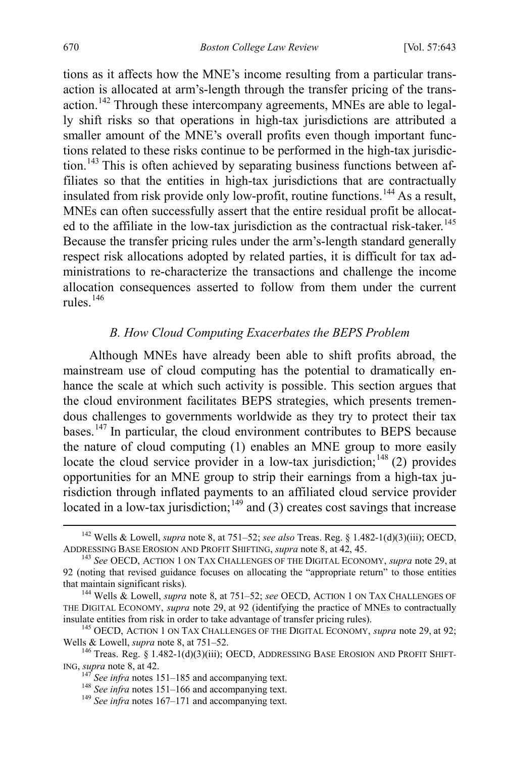tions as it affects how the MNE's income resulting from a particular transaction is allocated at arm's-length through the transfer pricing of the transaction.<sup>142</sup> Through these intercompany agreements, MNEs are able to legally shift risks so that operations in high-tax jurisdictions are attributed a smaller amount of the MNE's overall profits even though important functions related to these risks continue to be performed in the high-tax jurisdic-tion.<sup>[143](#page-28-2)</sup> This is often achieved by separating business functions between affiliates so that the entities in high-tax jurisdictions that are contractually insulated from risk provide only low-profit, routine functions.<sup>[144](#page-28-3)</sup> As a result, MNEs can often successfully assert that the entire residual profit be allocat-ed to the affiliate in the low-tax jurisdiction as the contractual risk-taker.<sup>[145](#page-28-4)</sup> Because the transfer pricing rules under the arm's-length standard generally respect risk allocations adopted by related parties, it is difficult for tax administrations to re-characterize the transactions and challenge the income allocation consequences asserted to follow from them under the current rules.[146](#page-28-5)

# <span id="page-28-0"></span>*B. How Cloud Computing Exacerbates the BEPS Problem*

Although MNEs have already been able to shift profits abroad, the mainstream use of cloud computing has the potential to dramatically enhance the scale at which such activity is possible. This section argues that the cloud environment facilitates BEPS strategies, which presents tremendous challenges to governments worldwide as they try to protect their tax bases.[147](#page-28-6) In particular, the cloud environment contributes to BEPS because the nature of cloud computing (1) enables an MNE group to more easily locate the cloud service provider in a low-tax jurisdiction;  $148$  (2) provides opportunities for an MNE group to strip their earnings from a high-tax jurisdiction through inflated payments to an affiliated cloud service provider located in a low-tax jurisdiction;  $149$  and (3) creates cost savings that increase

<span id="page-28-1"></span> <sup>142</sup> Wells & Lowell, *supra* note [8,](#page-3-4) at 751–52; *see also* Treas. Reg. § 1.482-1(d)(3)(iii); OECD,

<span id="page-28-2"></span><sup>&</sup>lt;sup>143</sup> See OECD, ACTION 1 ON TAX CHALLENGES OF THE DIGITAL ECONOMY, *supra* not[e 29,](#page-7-7) at 92 (noting that revised guidance focuses on allocating the "appropriate return" to those entities

<span id="page-28-3"></span><sup>&</sup>lt;sup>144</sup> Wells & Lowell, *supra* note [8,](#page-3-4) at 751–52; *see* OECD, ACTION 1 ON TAX CHALLENGES OF THE DIGITAL ECONOMY, *supra* note [29,](#page-7-7) at 92 (identifying the practice of MNEs to contractually

<span id="page-28-4"></span>insulate entities from risk in order to take advantage of transfer pricing rules).<br><sup>145</sup> OECD, ACTION 1 ON TAX CHALLENGES OF THE DIGITAL ECONOMY, *supra* not[e 29,](#page-7-7) at 92;<br>Wells & Lowell, *supra* note 8, at 751–52.

<span id="page-28-8"></span><span id="page-28-7"></span><span id="page-28-6"></span><span id="page-28-5"></span><sup>&</sup>lt;sup>146</sup> Treas. Reg. § 1.482-1(d)(3)(iii); OECD, ADDRESSING BASE EROSION AND PROFIT SHIFT-ING, *supra* not[e 8,](#page-3-4) at 42.

<sup>&</sup>lt;sup>147</sup> *See infra* notes [151–](#page-29-0)[185](#page-36-0) and accompanying text.<br><sup>148</sup> *See infra* notes 151–[166](#page-31-0) and accompanying text.<br><sup>149</sup> *See infra* notes [167–](#page-32-0)[171](#page-33-0) and accompanying text.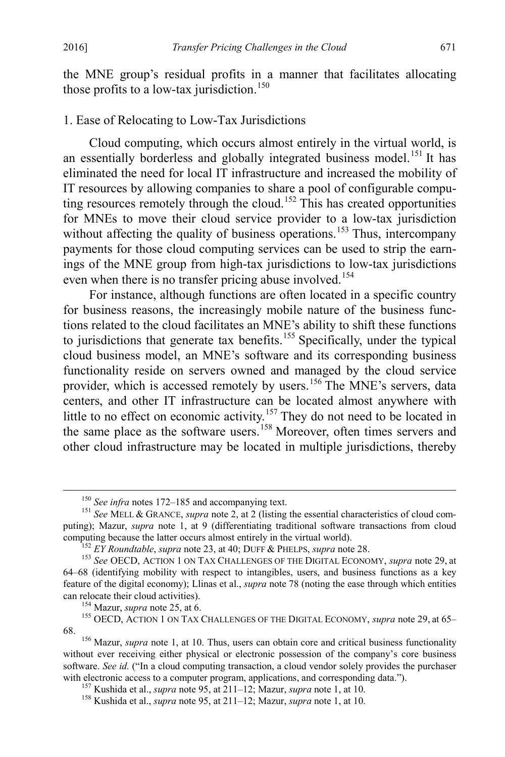the MNE group's residual profits in a manner that facilitates allocating those profits to a low-tax jurisdiction.<sup>[150](#page-29-1)</sup>

# 1. Ease of Relocating to Low-Tax Jurisdictions

<span id="page-29-0"></span>Cloud computing, which occurs almost entirely in the virtual world, is an essentially borderless and globally integrated business model.<sup>[151](#page-29-2)</sup> It has eliminated the need for local IT infrastructure and increased the mobility of IT resources by allowing companies to share a pool of configurable compu-ting resources remotely through the cloud.<sup>[152](#page-29-3)</sup> This has created opportunities for MNEs to move their cloud service provider to a low-tax jurisdiction without affecting the quality of business operations.<sup>[153](#page-29-4)</sup> Thus, intercompany payments for those cloud computing services can be used to strip the earnings of the MNE group from high-tax jurisdictions to low-tax jurisdictions even when there is no transfer pricing abuse involved.<sup>[154](#page-29-5)</sup>

For instance, although functions are often located in a specific country for business reasons, the increasingly mobile nature of the business functions related to the cloud facilitates an MNE's ability to shift these functions to jurisdictions that generate tax benefits.<sup>[155](#page-29-6)</sup> Specifically, under the typical cloud business model, an MNE's software and its corresponding business functionality reside on servers owned and managed by the cloud service provider, which is accessed remotely by users.<sup>[156](#page-29-7)</sup> The MNE's servers, data centers, and other IT infrastructure can be located almost anywhere with little to no effect on economic activity.<sup>[157](#page-29-8)</sup> They do not need to be located in the same place as the software users.<sup>[158](#page-29-9)</sup> Moreover, often times servers and other cloud infrastructure may be located in multiple jurisdictions, thereby

<span id="page-29-6"></span><span id="page-29-5"></span>

<span id="page-29-2"></span><span id="page-29-1"></span><sup>&</sup>lt;sup>150</sup> *See infra* notes [172–](#page-33-1)[185](#page-36-0) and accompanying text.<br><sup>151</sup> *See* MELL & GRANCE, *supra* not[e 2,](#page-2-8) at 2 (listing the essential characteristics of cloud computing); Mazur, *supra* note [1,](#page-2-0) at 9 (differentiating traditional software transactions from cloud computing because the latter occurs almost entirely in the virtual world).<br><sup>152</sup> EY Roundtable, supra note 23, at 40; DUFF & PHELPS, supra not[e 28.](#page-7-8)<br><sup>153</sup> See OECD, ACTION 1 ON TAX CHALLENGES OF THE DIGITAL ECONOMY, supra n

<span id="page-29-4"></span><span id="page-29-3"></span><sup>64–68 (</sup>identifying mobility with respect to intangibles, users, and business functions as a key feature of the digital economy); Llinas et al., *supra* note [78](#page-16-1) (noting the ease through which entities can relocate their cloud activities).<br><sup>154</sup> Mazur, *supra* note [25,](#page-7-0) at 6.<br><sup>155</sup> OECD, ACTION 1 ON TAX CHALLENGES OF THE DIGITAL ECONOMY, *supra* not[e 29,](#page-7-7) at 65–

<span id="page-29-8"></span><span id="page-29-7"></span><sup>68.</sup> <sup>156</sup> Mazur, *supra* note [1,](#page-2-0) at 10. Thus, users can obtain core and critical business functionality without ever receiving either physical or electronic possession of the company's core business software. *See id.* ("In a cloud computing transaction, a cloud vendor solely provides the purchaser with electronic access to a computer program, applications, and corresponding data.").<br><sup>157</sup> Kushida et al., *supra* not[e 95,](#page-19-6) at 211–12; Mazur, *supra* not[e 1,](#page-2-0) at 10.<br><sup>158</sup> Kushida et al., *supra* note 95, at 211–12; Mazu

<span id="page-29-9"></span>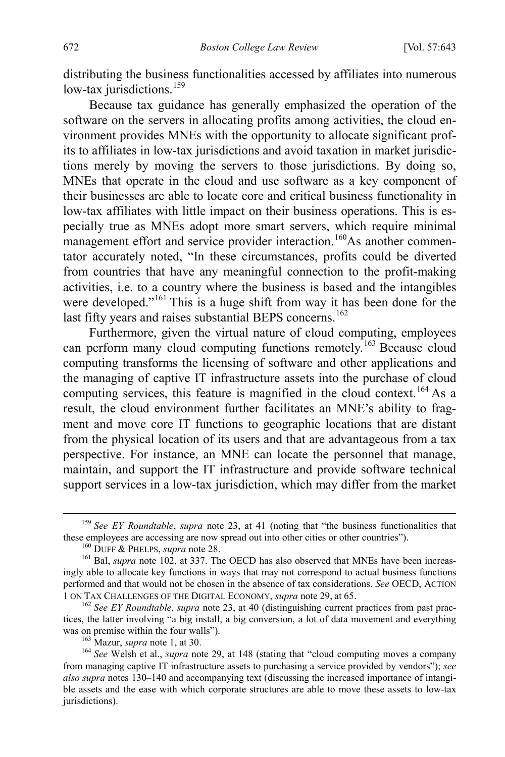distributing the business functionalities accessed by affiliates into numerous low-tax jurisdictions.<sup>[159](#page-30-0)</sup>

Because tax guidance has generally emphasized the operation of the software on the servers in allocating profits among activities, the cloud environment provides MNEs with the opportunity to allocate significant profits to affiliates in low-tax jurisdictions and avoid taxation in market jurisdictions merely by moving the servers to those jurisdictions. By doing so, MNEs that operate in the cloud and use software as a key component of their businesses are able to locate core and critical business functionality in low-tax affiliates with little impact on their business operations. This is especially true as MNEs adopt more smart servers, which require minimal management effort and service provider interaction.<sup>160</sup>As another commentator accurately noted, "In these circumstances, profits could be diverted from countries that have any meaningful connection to the profit-making activities, i.e. to a country where the business is based and the intangibles were developed."<sup>[161](#page-30-2)</sup> This is a huge shift from way it has been done for the last fifty years and raises substantial BEPS concerns.<sup>[162](#page-30-3)</sup>

Furthermore, given the virtual nature of cloud computing, employees can perform many cloud computing functions remotely.<sup>[163](#page-30-4)</sup> Because cloud computing transforms the licensing of software and other applications and the managing of captive IT infrastructure assets into the purchase of cloud computing services, this feature is magnified in the cloud context.<sup>[164](#page-30-5)</sup> As a result, the cloud environment further facilitates an MNE's ability to fragment and move core IT functions to geographic locations that are distant from the physical location of its users and that are advantageous from a tax perspective. For instance, an MNE can locate the personnel that manage, maintain, and support the IT infrastructure and provide software technical support services in a low-tax jurisdiction, which may differ from the market

<span id="page-30-0"></span><sup>&</sup>lt;sup>159</sup> See EY Roundtable, *supra* note [23,](#page-6-7) at 41 (noting that "the business functionalities that these employees are accessing are now spread out into other cities or other countries").

<span id="page-30-2"></span><span id="page-30-1"></span><sup>&</sup>lt;sup>160</sup> DUFF & PHELPS, *supra* note [28.](#page-7-8)<br><sup>161</sup> Bal, *supra* note [102,](#page-21-0) at 337. The OECD has also observed that MNEs have been increasingly able to allocate key functions in ways that may not correspond to actual business functions performed and that would not be chosen in the absence of tax considerations. *See* OECD, ACTION <sup>1</sup> ON TAX CHALLENGES OF THE DIGITAL ECONOMY, *supra* not[e 29,](#page-7-7) at 65. <sup>162</sup> *See EY Roundtable*, *supra* not[e 23,](#page-6-7) at 40 (distinguishing current practices from past prac-

<span id="page-30-3"></span>tices, the latter involving "a big install, a big conversion, a lot of data movement and everything

<span id="page-30-5"></span><span id="page-30-4"></span><sup>&</sup>lt;sup>163</sup> Mazur, *supra* note [1,](#page-2-0) at 30. 164 Mazur, *supra* note 1, at 30. 164 *See* Welsh et al., *supra* note [29,](#page-7-7) at 148 (stating that "cloud computing moves a company from managing captive IT infrastructure assets to purchasing a service provided by vendors"); *see also supra* note[s 130](#page-26-7)[–140](#page-27-7) and accompanying text (discussing the increased importance of intangible assets and the ease with which corporate structures are able to move these assets to low-tax jurisdictions).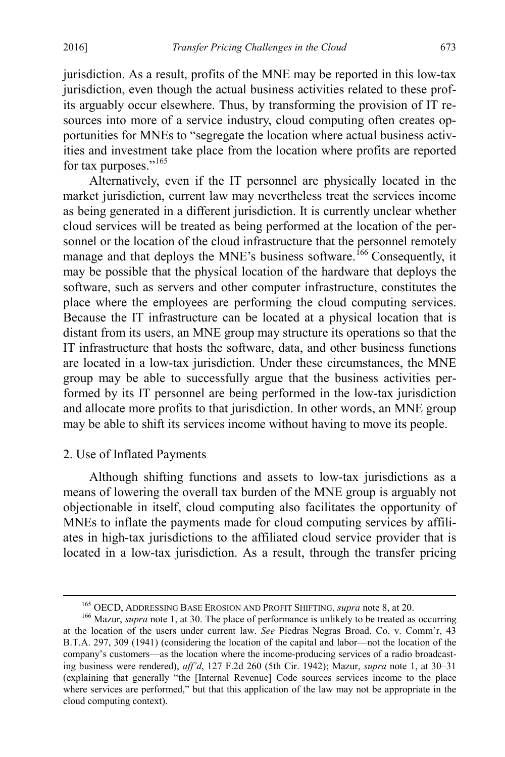jurisdiction. As a result, profits of the MNE may be reported in this low-tax jurisdiction, even though the actual business activities related to these profits arguably occur elsewhere. Thus, by transforming the provision of IT resources into more of a service industry, cloud computing often creates opportunities for MNEs to "segregate the location where actual business activities and investment take place from the location where profits are reported for tax purposes."<sup>[165](#page-31-1)</sup>

<span id="page-31-0"></span>Alternatively, even if the IT personnel are physically located in the market jurisdiction, current law may nevertheless treat the services income as being generated in a different jurisdiction. It is currently unclear whether cloud services will be treated as being performed at the location of the personnel or the location of the cloud infrastructure that the personnel remotely manage and that deploys the MNE's business software.<sup>[166](#page-31-2)</sup> Consequently, it may be possible that the physical location of the hardware that deploys the software, such as servers and other computer infrastructure, constitutes the place where the employees are performing the cloud computing services. Because the IT infrastructure can be located at a physical location that is distant from its users, an MNE group may structure its operations so that the IT infrastructure that hosts the software, data, and other business functions are located in a low-tax jurisdiction. Under these circumstances, the MNE group may be able to successfully argue that the business activities performed by its IT personnel are being performed in the low-tax jurisdiction and allocate more profits to that jurisdiction. In other words, an MNE group may be able to shift its services income without having to move its people.

## 2. Use of Inflated Payments

Although shifting functions and assets to low-tax jurisdictions as a means of lowering the overall tax burden of the MNE group is arguably not objectionable in itself, cloud computing also facilitates the opportunity of MNEs to inflate the payments made for cloud computing services by affiliates in high-tax jurisdictions to the affiliated cloud service provider that is located in a low-tax jurisdiction. As a result, through the transfer pricing

<sup>&</sup>lt;sup>165</sup> OECD, ADDRESSING BASE EROSION AND PROFIT SHIFTING, *supra* note [8,](#page-3-4) at 20. <sup>166</sup> Mazur, *supra* not[e 1,](#page-2-0) at 30. The place of performance is unlikely to be treated as occurring

<span id="page-31-2"></span><span id="page-31-1"></span>at the location of the users under current law. *See* Piedras Negras Broad. Co. v. Comm'r, 43 B.T.A. 297, 309 (1941) (considering the location of the capital and labor—not the location of the company's customers—as the location where the income-producing services of a radio broadcasting business were rendered), *aff'd*, 127 F.2d 260 (5th Cir. 1942); Mazur, *supra* note [1,](#page-2-0) at 30–31 (explaining that generally "the [Internal Revenue] Code sources services income to the place where services are performed," but that this application of the law may not be appropriate in the cloud computing context).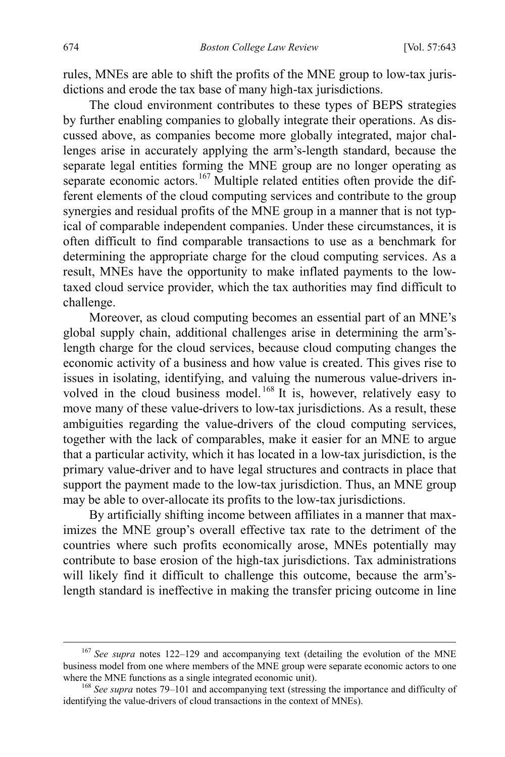rules, MNEs are able to shift the profits of the MNE group to low-tax jurisdictions and erode the tax base of many high-tax jurisdictions.

<span id="page-32-0"></span>The cloud environment contributes to these types of BEPS strategies by further enabling companies to globally integrate their operations. As discussed above, as companies become more globally integrated, major challenges arise in accurately applying the arm's-length standard, because the separate legal entities forming the MNE group are no longer operating as separate economic actors.<sup>[167](#page-32-1)</sup> Multiple related entities often provide the different elements of the cloud computing services and contribute to the group synergies and residual profits of the MNE group in a manner that is not typical of comparable independent companies. Under these circumstances, it is often difficult to find comparable transactions to use as a benchmark for determining the appropriate charge for the cloud computing services. As a result, MNEs have the opportunity to make inflated payments to the lowtaxed cloud service provider, which the tax authorities may find difficult to challenge.

Moreover, as cloud computing becomes an essential part of an MNE's global supply chain, additional challenges arise in determining the arm'slength charge for the cloud services, because cloud computing changes the economic activity of a business and how value is created. This gives rise to issues in isolating, identifying, and valuing the numerous value-drivers in-volved in the cloud business model.<sup>[168](#page-32-2)</sup> It is, however, relatively easy to move many of these value-drivers to low-tax jurisdictions. As a result, these ambiguities regarding the value-drivers of the cloud computing services, together with the lack of comparables, make it easier for an MNE to argue that a particular activity, which it has located in a low-tax jurisdiction, is the primary value-driver and to have legal structures and contracts in place that support the payment made to the low-tax jurisdiction. Thus, an MNE group may be able to over-allocate its profits to the low-tax jurisdictions.

By artificially shifting income between affiliates in a manner that maximizes the MNE group's overall effective tax rate to the detriment of the countries where such profits economically arose, MNEs potentially may contribute to base erosion of the high-tax jurisdictions. Tax administrations will likely find it difficult to challenge this outcome, because the arm'slength standard is ineffective in making the transfer pricing outcome in line

<span id="page-32-1"></span> <sup>167</sup> *See supra* notes [122–](#page-25-8)[129](#page-26-8) and accompanying text (detailing the evolution of the MNE business model from one where members of the MNE group were separate economic actors to one where the MNE functions as a single integrated economic unit).

<span id="page-32-2"></span><sup>&</sup>lt;sup>168</sup> See *supra* note[s 79](#page-16-0)[–101](#page-20-5) and accompanying text (stressing the importance and difficulty of identifying the value-drivers of cloud transactions in the context of MNEs).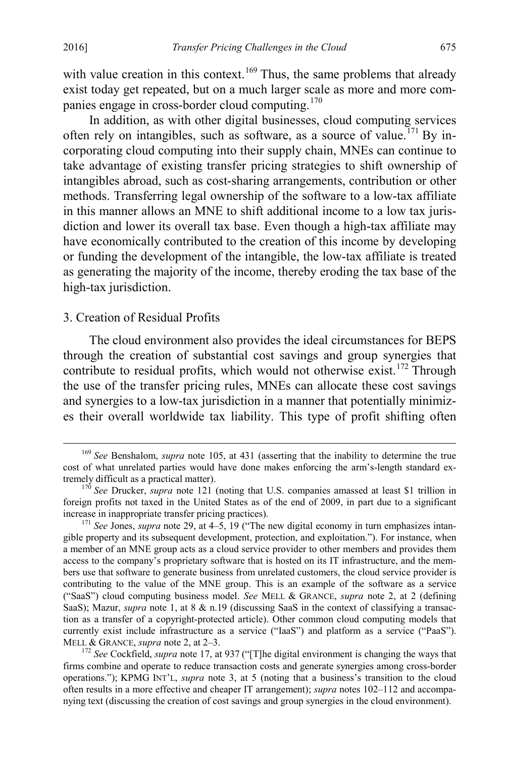with value creation in this context.<sup>[169](#page-33-2)</sup> Thus, the same problems that already exist today get repeated, but on a much larger scale as more and more com-panies engage in cross-border cloud computing.<sup>[170](#page-33-3)</sup>

<span id="page-33-0"></span>In addition, as with other digital businesses, cloud computing services often rely on intangibles, such as software, as a source of value.<sup>[171](#page-33-4)</sup> By incorporating cloud computing into their supply chain, MNEs can continue to take advantage of existing transfer pricing strategies to shift ownership of intangibles abroad, such as cost-sharing arrangements, contribution or other methods. Transferring legal ownership of the software to a low-tax affiliate in this manner allows an MNE to shift additional income to a low tax jurisdiction and lower its overall tax base. Even though a high-tax affiliate may have economically contributed to the creation of this income by developing or funding the development of the intangible, the low-tax affiliate is treated as generating the majority of the income, thereby eroding the tax base of the high-tax jurisdiction.

## 3. Creation of Residual Profits

<span id="page-33-1"></span>The cloud environment also provides the ideal circumstances for BEPS through the creation of substantial cost savings and group synergies that contribute to residual profits, which would not otherwise exist.<sup>172</sup> Through the use of the transfer pricing rules, MNEs can allocate these cost savings and synergies to a low-tax jurisdiction in a manner that potentially minimizes their overall worldwide tax liability. This type of profit shifting often

<span id="page-33-2"></span> <sup>169</sup> *See* Benshalom, *supra* note [105,](#page-21-5) at 431 (asserting that the inability to determine the true cost of what unrelated parties would have done makes enforcing the arm's-length standard ex-<br>tremely difficult as a practical matter).

<span id="page-33-3"></span> $170$  *See* Drucker, *supra* note [121](#page-24-6) (noting that U.S. companies amassed at least \$1 trillion in foreign profits not taxed in the United States as of the end of 2009, in part due to a significant increase in inappropriate transfer pricing practices). <sup>171</sup> *See* Jones, *supra* note [29,](#page-7-7) at 4–5, 19 ("The new digital economy in turn emphasizes intan-

<span id="page-33-4"></span>gible property and its subsequent development, protection, and exploitation."). For instance, when a member of an MNE group acts as a cloud service provider to other members and provides them access to the company's proprietary software that is hosted on its IT infrastructure, and the members use that software to generate business from unrelated customers, the cloud service provider is contributing to the value of the MNE group. This is an example of the software as a service ("SaaS") cloud computing business model. *See* MELL & GRANCE, *supra* note [2,](#page-2-8) at 2 (defining SaaS); Mazur, *supra* note [1,](#page-2-0) at 8 & n.19 (discussing SaaS in the context of classifying a transaction as a transfer of a copyright-protected article). Other common cloud computing models that currently exist include infrastructure as a service ("IaaS") and platform as a service ("PaaS").<br>MELL & GRANCE, *supra* note 2, at 2–3.

<span id="page-33-5"></span><sup>&</sup>lt;sup>172</sup> See Cockfield, *supra* note [17,](#page-5-2) at 937 ("[T]he digital environment is changing the ways that firms combine and operate to reduce transaction costs and generate synergies among cross-border operations."); KPMG INT'L, *supra* note [3,](#page-2-7) at 5 (noting that a business's transition to the cloud often results in a more effective and cheaper IT arrangement); *supra* note[s 102](#page-21-0)[–112](#page-23-0) and accompanying text (discussing the creation of cost savings and group synergies in the cloud environment).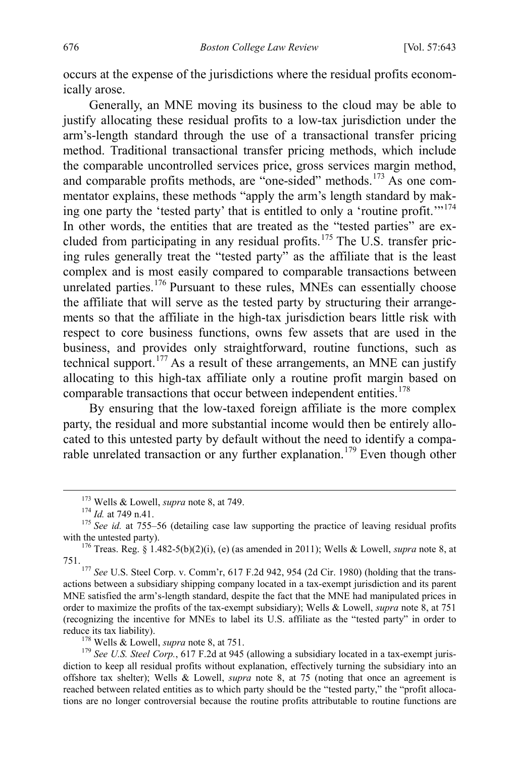occurs at the expense of the jurisdictions where the residual profits economically arose.

Generally, an MNE moving its business to the cloud may be able to justify allocating these residual profits to a low-tax jurisdiction under the arm's-length standard through the use of a transactional transfer pricing method. Traditional transactional transfer pricing methods, which include the comparable uncontrolled services price, gross services margin method, and comparable profits methods, are "one-sided" methods.<sup>[173](#page-34-0)</sup> As one commentator explains, these methods "apply the arm's length standard by making one party the 'tested party' that is entitled to only a 'routine profit.' $174$ In other words, the entities that are treated as the "tested parties" are ex-cluded from participating in any residual profits.<sup>[175](#page-34-2)</sup> The U.S. transfer pricing rules generally treat the "tested party" as the affiliate that is the least complex and is most easily compared to comparable transactions between unrelated parties.<sup>[176](#page-34-3)</sup> Pursuant to these rules, MNEs can essentially choose the affiliate that will serve as the tested party by structuring their arrangements so that the affiliate in the high-tax jurisdiction bears little risk with respect to core business functions, owns few assets that are used in the business, and provides only straightforward, routine functions, such as technical support.<sup>[177](#page-34-4)</sup> As a result of these arrangements, an MNE can justify allocating to this high-tax affiliate only a routine profit margin based on comparable transactions that occur between independent entities.<sup>[178](#page-34-5)</sup>

By ensuring that the low-taxed foreign affiliate is the more complex party, the residual and more substantial income would then be entirely allocated to this untested party by default without the need to identify a compa-rable unrelated transaction or any further explanation.<sup>[179](#page-34-6)</sup> Even though other

<span id="page-34-4"></span>751. <sup>177</sup> *See* U.S. Steel Corp. v. Comm'r, 617 F.2d 942, 954 (2d Cir. 1980) (holding that the transactions between a subsidiary shipping company located in a tax-exempt jurisdiction and its parent MNE satisfied the arm's-length standard, despite the fact that the MNE had manipulated prices in order to maximize the profits of the tax-exempt subsidiary); Wells & Lowell, *supra* note [8,](#page-3-4) at 751 (recognizing the incentive for MNEs to label its U.S. affiliate as the "tested party" in order to

<span id="page-34-6"></span><span id="page-34-5"></span><sup>178</sup> Wells & Lowell, *supra* not[e 8,](#page-3-4) at 751.<br><sup>179</sup> *See U.S. Steel Corp.*, 617 F.2d at 945 (allowing a subsidiary located in a tax-exempt jurisdiction to keep all residual profits without explanation, effectively turning the subsidiary into an offshore tax shelter); Wells & Lowell, *supra* note [8,](#page-3-4) at 75 (noting that once an agreement is reached between related entities as to which party should be the "tested party," the "profit allocations are no longer controversial because the routine profits attributable to routine functions are

<span id="page-34-1"></span><span id="page-34-0"></span><sup>&</sup>lt;sup>173</sup> Wells & Lowell, *supra* not[e 8,](#page-3-4) at 749.<br><sup>174</sup> *Id.* at 749 n.41.<br><sup>175</sup> *See id.* at 755–56 (detailing case law supporting the practice of leaving residual profits with the untested party).

<span id="page-34-3"></span><span id="page-34-2"></span><sup>&</sup>lt;sup>176</sup> Treas. Reg. § 1.482-5(b)(2)(i), (e) (as amended in 2011); Wells & Lowell, *supra* not[e 8,](#page-3-4) at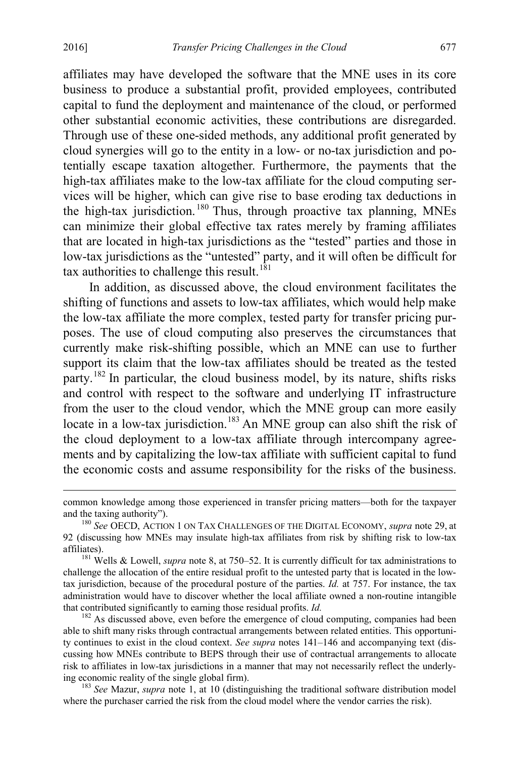affiliates may have developed the software that the MNE uses in its core business to produce a substantial profit, provided employees, contributed capital to fund the deployment and maintenance of the cloud, or performed other substantial economic activities, these contributions are disregarded. Through use of these one-sided methods, any additional profit generated by cloud synergies will go to the entity in a low- or no-tax jurisdiction and potentially escape taxation altogether. Furthermore, the payments that the high-tax affiliates make to the low-tax affiliate for the cloud computing services will be higher, which can give rise to base eroding tax deductions in the high-tax jurisdiction. [180](#page-35-0) Thus, through proactive tax planning, MNEs can minimize their global effective tax rates merely by framing affiliates that are located in high-tax jurisdictions as the "tested" parties and those in low-tax jurisdictions as the "untested" party, and it will often be difficult for tax authorities to challenge this result.<sup>[181](#page-35-1)</sup>

In addition, as discussed above, the cloud environment facilitates the shifting of functions and assets to low-tax affiliates, which would help make the low-tax affiliate the more complex, tested party for transfer pricing purposes. The use of cloud computing also preserves the circumstances that currently make risk-shifting possible, which an MNE can use to further support its claim that the low-tax affiliates should be treated as the tested party.[182](#page-35-2) In particular, the cloud business model, by its nature, shifts risks and control with respect to the software and underlying IT infrastructure from the user to the cloud vendor, which the MNE group can more easily locate in a low-tax jurisdiction.<sup>[183](#page-35-3)</sup> An MNE group can also shift the risk of the cloud deployment to a low-tax affiliate through intercompany agreements and by capitalizing the low-tax affiliate with sufficient capital to fund the economic costs and assume responsibility for the risks of the business.

 common knowledge among those experienced in transfer pricing matters—both for the taxpayer and the taxing authority").<br><sup>180</sup> *See* OECD, ACTION 1 ON TAX CHALLENGES OF THE DIGITAL ECONOMY, *supra* not[e 29,](#page-7-7) at

<span id="page-35-1"></span>challenge the allocation of the entire residual profit to the untested party that is located in the lowtax jurisdiction, because of the procedural posture of the parties. *Id.* at 757. For instance, the tax administration would have to discover whether the local affiliate owned a non-routine intangible that contributed significantly to earning those residual profits. *Id.* <sup>182</sup> As discussed above, even before the emergence of cloud computing, companies had been

<span id="page-35-2"></span>able to shift many risks through contractual arrangements between related entities. This opportunity continues to exist in the cloud context. *See supra* notes [141](#page-27-8)[–146](#page-28-0) and accompanying text (discussing how MNEs contribute to BEPS through their use of contractual arrangements to allocate risk to affiliates in low-tax jurisdictions in a manner that may not necessarily reflect the underlying economic reality of the single global firm). <sup>183</sup> *See* Mazur, *supra* note [1,](#page-2-0) at 10 (distinguishing the traditional software distribution model

<span id="page-35-3"></span>where the purchaser carried the risk from the cloud model where the vendor carries the risk).

<span id="page-35-0"></span><sup>92</sup> (discussing how MNEs may insulate high-tax affiliates from risk by shifting risk to low-tax affiliates). <sup>181</sup> Wells & Lowell, *supra* not[e 8,](#page-3-4) at 750–52. It is currently difficult for tax administrations to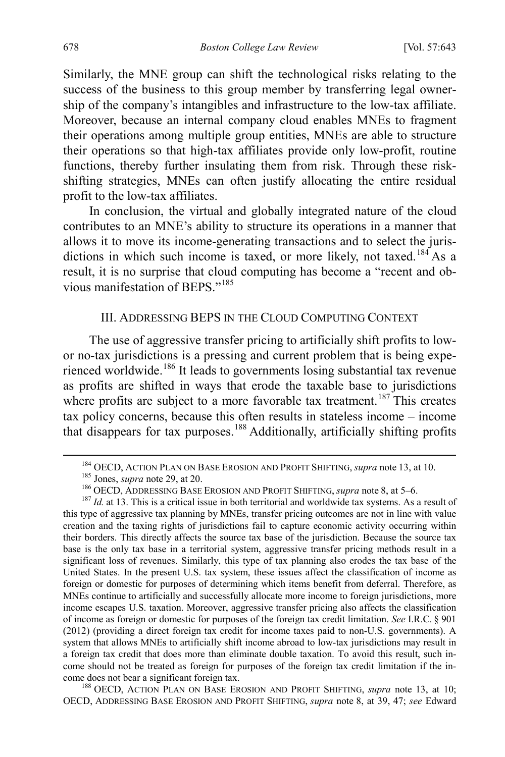Similarly, the MNE group can shift the technological risks relating to the success of the business to this group member by transferring legal ownership of the company's intangibles and infrastructure to the low-tax affiliate. Moreover, because an internal company cloud enables MNEs to fragment their operations among multiple group entities, MNEs are able to structure their operations so that high-tax affiliates provide only low-profit, routine functions, thereby further insulating them from risk. Through these riskshifting strategies, MNEs can often justify allocating the entire residual profit to the low-tax affiliates.

In conclusion, the virtual and globally integrated nature of the cloud contributes to an MNE's ability to structure its operations in a manner that allows it to move its income-generating transactions and to select the juris-dictions in which such income is taxed, or more likely, not taxed.<sup>[184](#page-36-2)</sup> As a result, it is no surprise that cloud computing has become a "recent and ob-vious manifestation of BEPS<sup>"[185](#page-36-3)</sup>

# <span id="page-36-1"></span><span id="page-36-0"></span>III. ADDRESSING BEPS IN THE CLOUD COMPUTING CONTEXT

The use of aggressive transfer pricing to artificially shift profits to lowor no-tax jurisdictions is a pressing and current problem that is being expe-rienced worldwide.<sup>[186](#page-36-4)</sup> It leads to governments losing substantial tax revenue as profits are shifted in ways that erode the taxable base to jurisdictions where profits are subject to a more favorable tax treatment.<sup>[187](#page-36-5)</sup> This creates tax policy concerns, because this often results in stateless income – income that disappears for tax purposes.[188](#page-36-6) Additionally, artificially shifting profits

<span id="page-36-5"></span><span id="page-36-4"></span><span id="page-36-3"></span><span id="page-36-2"></span><sup>&</sup>lt;sup>184</sup> OECD, ACTION PLAN ON BASE EROSION AND PROFIT SHIFTING, *supra* note [13,](#page-4-0) at 10.<br><sup>185</sup> Jones, *supra* not[e 29,](#page-7-7) at 20.<br><sup>186</sup> OECD, ADDRESSING BASE EROSION AND PROFIT SHIFTING, *supra* note [8,](#page-3-4) at 5–6.<br><sup>186</sup> OECD, ADDRES this type of aggressive tax planning by MNEs, transfer pricing outcomes are not in line with value creation and the taxing rights of jurisdictions fail to capture economic activity occurring within their borders. This directly affects the source tax base of the jurisdiction. Because the source tax base is the only tax base in a territorial system, aggressive transfer pricing methods result in a significant loss of revenues. Similarly, this type of tax planning also erodes the tax base of the United States. In the present U.S. tax system, these issues affect the classification of income as foreign or domestic for purposes of determining which items benefit from deferral. Therefore, as MNEs continue to artificially and successfully allocate more income to foreign jurisdictions, more income escapes U.S. taxation. Moreover, aggressive transfer pricing also affects the classification of income as foreign or domestic for purposes of the foreign tax credit limitation. *See* I.R.C. § 901 (2012) (providing a direct foreign tax credit for income taxes paid to non-U.S. governments). A system that allows MNEs to artificially shift income abroad to low-tax jurisdictions may result in a foreign tax credit that does more than eliminate double taxation. To avoid this result, such income should not be treated as foreign for purposes of the foreign tax credit limitation if the income does not bear a significant foreign tax.<br><sup>188</sup> OECD, ACTION PLAN ON BASE EROSION AND PROFIT SHIFTING, *supra* note [13,](#page-4-0) at 10;

<span id="page-36-6"></span>OECD, ADDRESSING BASE EROSION AND PROFIT SHIFTING, *supra* note [8,](#page-3-4) at 39, 47; *see* Edward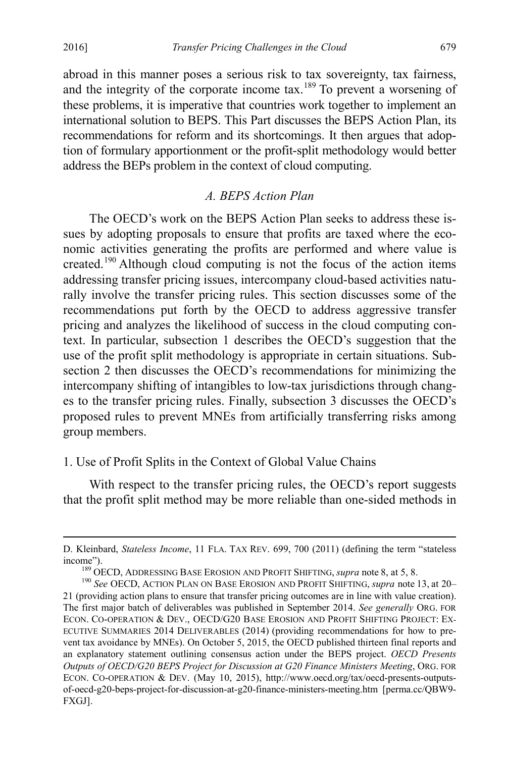abroad in this manner poses a serious risk to tax sovereignty, tax fairness, and the integrity of the corporate income tax.<sup>[189](#page-37-0)</sup> To prevent a worsening of these problems, it is imperative that countries work together to implement an international solution to BEPS. This Part discusses the BEPS Action Plan, its recommendations for reform and its shortcomings. It then argues that adoption of formulary apportionment or the profit-split methodology would better address the BEPs problem in the context of cloud computing.

# *A. BEPS Action Plan*

The OECD's work on the BEPS Action Plan seeks to address these issues by adopting proposals to ensure that profits are taxed where the economic activities generating the profits are performed and where value is created.<sup>[190](#page-37-1)</sup> Although cloud computing is not the focus of the action items addressing transfer pricing issues, intercompany cloud-based activities naturally involve the transfer pricing rules. This section discusses some of the recommendations put forth by the OECD to address aggressive transfer pricing and analyzes the likelihood of success in the cloud computing context. In particular, subsection 1 describes the OECD's suggestion that the use of the profit split methodology is appropriate in certain situations. Subsection 2 then discusses the OECD's recommendations for minimizing the intercompany shifting of intangibles to low-tax jurisdictions through changes to the transfer pricing rules. Finally, subsection 3 discusses the OECD's proposed rules to prevent MNEs from artificially transferring risks among group members.

# 1. Use of Profit Splits in the Context of Global Value Chains

With respect to the transfer pricing rules, the OECD's report suggests that the profit split method may be more reliable than one-sided methods in

D. Kleinbard, *Stateless Income*, 11 FLA. TAX REV. 699, 700 (2011) (defining the term "stateless income").<br><sup>189</sup> OECD, ADDRESSING BASE EROSION AND PROFIT SHIFTING, *supra* note [8,](#page-3-4) at 5, 8.<br><sup>190</sup> *See* OECD, ACTION PLAN ON BASE EROSION AND PROFIT SHIFTING, *supra* note [13,](#page-4-0) at 20–

<span id="page-37-1"></span><span id="page-37-0"></span><sup>21 (</sup>providing action plans to ensure that transfer pricing outcomes are in line with value creation). The first major batch of deliverables was published in September 2014. *See generally* ORG. FOR ECON. CO-OPERATION & DEV., OECD/G20 BASE EROSION AND PROFIT SHIFTING PROJECT: EX-ECUTIVE SUMMARIES 2014 DELIVERABLES (2014) (providing recommendations for how to prevent tax avoidance by MNEs). On October 5, 2015, the OECD published thirteen final reports and an explanatory statement outlining consensus action under the BEPS project. *OECD Presents Outputs of OECD/G20 BEPS Project for Discussion at G20 Finance Ministers Meeting*, ORG. FOR ECON. CO-OPERATION & DEV. (May 10, 2015), http://www.oecd.org/tax/oecd-presents-outputsof-oecd-g20-beps-project-for-discussion-at-g20-finance-ministers-meeting.htm [perma.cc/QBW9- FXGJ].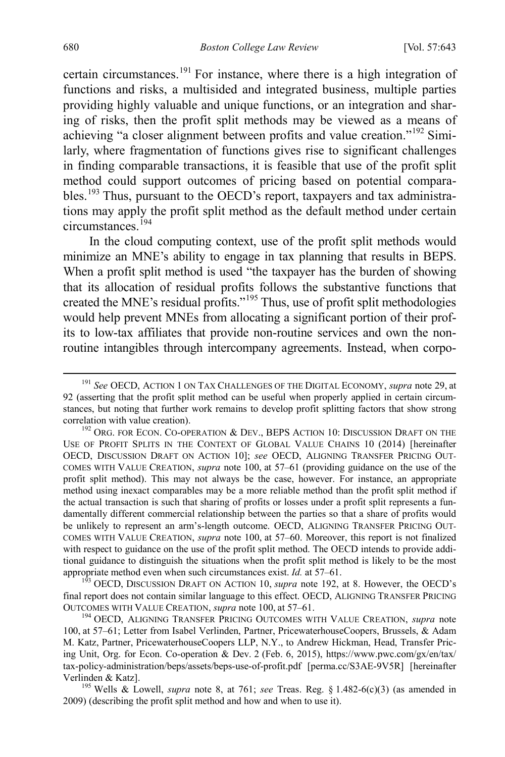<span id="page-38-0"></span>certain circumstances.[191](#page-38-1) For instance, where there is a high integration of functions and risks, a multisided and integrated business, multiple parties providing highly valuable and unique functions, or an integration and sharing of risks, then the profit split methods may be viewed as a means of achieving "a closer alignment between profits and value creation."[192](#page-38-2) Similarly, where fragmentation of functions gives rise to significant challenges in finding comparable transactions, it is feasible that use of the profit split method could support outcomes of pricing based on potential compara-bles.<sup>[193](#page-38-3)</sup> Thus, pursuant to the OECD's report, taxpayers and tax administrations may apply the profit split method as the default method under certain circumstances.<sup>[194](#page-38-4)</sup>

<span id="page-38-6"></span>In the cloud computing context, use of the profit split methods would minimize an MNE's ability to engage in tax planning that results in BEPS. When a profit split method is used "the taxpayer has the burden of showing that its allocation of residual profits follows the substantive functions that created the MNE's residual profits."[195](#page-38-5) Thus, use of profit split methodologies would help prevent MNEs from allocating a significant portion of their profits to low-tax affiliates that provide non-routine services and own the nonroutine intangibles through intercompany agreements. Instead, when corpo-

<span id="page-38-3"></span>final report does not contain similar language to this effect. OECD, ALIGNING TRANSFER PRICING OUTCOMES WITH VALUE CREATION, *supra* note [100,](#page-20-4) at 57–61. <sup>194</sup> OECD, ALIGNING TRANSFER PRICING OUTCOMES WITH VALUE CREATION, *supra* note

<span id="page-38-1"></span> <sup>191</sup> *See* OECD, ACTION 1 ON TAX CHALLENGES OF THE DIGITAL ECONOMY, *supra* not[e 29,](#page-7-7) at 92 (asserting that the profit split method can be useful when properly applied in certain circumstances, but noting that further work remains to develop profit splitting factors that show strong correlation with value creation).<br><sup>192</sup> ORG. FOR ECON. CO-OPERATION & DEV., BEPS ACTION 10: DISCUSSION DRAFT ON THE

<span id="page-38-2"></span>USE OF PROFIT SPLITS IN THE CONTEXT OF GLOBAL VALUE CHAINS 10 (2014) [hereinafter OECD, DISCUSSION DRAFT ON ACTION 10]; *see* OECD, ALIGNING TRANSFER PRICING OUT-COMES WITH VALUE CREATION, *supra* note [100,](#page-20-4) at 57–61 (providing guidance on the use of the profit split method). This may not always be the case, however. For instance, an appropriate method using inexact comparables may be a more reliable method than the profit split method if the actual transaction is such that sharing of profits or losses under a profit split represents a fundamentally different commercial relationship between the parties so that a share of profits would be unlikely to represent an arm's-length outcome. OECD, ALIGNING TRANSFER PRICING OUT-COMES WITH VALUE CREATION, *supra* note [100,](#page-20-4) at 57–60. Moreover, this report is not finalized with respect to guidance on the use of the profit split method. The OECD intends to provide additional guidance to distinguish the situations when the profit split method is likely to be the most appropriate method even when such circumstances exist. *Id.* at 57–61.<br><sup>193</sup> OECD, DISCUSSION DRAFT ON ACTION 10, *supra* note [192,](#page-38-0) at 8. However, the OECD's

<span id="page-38-4"></span>[<sup>100,</sup>](#page-20-4) at 57–61; Letter from Isabel Verlinden, Partner, PricewaterhouseCoopers, Brussels, & Adam M. Katz, Partner, PricewaterhouseCoopers LLP, N.Y., to Andrew Hickman, Head, Transfer Pricing Unit, Org. for Econ. Co-operation & Dev. 2 (Feb. 6, 2015), https://www.pwc.com/gx/en/tax/ tax-policy-administration/beps/assets/beps-use-of-profit.pdf [perma.cc/S3AE-9V5R] [hereinafter Verlinden & Katz].<br><sup>195</sup> Wells & Lowell, *supra* note [8,](#page-3-4) at 761; *see* Treas. Reg. § 1.482-6(c)(3) (as amended in

<span id="page-38-5"></span><sup>2009) (</sup>describing the profit split method and how and when to use it).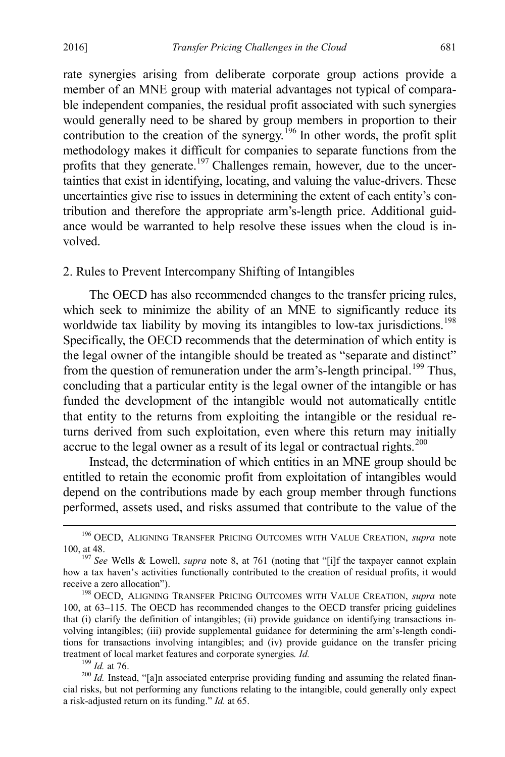rate synergies arising from deliberate corporate group actions provide a member of an MNE group with material advantages not typical of comparable independent companies, the residual profit associated with such synergies would generally need to be shared by group members in proportion to their contribution to the creation of the synergy.<sup>[196](#page-39-0)</sup> In other words, the profit split methodology makes it difficult for companies to separate functions from the profits that they generate.<sup>197</sup> Challenges remain, however, due to the uncertainties that exist in identifying, locating, and valuing the value-drivers. These uncertainties give rise to issues in determining the extent of each entity's contribution and therefore the appropriate arm's-length price. Additional guidance would be warranted to help resolve these issues when the cloud is involved.

#### 2. Rules to Prevent Intercompany Shifting of Intangibles

The OECD has also recommended changes to the transfer pricing rules, which seek to minimize the ability of an MNE to significantly reduce its worldwide tax liability by moving its intangibles to low-tax jurisdictions.<sup>[198](#page-39-2)</sup> Specifically, the OECD recommends that the determination of which entity is the legal owner of the intangible should be treated as "separate and distinct" from the question of remuneration under the arm's-length principal.<sup>[199](#page-39-3)</sup> Thus, concluding that a particular entity is the legal owner of the intangible or has funded the development of the intangible would not automatically entitle that entity to the returns from exploiting the intangible or the residual returns derived from such exploitation, even where this return may initially accrue to the legal owner as a result of its legal or contractual rights.<sup>[200](#page-39-4)</sup>

Instead, the determination of which entities in an MNE group should be entitled to retain the economic profit from exploitation of intangibles would depend on the contributions made by each group member through functions performed, assets used, and risks assumed that contribute to the value of the

<span id="page-39-0"></span> <sup>196</sup> OECD, ALIGNING TRANSFER PRICING OUTCOMES WITH VALUE CREATION, *supra* note [100,](#page-20-4) at 48.

<span id="page-39-1"></span><sup>197</sup> *See* Wells & Lowell, *supra* note [8,](#page-3-4) at 761 (noting that "[i]f the taxpayer cannot explain how a tax haven's activities functionally contributed to the creation of residual profits, it would receive a zero allocation").

<span id="page-39-2"></span><sup>&</sup>lt;sup>198</sup> OECD, ALIGNING TRANSFER PRICING OUTCOMES WITH VALUE CREATION, *supra* note [100,](#page-20-4) at 63–115. The OECD has recommended changes to the OECD transfer pricing guidelines that (i) clarify the definition of intangibles; (ii) provide guidance on identifying transactions involving intangibles; (iii) provide supplemental guidance for determining the arm's-length conditions for transactions involving intangibles; and (iv) provide guidance on the transfer pricing treatment of local market features and corporate synergies. *Id.* <sup>199</sup> *Id.* at 76. <sup>200</sup> *Id.* Instead, "[a]n associated enterprise providing funding and assuming the related finan-

<span id="page-39-4"></span><span id="page-39-3"></span>cial risks, but not performing any functions relating to the intangible, could generally only expect a risk-adjusted return on its funding." *Id.* at 65.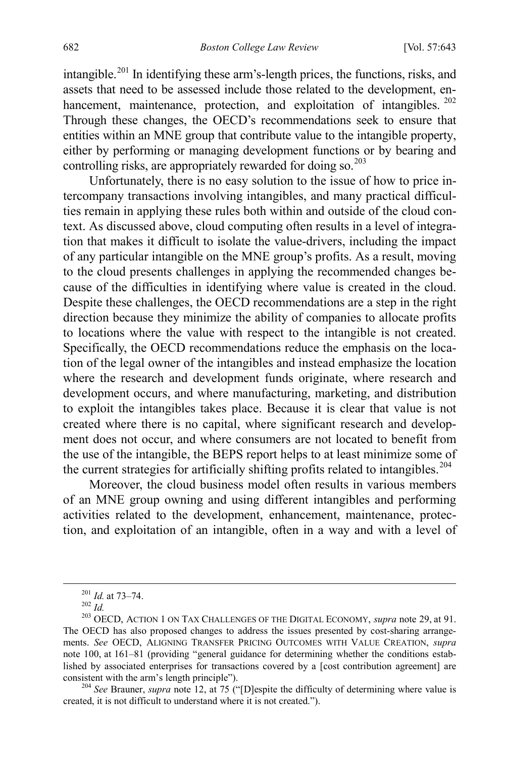intangible.<sup>[201](#page-40-0)</sup> In identifying these arm's-length prices, the functions, risks, and assets that need to be assessed include those related to the development, en-hancement, maintenance, protection, and exploitation of intangibles. <sup>[202](#page-40-1)</sup> Through these changes, the OECD's recommendations seek to ensure that entities within an MNE group that contribute value to the intangible property, either by performing or managing development functions or by bearing and controlling risks, are appropriately rewarded for doing so.<sup>[203](#page-40-2)</sup>

Unfortunately, there is no easy solution to the issue of how to price intercompany transactions involving intangibles, and many practical difficulties remain in applying these rules both within and outside of the cloud context. As discussed above, cloud computing often results in a level of integration that makes it difficult to isolate the value-drivers, including the impact of any particular intangible on the MNE group's profits. As a result, moving to the cloud presents challenges in applying the recommended changes because of the difficulties in identifying where value is created in the cloud. Despite these challenges, the OECD recommendations are a step in the right direction because they minimize the ability of companies to allocate profits to locations where the value with respect to the intangible is not created. Specifically, the OECD recommendations reduce the emphasis on the location of the legal owner of the intangibles and instead emphasize the location where the research and development funds originate, where research and development occurs, and where manufacturing, marketing, and distribution to exploit the intangibles takes place. Because it is clear that value is not created where there is no capital, where significant research and development does not occur, and where consumers are not located to benefit from the use of the intangible, the BEPS report helps to at least minimize some of the current strategies for artificially shifting profits related to intangibles.<sup>[204](#page-40-3)</sup>

Moreover, the cloud business model often results in various members of an MNE group owning and using different intangibles and performing activities related to the development, enhancement, maintenance, protection, and exploitation of an intangible, often in a way and with a level of

<span id="page-40-3"></span><sup>204</sup> *See* Brauner, *supra* note [12,](#page-4-6) at 75 ("[D]espite the difficulty of determining where value is created, it is not difficult to understand where it is not created.").

<span id="page-40-2"></span><span id="page-40-1"></span><span id="page-40-0"></span><sup>201</sup> *Id.* at 73–74. <sup>202</sup> *Id.* <sup>203</sup> OECD, ACTION 1 ON TAX CHALLENGES OF THE DIGITAL ECONOMY, *supra* not[e 29,](#page-7-7) at 91. The OECD has also proposed changes to address the issues presented by cost-sharing arrangements. *See* OECD, ALIGNING TRANSFER PRICING OUTCOMES WITH VALUE CREATION, *supra* note [100,](#page-20-4) at 161–81 (providing "general guidance for determining whether the conditions established by associated enterprises for transactions covered by a [cost contribution agreement] are consistent with the arm's length principle").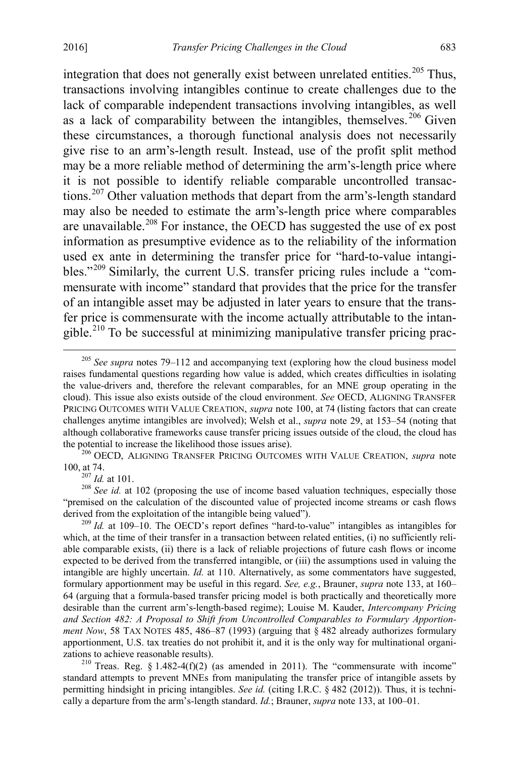integration that does not generally exist between unrelated entities.<sup>205</sup> Thus, transactions involving intangibles continue to create challenges due to the lack of comparable independent transactions involving intangibles, as well as a lack of comparability between the intangibles, themselves. [206](#page-41-1) Given these circumstances, a thorough functional analysis does not necessarily give rise to an arm's-length result. Instead, use of the profit split method may be a more reliable method of determining the arm's-length price where it is not possible to identify reliable comparable uncontrolled transactions.[207](#page-41-2) Other valuation methods that depart from the arm's-length standard may also be needed to estimate the arm's-length price where comparables are unavailable.<sup>[208](#page-41-3)</sup> For instance, the OECD has suggested the use of ex post information as presumptive evidence as to the reliability of the information used ex ante in determining the transfer price for "hard-to-value intangibles."[209](#page-41-4) Similarly, the current U.S. transfer pricing rules include a "commensurate with income" standard that provides that the price for the transfer of an intangible asset may be adjusted in later years to ensure that the transfer price is commensurate with the income actually attributable to the intangible.<sup>210</sup> To be successful at minimizing manipulative transfer pricing prac-

<span id="page-41-1"></span>[100,](#page-20-4) at 74.<br> $\frac{207}{1}$  *Id.* at 101.

<span id="page-41-3"></span><span id="page-41-2"></span><sup>208</sup> See id. at 102 (proposing the use of income based valuation techniques, especially those "premised on the calculation of the discounted value of projected income streams or cash flows derived from the exploitation of the intangible being valued").<br><sup>209</sup> *Id.* at 109–10. The OECD's report defines "hard-to-value" intangibles as intangibles for

<span id="page-41-4"></span>which, at the time of their transfer in a transaction between related entities, (i) no sufficiently reliable comparable exists, (ii) there is a lack of reliable projections of future cash flows or income expected to be derived from the transferred intangible, or (iii) the assumptions used in valuing the intangible are highly uncertain. *Id.* at 110. Alternatively, as some commentators have suggested, formulary apportionment may be useful in this regard. *See, e.g.*, Brauner, *supra* note [133,](#page-26-0) at 160– 64 (arguing that a formula-based transfer pricing model is both practically and theoretically more desirable than the current arm's-length-based regime); Louise M. Kauder, *Intercompany Pricing and Section 482: A Proposal to Shift from Uncontrolled Comparables to Formulary Apportionment Now*, 58 TAX NOTES 485, 486–87 (1993) (arguing that § 482 already authorizes formulary apportionment, U.S. tax treaties do not prohibit it, and it is the only way for multinational organizations to achieve reasonable results).<br><sup>210</sup> Treas. Reg. § 1.482-4(f)(2) (as amended in 2011). The "commensurate with income"

<span id="page-41-5"></span>standard attempts to prevent MNEs from manipulating the transfer price of intangible assets by permitting hindsight in pricing intangibles. *See id.* (citing I.R.C. § 482 (2012)). Thus, it is technically a departure from the arm's-length standard. *Id.*; Brauner, *supra* note [133,](#page-26-0) at 100–01.

<span id="page-41-0"></span> <sup>205</sup> *See supra* notes [79–](#page-16-0)[112](#page-23-0) and accompanying text (exploring how the cloud business model raises fundamental questions regarding how value is added, which creates difficulties in isolating the value-drivers and, therefore the relevant comparables, for an MNE group operating in the cloud). This issue also exists outside of the cloud environment. *See* OECD, ALIGNING TRANSFER PRICING OUTCOMES WITH VALUE CREATION, *supra* note [100,](#page-20-4) at 74 (listing factors that can create challenges anytime intangibles are involved); Welsh et al., *supra* note [29,](#page-7-7) at 153–54 (noting that although collaborative frameworks cause transfer pricing issues outside of the cloud, the cloud has the potential to increase the likelihood those issues arise). <sup>206</sup> OECD, ALIGNING TRANSFER PRICING OUTCOMES WITH VALUE CREATION, *supra* note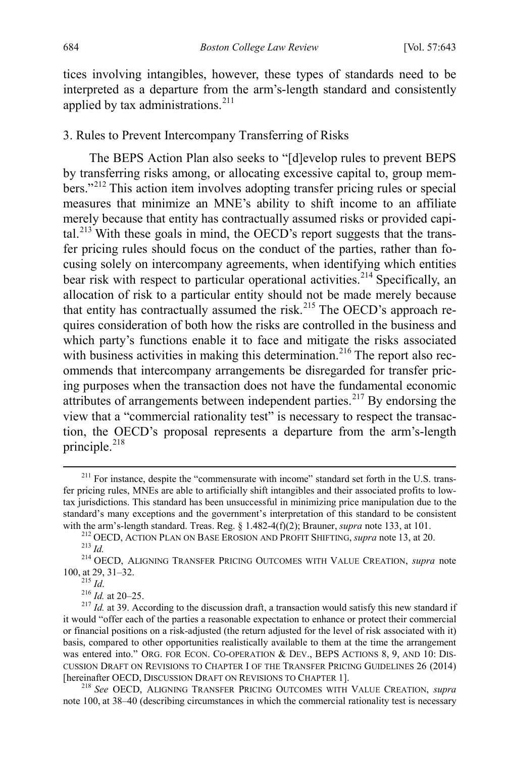tices involving intangibles, however, these types of standards need to be interpreted as a departure from the arm's-length standard and consistently applied by tax administrations. $211$ 

# 3. Rules to Prevent Intercompany Transferring of Risks

The BEPS Action Plan also seeks to "[d]evelop rules to prevent BEPS by transferring risks among, or allocating excessive capital to, group mem-bers."<sup>[212](#page-42-1)</sup> This action item involves adopting transfer pricing rules or special measures that minimize an MNE's ability to shift income to an affiliate merely because that entity has contractually assumed risks or provided capital. $^{213}$  $^{213}$  $^{213}$  With these goals in mind, the OECD's report suggests that the transfer pricing rules should focus on the conduct of the parties, rather than focusing solely on intercompany agreements, when identifying which entities bear risk with respect to particular operational activities.<sup>[214](#page-42-3)</sup> Specifically, an allocation of risk to a particular entity should not be made merely because that entity has contractually assumed the risk.<sup>[215](#page-42-4)</sup> The OECD's approach requires consideration of both how the risks are controlled in the business and which party's functions enable it to face and mitigate the risks associated with business activities in making this determination.<sup>[216](#page-42-5)</sup> The report also recommends that intercompany arrangements be disregarded for transfer pricing purposes when the transaction does not have the fundamental economic attributes of arrangements between independent parties.<sup>[217](#page-42-6)</sup> By endorsing the view that a "commercial rationality test" is necessary to respect the transaction, the OECD's proposal represents a departure from the arm's-length principle. [218](#page-42-7)

<span id="page-42-7"></span>note [100,](#page-20-4) at 38–40 (describing circumstances in which the commercial rationality test is necessary

<span id="page-42-8"></span><span id="page-42-0"></span><sup>&</sup>lt;sup>211</sup> For instance, despite the "commensurate with income" standard set forth in the U.S. transfer pricing rules, MNEs are able to artificially shift intangibles and their associated profits to lowtax jurisdictions. This standard has been unsuccessful in minimizing price manipulation due to the standard's many exceptions and the government's interpretation of this standard to be consistent with the arm's-length standard. Treas. Reg.  $\S 1.482-4(f)(2)$ ; Brauner, *supra* note 133, at 101.

<span id="page-42-3"></span><span id="page-42-2"></span><span id="page-42-1"></span><sup>&</sup>lt;sup>212</sup> OECD, ACTION PLAN ON BASE EROSION AND PROFIT SHIFTING, *supra* note [13,](#page-4-0) at 20.<br><sup>213</sup> Id.<br><sup>214</sup> OECD, ALIGNING TRANSFER PRICING OUTCOMES WITH VALUE CREATION, *supra* note<br>100, at 29, 31–32.<br><sup>215</sup> Id.

<span id="page-42-6"></span><span id="page-42-5"></span><span id="page-42-4"></span><sup>&</sup>lt;sup>216</sup> *Id.* at 20–25. 217 *Id.* at 39. According to the discussion draft, a transaction would satisfy this new standard if it would "offer each of the parties a reasonable expectation to enhance or protect their commercial or financial positions on a risk-adjusted (the return adjusted for the level of risk associated with it) basis, compared to other opportunities realistically available to them at the time the arrangement was entered into." ORG. FOR ECON. CO-OPERATION & DEV., BEPS ACTIONS 8, 9, AND 10: DIS-CUSSION DRAFT ON REVISIONS TO CHAPTER I OF THE TRANSFER PRICING GUIDELINES 26 (2014) [hereinafter OECD, DISCUSSION DRAFT ON REVISIONS TO CHAPTER 1]. <sup>218</sup> *See* OECD, ALIGNING TRANSFER PRICING OUTCOMES WITH VALUE CREATION, *supra*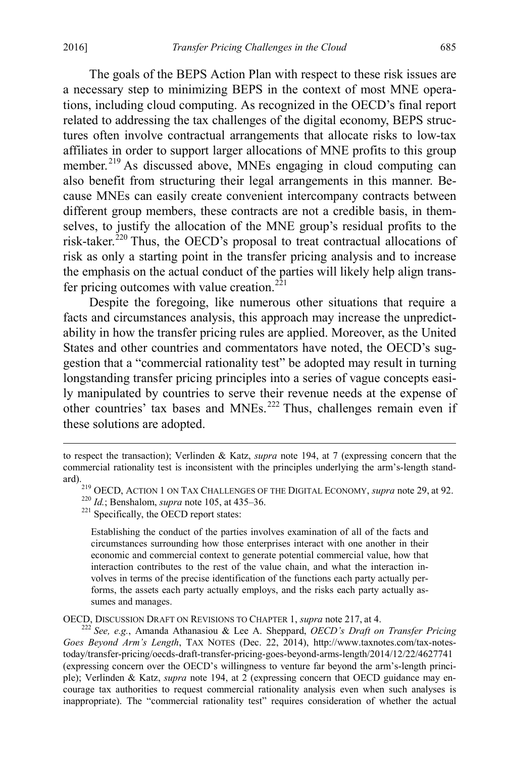The goals of the BEPS Action Plan with respect to these risk issues are a necessary step to minimizing BEPS in the context of most MNE operations, including cloud computing. As recognized in the OECD's final report related to addressing the tax challenges of the digital economy, BEPS structures often involve contractual arrangements that allocate risks to low-tax affiliates in order to support larger allocations of MNE profits to this group member.<sup>[219](#page-43-0)</sup> As discussed above, MNEs engaging in cloud computing can also benefit from structuring their legal arrangements in this manner. Because MNEs can easily create convenient intercompany contracts between different group members, these contracts are not a credible basis, in themselves, to justify the allocation of the MNE group's residual profits to the risk-taker.<sup>[220](#page-43-1)</sup> Thus, the OECD's proposal to treat contractual allocations of risk as only a starting point in the transfer pricing analysis and to increase the emphasis on the actual conduct of the parties will likely help align trans-fer pricing outcomes with value creation.<sup>[221](#page-43-2)</sup>

Despite the foregoing, like numerous other situations that require a facts and circumstances analysis, this approach may increase the unpredictability in how the transfer pricing rules are applied. Moreover, as the United States and other countries and commentators have noted, the OECD's suggestion that a "commercial rationality test" be adopted may result in turning longstanding transfer pricing principles into a series of vague concepts easily manipulated by countries to serve their revenue needs at the expense of other countries' tax bases and MNEs.<sup>[222](#page-43-3)</sup> Thus, challenges remain even if these solutions are adopted.

Establishing the conduct of the parties involves examination of all of the facts and circumstances surrounding how those enterprises interact with one another in their economic and commercial context to generate potential commercial value, how that interaction contributes to the rest of the value chain, and what the interaction involves in terms of the precise identification of the functions each party actually performs, the assets each party actually employs, and the risks each party actually assumes and manages.

<span id="page-43-3"></span>OECD, DISCUSSION DRAFT ON REVISIONS TO CHAPTER 1, *supra* note [217,](#page-42-8) at 4. <sup>222</sup> *See, e.g.*, Amanda Athanasiou & Lee A. Sheppard, *OECD's Draft on Transfer Pricing Goes Beyond Arm's Length*, TAX NOTES (Dec. 22, 2014), http://www.taxnotes.com/tax-notestoday/transfer-pricing/oecds-draft-transfer-pricing-goes-beyond-arms-length/2014/12/22/4627741 (expressing concern over the OECD's willingness to venture far beyond the arm's-length principle); Verlinden & Katz, *supra* note [194,](#page-38-6) at 2 (expressing concern that OECD guidance may encourage tax authorities to request commercial rationality analysis even when such analyses is inappropriate). The "commercial rationality test" requires consideration of whether the actual

<span id="page-43-1"></span><span id="page-43-0"></span>to respect the transaction); Verlinden & Katz, *supra* note [194,](#page-38-6) at 7 (expressing concern that the commercial rationality test is inconsistent with the principles underlying the arm's-length standard).

<sup>&</sup>lt;sup>219</sup> OECD, ACTION 1 ON TAX CHALLENGES OF THE DIGITAL ECONOMY, *supra* not[e 29,](#page-7-7) at 92. <sup>220</sup> *Id.*; Benshalom, *supra* not[e 105,](#page-21-5) at 435–36. <sup>221</sup> Specifically, the OECD report states:

<span id="page-43-2"></span>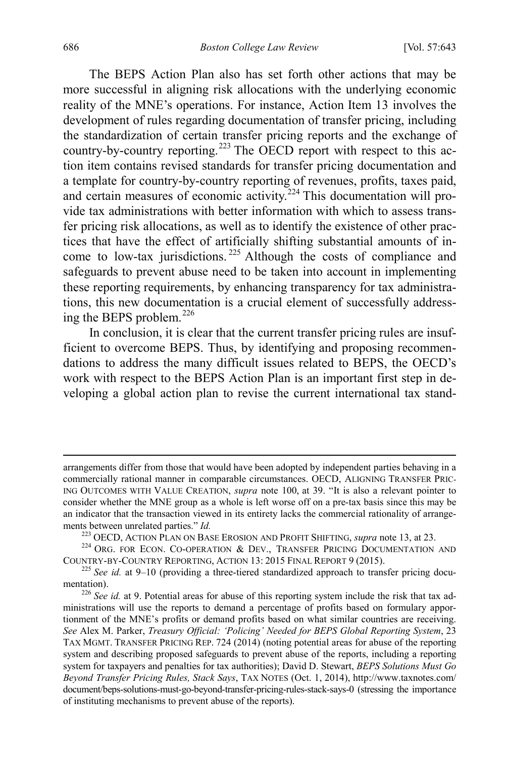The BEPS Action Plan also has set forth other actions that may be more successful in aligning risk allocations with the underlying economic reality of the MNE's operations. For instance, Action Item 13 involves the development of rules regarding documentation of transfer pricing, including the standardization of certain transfer pricing reports and the exchange of country-by-country reporting.<sup>[223](#page-44-0)</sup> The OECD report with respect to this action item contains revised standards for transfer pricing documentation and a template for country-by-country reporting of revenues, profits, taxes paid, and certain measures of economic activity.<sup>[224](#page-44-1)</sup> This documentation will provide tax administrations with better information with which to assess transfer pricing risk allocations, as well as to identify the existence of other practices that have the effect of artificially shifting substantial amounts of income to low-tax jurisdictions. [225](#page-44-2) Although the costs of compliance and safeguards to prevent abuse need to be taken into account in implementing these reporting requirements, by enhancing transparency for tax administrations, this new documentation is a crucial element of successfully addressing the BEPS problem. $^{226}$  $^{226}$  $^{226}$ 

In conclusion, it is clear that the current transfer pricing rules are insufficient to overcome BEPS. Thus, by identifying and proposing recommendations to address the many difficult issues related to BEPS, the OECD's work with respect to the BEPS Action Plan is an important first step in developing a global action plan to revise the current international tax stand-

arrangements differ from those that would have been adopted by independent parties behaving in a commercially rational manner in comparable circumstances. OECD, ALIGNING TRANSFER PRIC-ING OUTCOMES WITH VALUE CREATION, *supra* note [100,](#page-20-4) at 39. "It is also a relevant pointer to consider whether the MNE group as a whole is left worse off on a pre-tax basis since this may be an indicator that the transaction viewed in its entirety lacks the commercial rationality of arrangements between unrelated parties." *Id.* 223 OECD, ACTION PLAN ON BASE EROSION AND PROFIT SHIFTING, *supra* not[e 13,](#page-4-0) at 23. 224 ORG. FOR ECON. CO-OPERATION & DEV., TRANSFER PRICING DOCUMENTATION AND

<span id="page-44-1"></span><span id="page-44-0"></span>COUNTRY-BY-COUNTRY REPORTING, ACTION 13: <sup>2015</sup> FINAL REPORT 9 (2015). <sup>225</sup> *See id.* at 9–10 (providing a three-tiered standardized approach to transfer pricing docu-

<span id="page-44-2"></span>mentation).<br><sup>226</sup> *See id.* at 9. Potential areas for abuse of this reporting system include the risk that tax ad-

<span id="page-44-3"></span>ministrations will use the reports to demand a percentage of profits based on formulary apportionment of the MNE's profits or demand profits based on what similar countries are receiving. *See* Alex M. Parker, *Treasury Official: 'Policing' Needed for BEPS Global Reporting System*, 23 TAX MGMT. TRANSFER PRICING REP. 724 (2014) (noting potential areas for abuse of the reporting system and describing proposed safeguards to prevent abuse of the reports, including a reporting system for taxpayers and penalties for tax authorities); David D. Stewart, *BEPS Solutions Must Go Beyond Transfer Pricing Rules, Stack Says*, TAX NOTES (Oct. 1, 2014), http://www.taxnotes.com/ document/beps-solutions-must-go-beyond-transfer-pricing-rules-stack-says-0 (stressing the importance of instituting mechanisms to prevent abuse of the reports).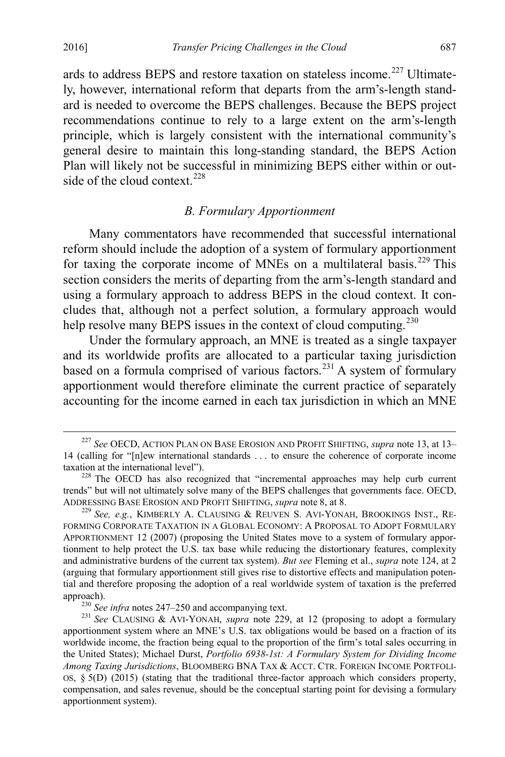ards to address BEPS and restore taxation on stateless income.<sup>[227](#page-45-1)</sup> Ultimately, however, international reform that departs from the arm's-length standard is needed to overcome the BEPS challenges. Because the BEPS project recommendations continue to rely to a large extent on the arm's-length principle, which is largely consistent with the international community's general desire to maintain this long-standing standard, the BEPS Action Plan will likely not be successful in minimizing BEPS either within or outside of the cloud context. $228$ 

## <span id="page-45-6"></span><span id="page-45-0"></span>*B. Formulary Apportionment*

Many commentators have recommended that successful international reform should include the adoption of a system of formulary apportionment for taxing the corporate income of MNEs on a multilateral basis.<sup>[229](#page-45-3)</sup> This section considers the merits of departing from the arm's-length standard and using a formulary approach to address BEPS in the cloud context. It concludes that, although not a perfect solution, a formulary approach would help resolve many BEPS issues in the context of cloud computing.<sup>[230](#page-45-4)</sup>

Under the formulary approach, an MNE is treated as a single taxpayer and its worldwide profits are allocated to a particular taxing jurisdiction based on a formula comprised of various factors. $^{231}$  $^{231}$  $^{231}$  A system of formulary apportionment would therefore eliminate the current practice of separately accounting for the income earned in each tax jurisdiction in which an MNE

<span id="page-45-1"></span> <sup>227</sup> *See* OECD, ACTION PLAN ON BASE EROSION AND PROFIT SHIFTING, *supra* not[e 13,](#page-4-0) at 13– 14 (calling for "[n]ew international standards ... to ensure the coherence of corporate income taxation at the international level").

<span id="page-45-2"></span> $228$  The OECD has also recognized that "incremental approaches may help curb current trends" but will not ultimately solve many of the BEPS challenges that governments face. OECD, ADDRESSING BASE EROSION AND PROFIT SHIFTING, *supra* note [8,](#page-3-4) at 8. <sup>229</sup> *See, e.g.*, KIMBERLY A. CLAUSING & REUVEN S. AVI-YONAH, BROOKINGS INST., RE-

<span id="page-45-3"></span>FORMING CORPORATE TAXATION IN A GLOBAL ECONOMY: A PROPOSAL TO ADOPT FORMULARY APPORTIONMENT 12 (2007) (proposing the United States move to a system of formulary apportionment to help protect the U.S. tax base while reducing the distortionary features, complexity and administrative burdens of the current tax system). *But see* Fleming et al., *supra* note [124,](#page-25-0) at 2 (arguing that formulary apportionment still gives rise to distortive effects and manipulation potential and therefore proposing the adoption of a real worldwide system of taxation is the preferred

<span id="page-45-5"></span><span id="page-45-4"></span>approach).<br><sup>230</sup> *See infra* notes [247–](#page-49-0)[250](#page-50-0) and accompanying text.<br><sup>231</sup> *See* CLAUSING & AVI-YONAH, *supra* note [229,](#page-45-0) at 12 (proposing to adopt a formulary apportionment system where an MNE's U.S. tax obligations would be based on a fraction of its worldwide income, the fraction being equal to the proportion of the firm's total sales occurring in the United States); Michael Durst, *Portfolio 6938-1st: A Formulary System for Dividing Income Among Taxing Jurisdictions*, BLOOMBERG BNA TAX & ACCT. CTR. FOREIGN INCOME PORTFOLI-OS, § 5(D) (2015) (stating that the traditional three-factor approach which considers property, compensation, and sales revenue, should be the conceptual starting point for devising a formulary apportionment system).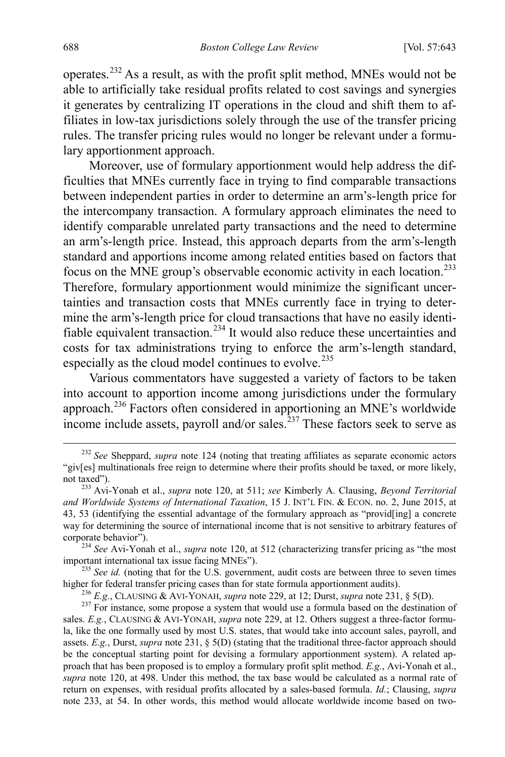operates.[232](#page-46-1) As a result, as with the profit split method, MNEs would not be able to artificially take residual profits related to cost savings and synergies it generates by centralizing IT operations in the cloud and shift them to affiliates in low-tax jurisdictions solely through the use of the transfer pricing rules. The transfer pricing rules would no longer be relevant under a formulary apportionment approach.

<span id="page-46-0"></span>Moreover, use of formulary apportionment would help address the difficulties that MNEs currently face in trying to find comparable transactions between independent parties in order to determine an arm's-length price for the intercompany transaction. A formulary approach eliminates the need to identify comparable unrelated party transactions and the need to determine an arm's-length price. Instead, this approach departs from the arm's-length standard and apportions income among related entities based on factors that focus on the MNE group's observable economic activity in each location.[233](#page-46-2) Therefore, formulary apportionment would minimize the significant uncertainties and transaction costs that MNEs currently face in trying to determine the arm's-length price for cloud transactions that have no easily identi-fiable equivalent transaction.<sup>[234](#page-46-3)</sup> It would also reduce these uncertainties and costs for tax administrations trying to enforce the arm's-length standard, especially as the cloud model continues to evolve.<sup>[235](#page-46-4)</sup>

Various commentators have suggested a variety of factors to be taken into account to apportion income among jurisdictions under the formulary approach.<sup>[236](#page-46-5)</sup> Factors often considered in apportioning an MNE's worldwide income include assets, payroll and/or sales.<sup>[237](#page-46-6)</sup> These factors seek to serve as

<span id="page-46-4"></span><sup>235</sup> *See id.* (noting that for the U.S. government, audit costs are between three to seven times higher for federal transfer pricing cases than for state formula apportionment audits).

<sup>236</sup> *E.g.*, CLAUSING & AVI-YONAH, *supra* note [229,](#page-45-0) at 12; Durst, *supra* not[e 231,](#page-45-6) § 5(D).<br><sup>237</sup> For instance, some propose a system that would use a formula based on the destination of

<span id="page-46-1"></span><sup>&</sup>lt;sup>232</sup> See Sheppard, *supra* note [124](#page-25-0) (noting that treating affiliates as separate economic actors "giv[es] multinationals free reign to determine where their profits should be taxed, or more likely, not taxed"). <sup>233</sup> Avi-Yonah et al., *supra* note [120,](#page-24-5) at 511; *see* Kimberly A. Clausing, *Beyond Territorial* 

<span id="page-46-2"></span>*and Worldwide Systems of International Taxation*, 15 J. INT'L FIN. & ECON. no. 2, June 2015, at 43, 53 (identifying the essential advantage of the formulary approach as "provid[ing] a concrete way for determining the source of international income that is not sensitive to arbitrary features of

<span id="page-46-3"></span>corporate behavior"). <sup>234</sup> *See* Avi-Yonah et al., *supra* not[e 120,](#page-24-5) at 512 (characterizing transfer pricing as "the most important international tax issue facing MNEs").

<span id="page-46-6"></span><span id="page-46-5"></span>sales. *E.g.*, CLAUSING & AVI-YONAH, *supra* note [229,](#page-45-0) at 12. Others suggest a three-factor formula, like the one formally used by most U.S. states, that would take into account sales, payroll, and assets. *E.g.*, Durst, *supra* note [231,](#page-45-6) § 5(D) (stating that the traditional three-factor approach should be the conceptual starting point for devising a formulary apportionment system). A related approach that has been proposed is to employ a formulary profit split method. *E.g.*, Avi-Yonah et al., *supra* note [120,](#page-24-5) at 498. Under this method, the tax base would be calculated as a normal rate of return on expenses, with residual profits allocated by a sales-based formula. *Id.*; Clausing, *supra* note [233,](#page-46-0) at 54. In other words, this method would allocate worldwide income based on two-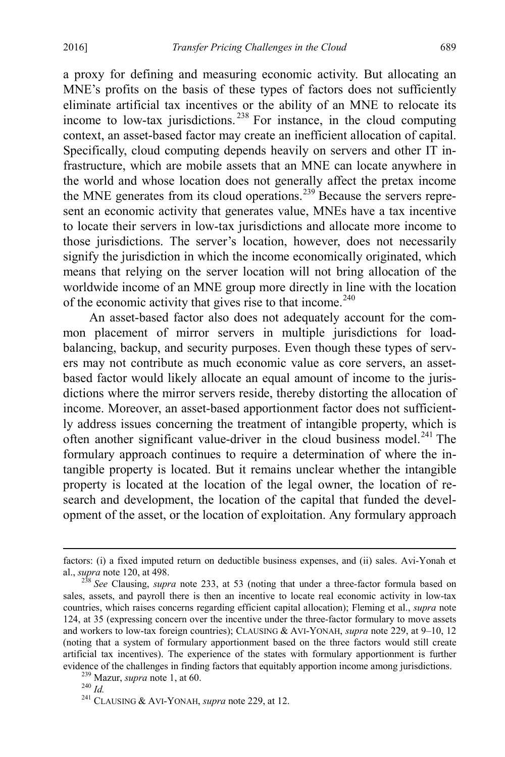a proxy for defining and measuring economic activity. But allocating an MNE's profits on the basis of these types of factors does not sufficiently eliminate artificial tax incentives or the ability of an MNE to relocate its income to low-tax jurisdictions. [238](#page-47-0) For instance, in the cloud computing context, an asset-based factor may create an inefficient allocation of capital. Specifically, cloud computing depends heavily on servers and other IT infrastructure, which are mobile assets that an MNE can locate anywhere in the world and whose location does not generally affect the pretax income the MNE generates from its cloud operations.<sup>[239](#page-47-1)</sup> Because the servers represent an economic activity that generates value, MNEs have a tax incentive to locate their servers in low-tax jurisdictions and allocate more income to those jurisdictions. The server's location, however, does not necessarily signify the jurisdiction in which the income economically originated, which means that relying on the server location will not bring allocation of the worldwide income of an MNE group more directly in line with the location of the economic activity that gives rise to that income.<sup>[240](#page-47-2)</sup>

An asset-based factor also does not adequately account for the common placement of mirror servers in multiple jurisdictions for loadbalancing, backup, and security purposes. Even though these types of servers may not contribute as much economic value as core servers, an assetbased factor would likely allocate an equal amount of income to the jurisdictions where the mirror servers reside, thereby distorting the allocation of income. Moreover, an asset-based apportionment factor does not sufficiently address issues concerning the treatment of intangible property, which is often another significant value-driver in the cloud business model. $^{241}$  $^{241}$  $^{241}$  The formulary approach continues to require a determination of where the intangible property is located. But it remains unclear whether the intangible property is located at the location of the legal owner, the location of research and development, the location of the capital that funded the development of the asset, or the location of exploitation. Any formulary approach

factors: (i) a fixed imputed return on deductible business expenses, and (ii) sales. Avi-Yonah et al., *supra* note 120, at 498.

<span id="page-47-0"></span><sup>&</sup>lt;sup>238</sup> See Clausing, *supra* note [233,](#page-46-0) at 53 (noting that under a three-factor formula based on sales, assets, and payroll there is then an incentive to locate real economic activity in low-tax countries, which raises concerns regarding efficient capital allocation); Fleming et al., *supra* note [124,](#page-25-0) at 35 (expressing concern over the incentive under the three-factor formulary to move assets and workers to low-tax foreign countries); CLAUSING & AVI-YONAH, *supra* note [229,](#page-45-0) at 9–10, 12 (noting that a system of formulary apportionment based on the three factors would still create artificial tax incentives). The experience of the states with formulary apportionment is further evidence of the challenges in finding factors that equitably apportion income among jurisdictions.<br><sup>239</sup> Mazur, *supra* note [1,](#page-2-0) at 60.<br><sup>240</sup> *Id.* <sup>241</sup> CLAUSING & AVI-YONAH, *supra* note [229,](#page-45-0) at 12.

<span id="page-47-1"></span>

<span id="page-47-2"></span>

<span id="page-47-3"></span>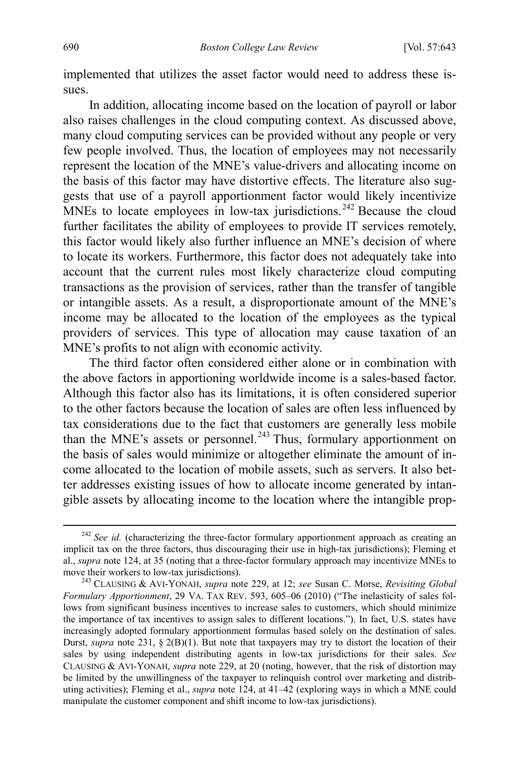implemented that utilizes the asset factor would need to address these issues.

In addition, allocating income based on the location of payroll or labor also raises challenges in the cloud computing context. As discussed above, many cloud computing services can be provided without any people or very few people involved. Thus, the location of employees may not necessarily represent the location of the MNE's value-drivers and allocating income on the basis of this factor may have distortive effects. The literature also suggests that use of a payroll apportionment factor would likely incentivize MNEs to locate employees in low-tax jurisdictions.<sup>[242](#page-48-0)</sup> Because the cloud further facilitates the ability of employees to provide IT services remotely, this factor would likely also further influence an MNE's decision of where to locate its workers. Furthermore, this factor does not adequately take into account that the current rules most likely characterize cloud computing transactions as the provision of services, rather than the transfer of tangible or intangible assets. As a result, a disproportionate amount of the MNE's income may be allocated to the location of the employees as the typical providers of services. This type of allocation may cause taxation of an MNE's profits to not align with economic activity.

The third factor often considered either alone or in combination with the above factors in apportioning worldwide income is a sales-based factor. Although this factor also has its limitations, it is often considered superior to the other factors because the location of sales are often less influenced by tax considerations due to the fact that customers are generally less mobile than the MNE's assets or personnel.<sup>[243](#page-48-1)</sup> Thus, formulary apportionment on the basis of sales would minimize or altogether eliminate the amount of income allocated to the location of mobile assets, such as servers. It also better addresses existing issues of how to allocate income generated by intangible assets by allocating income to the location where the intangible prop-

<span id="page-48-0"></span><sup>&</sup>lt;sup>242</sup> See id. (characterizing the three-factor formulary apportionment approach as creating an implicit tax on the three factors, thus discouraging their use in high-tax jurisdictions); Fleming et al., *supra* not[e 124,](#page-25-0) at 35 (noting that a three-factor formulary approach may incentivize MNEs to move their workers to low-tax jurisdictions). 243 CLAUSING & AVI-YONAH, *supra* note [229,](#page-45-0) at 12; *see* Susan C. Morse, *Revisiting Global* 

<span id="page-48-1"></span>*Formulary Apportionment*, 29 VA. TAX REV. 593, 605–06 (2010) ("The inelasticity of sales follows from significant business incentives to increase sales to customers, which should minimize the importance of tax incentives to assign sales to different locations."). In fact, U.S. states have increasingly adopted formulary apportionment formulas based solely on the destination of sales. Durst, *supra* note [231,](#page-45-6) § 2(B)(1). But note that taxpayers may try to distort the location of their sales by using independent distributing agents in low-tax jurisdictions for their sales. *See*  CLAUSING & AVI-YONAH, *supra* note [229,](#page-45-0) at 20 (noting, however, that the risk of distortion may be limited by the unwillingness of the taxpayer to relinquish control over marketing and distributing activities); Fleming et al., *supra* not[e 124,](#page-25-0) at 41–42 (exploring ways in which a MNE could manipulate the customer component and shift income to low-tax jurisdictions).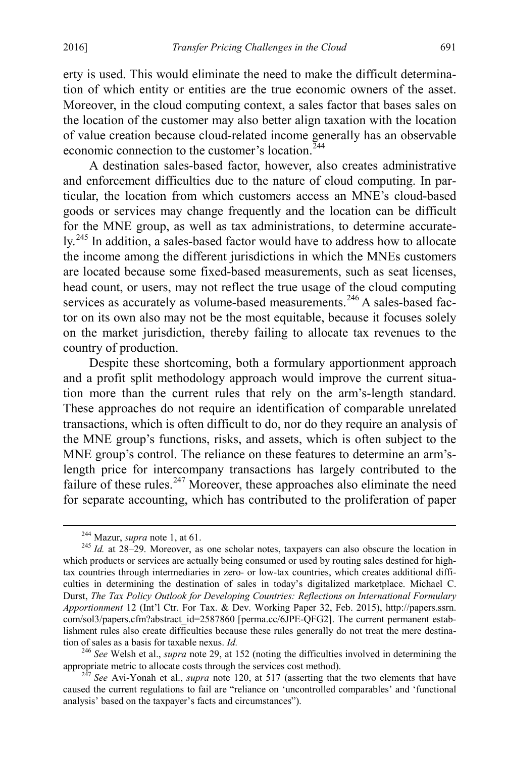erty is used. This would eliminate the need to make the difficult determination of which entity or entities are the true economic owners of the asset. Moreover, in the cloud computing context, a sales factor that bases sales on the location of the customer may also better align taxation with the location of value creation because cloud-related income generally has an observable economic connection to the customer's location  $244$ 

A destination sales-based factor, however, also creates administrative and enforcement difficulties due to the nature of cloud computing. In particular, the location from which customers access an MNE's cloud-based goods or services may change frequently and the location can be difficult for the MNE group, as well as tax administrations, to determine accurately.[245](#page-49-2) In addition, a sales-based factor would have to address how to allocate the income among the different jurisdictions in which the MNEs customers are located because some fixed-based measurements, such as seat licenses, head count, or users, may not reflect the true usage of the cloud computing services as accurately as volume-based measurements.<sup>[246](#page-49-3)</sup> A sales-based factor on its own also may not be the most equitable, because it focuses solely on the market jurisdiction, thereby failing to allocate tax revenues to the country of production.

Despite these shortcoming, both a formulary apportionment approach and a profit split methodology approach would improve the current situation more than the current rules that rely on the arm's-length standard. These approaches do not require an identification of comparable unrelated transactions, which is often difficult to do, nor do they require an analysis of the MNE group's functions, risks, and assets, which is often subject to the MNE group's control. The reliance on these features to determine an arm'slength price for intercompany transactions has largely contributed to the failure of these rules.<sup>[247](#page-49-4)</sup> Moreover, these approaches also eliminate the need for separate accounting, which has contributed to the proliferation of paper

<span id="page-49-0"></span>

<span id="page-49-2"></span><span id="page-49-1"></span><sup>&</sup>lt;sup>244</sup> Mazur, *supra* note [1,](#page-2-0) at 61.<br><sup>245</sup> *Id.* at 28–29. Moreover, as one scholar notes, taxpayers can also obscure the location in which products or services are actually being consumed or used by routing sales destined for hightax countries through intermediaries in zero- or low-tax countries, which creates additional difficulties in determining the destination of sales in today's digitalized marketplace. Michael C. Durst, *The Tax Policy Outlook for Developing Countries: Reflections on International Formulary Apportionment* 12 (Int'l Ctr. For Tax. & Dev. Working Paper 32, Feb. 2015), http://papers.ssrn. com/sol3/papers.cfm?abstract\_id=2587860 [perma.cc/6JPE-QFG2]. The current permanent establishment rules also create difficulties because these rules generally do not treat the mere destina-<br>tion of sales as a basis for taxable nexus.  $Id$ .

<span id="page-49-3"></span><sup>&</sup>lt;sup>246</sup> *See* Welsh et al., *supra* note [29,](#page-7-7) at 152 (noting the difficulties involved in determining the appropriate metric to allocate costs through the services cost method).

<span id="page-49-4"></span><sup>&</sup>lt;sup>247</sup> *See* Avi-Yonah et al., *supra* note [120,](#page-24-5) at 517 (asserting that the two elements that have caused the current regulations to fail are "reliance on 'uncontrolled comparables' and 'functional analysis' based on the taxpayer's facts and circumstances").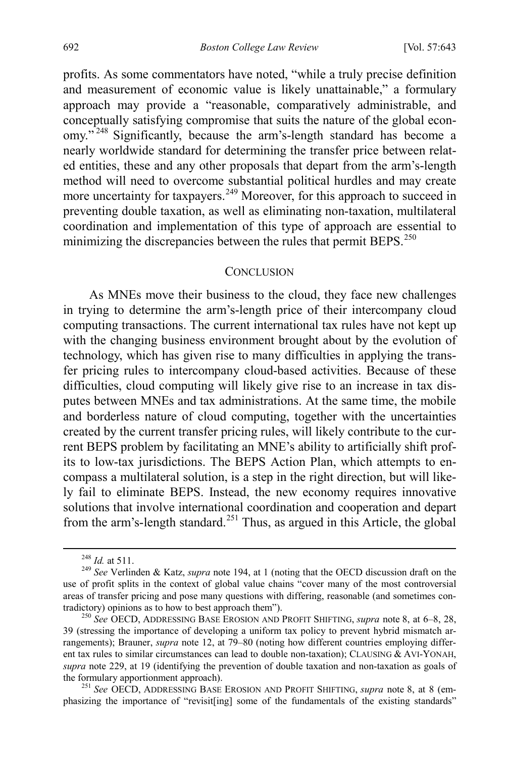profits. As some commentators have noted, "while a truly precise definition and measurement of economic value is likely unattainable," a formulary approach may provide a "reasonable, comparatively administrable, and conceptually satisfying compromise that suits the nature of the global econ-omy."<sup>[248](#page-50-1)</sup> Significantly, because the arm's-length standard has become a nearly worldwide standard for determining the transfer price between related entities, these and any other proposals that depart from the arm's-length method will need to overcome substantial political hurdles and may create more uncertainty for taxpayers.<sup>249</sup> Moreover, for this approach to succeed in preventing double taxation, as well as eliminating non-taxation, multilateral coordination and implementation of this type of approach are essential to minimizing the discrepancies between the rules that permit BEPS.<sup>[250](#page-50-3)</sup>

#### <span id="page-50-0"></span>**CONCLUSION**

As MNEs move their business to the cloud, they face new challenges in trying to determine the arm's-length price of their intercompany cloud computing transactions. The current international tax rules have not kept up with the changing business environment brought about by the evolution of technology, which has given rise to many difficulties in applying the transfer pricing rules to intercompany cloud-based activities. Because of these difficulties, cloud computing will likely give rise to an increase in tax disputes between MNEs and tax administrations. At the same time, the mobile and borderless nature of cloud computing, together with the uncertainties created by the current transfer pricing rules, will likely contribute to the current BEPS problem by facilitating an MNE's ability to artificially shift profits to low-tax jurisdictions. The BEPS Action Plan, which attempts to encompass a multilateral solution, is a step in the right direction, but will likely fail to eliminate BEPS. Instead, the new economy requires innovative solutions that involve international coordination and cooperation and depart from the arm's-length standard.<sup>[251](#page-50-4)</sup> Thus, as argued in this Article, the global

<span id="page-50-4"></span>phasizing the importance of "revisit[ing] some of the fundamentals of the existing standards"

<span id="page-50-2"></span><span id="page-50-1"></span><sup>248</sup> *Id.* at 511. <sup>249</sup> *See* Verlinden & Katz, *supra* not[e 194,](#page-38-6) at 1 (noting that the OECD discussion draft on the use of profit splits in the context of global value chains "cover many of the most controversial areas of transfer pricing and pose many questions with differing, reasonable (and sometimes contradictory) opinions as to how to best approach them").

<span id="page-50-3"></span><sup>&</sup>lt;sup>250</sup> See OECD, ADDRESSING BASE EROSION AND PROFIT SHIFTING, *supra* note [8,](#page-3-4) at 6–8, 28, 39 (stressing the importance of developing a uniform tax policy to prevent hybrid mismatch arrangements); Brauner, *supra* note [12,](#page-4-6) at 79–80 (noting how different countries employing different tax rules to similar circumstances can lead to double non-taxation); CLAUSING & AVI-YONAH, *supra* note [229,](#page-45-0) at 19 (identifying the prevention of double taxation and non-taxation as goals of the formulary apportionment approach). <sup>251</sup> *See* OECD, ADDRESSING BASE EROSION AND PROFIT SHIFTING, *supra* note [8,](#page-3-4) at 8 (em-